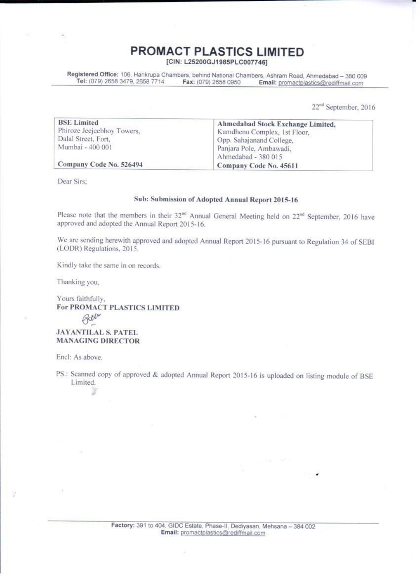[CIN: L25200GJ1985PLC007746]

Registered Office: 106, Harikrupa Chambers, behind National Chambers, Ashram Road, Ahmedabad - 380 009 Tel: (079) 2658 3479, 2658 7714 Fax: (079) 2658 0950 Email: promactplastics@rediffmail.com

22<sup>nd</sup> September, 2016

| <b>BSE Limited</b>         | Ahmedabad Stock Exchange Limited, |
|----------------------------|-----------------------------------|
| Phiroze Jeejeebhoy Towers, | Kamdhenu Complex, 1st Floor,      |
| Dalal Street, Fort,        | Opp. Sahajanand College,          |
| Mumbai - 400 001           | Panjara Pole, Ambawadi,           |
|                            | Ahmedabad - 380 015               |
| Company Code No. 526494    | Company Code No. 45611            |

Dear Sirs:

### Sub: Submission of Adopted Annual Report 2015-16

Please note that the members in their 32<sup>nd</sup> Annual General Meeting held on 22<sup>nd</sup> September, 2016 have approved and adopted the Annual Report 2015-16.

We are sending herewith approved and adopted Annual Report 2015-16 pursuant to Regulation 34 of SEBI (LODR) Regulations, 2015.

Kindly take the same in on records.

Thanking you,

Yours faithfully, For PROMACT PLASTICS LIMITED Retur

### **JAYANTILAL S. PATEL MANAGING DIRECTOR**

g

Encl: As above.

PS.: Scanned copy of approved & adopted Annual Report 2015-16 is uploaded on listing module of BSE Limited.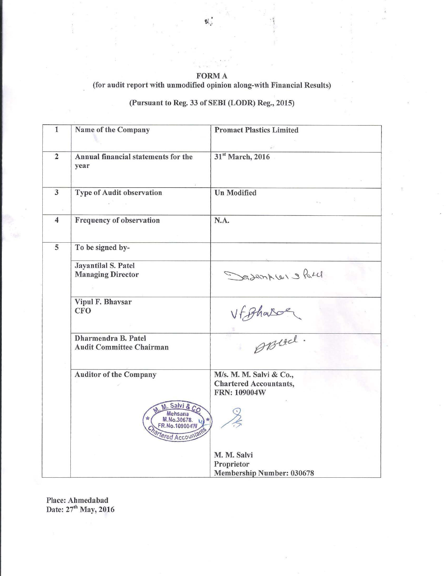## FORM A<br>(for audit report with unmodified opinion along-with Financial Results)

| $\mathbf{1}$   | Name of the Company                                                | <b>Promact Plastics Limited</b>                                                 |
|----------------|--------------------------------------------------------------------|---------------------------------------------------------------------------------|
| $\overline{2}$ | Annual financial statements for the<br>vear                        | 31 <sup>st</sup> March, 2016                                                    |
| $\overline{3}$ | <b>Type of Audit observation</b>                                   | <b>Un Modified</b>                                                              |
| $\overline{4}$ | Frequency of observation                                           | N.A.                                                                            |
| 5              | To be signed by-                                                   |                                                                                 |
|                | Jayantilal S. Patel<br><b>Managing Director</b>                    | Dadenheur Statel                                                                |
|                | Vipul F. Bhavsar<br><b>CFO</b>                                     | Vfghasoer                                                                       |
|                | Dharmendra B. Patel<br><b>Audit Committee Chairman</b>             |                                                                                 |
|                | <b>Auditor of the Company</b>                                      | M/s. M. M. Salvi & Co.,<br><b>Chartered Accountants,</b><br><b>FRN: 109004W</b> |
|                | Salvi &<br>lehsana<br>M.No.30678.<br>R.No.109004W<br>lered Account |                                                                                 |
|                |                                                                    | M. M. Salvi<br>Proprietor<br>Membership Number: 030678                          |

### (Pursuant to Reg. 33 of SEBI (LODR) Reg., 2015)

Place: Ahmedabad<br>Date: 27<sup>th</sup> May, 2016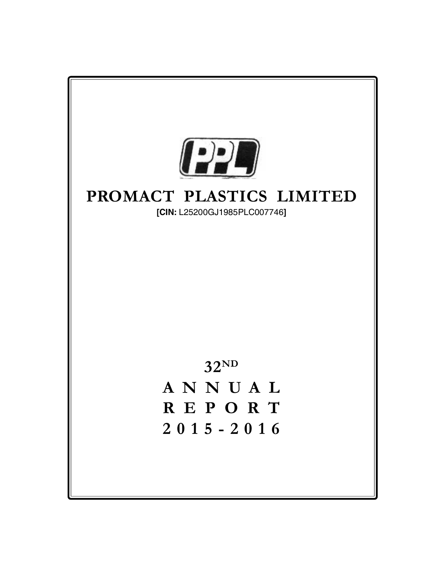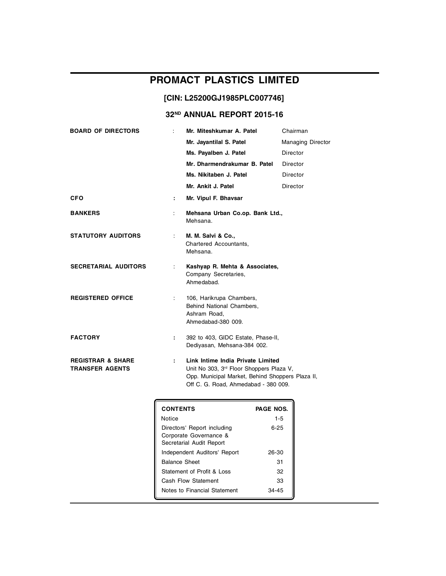### **[CIN: L25200GJ1985PLC007746]**

### $32<sup>ND</sup>$  **ANNUAL REPORT 2015-16**

| <b>BOARD OF DIRECTORS</b>                              | ÷  | Mr. Miteshkumar A. Patel                                                                                                                                                  | Chairman                 |
|--------------------------------------------------------|----|---------------------------------------------------------------------------------------------------------------------------------------------------------------------------|--------------------------|
|                                                        |    | Mr. Jayantilal S. Patel                                                                                                                                                   | <b>Managing Director</b> |
|                                                        |    | Ms. Payalben J. Patel                                                                                                                                                     | Director                 |
|                                                        |    | Mr. Dharmendrakumar B. Patel                                                                                                                                              | Director                 |
|                                                        |    | Ms. Nikitaben J. Patel                                                                                                                                                    | Director                 |
|                                                        |    | Mr. Ankit J. Patel                                                                                                                                                        | Director                 |
| <b>CFO</b>                                             | ÷  | Mr. Vipul F. Bhavsar                                                                                                                                                      |                          |
| <b>BANKERS</b>                                         | ÷  | Mehsana Urban Co.op. Bank Ltd.,<br>Mehsana.                                                                                                                               |                          |
| <b>STATUTORY AUDITORS</b>                              | ÷  | M. M. Salvi & Co.,<br>Chartered Accountants,<br>Mehsana.                                                                                                                  |                          |
| <b>SECRETARIAL AUDITORS</b>                            | ÷  | Kashyap R. Mehta & Associates,<br>Company Secretaries,<br>Ahmedabad.                                                                                                      |                          |
| <b>REGISTERED OFFICE</b>                               | ÷  | 106, Harikrupa Chambers,<br>Behind National Chambers,<br>Ashram Road,<br>Ahmedabad-380 009.                                                                               |                          |
| <b>FACTORY</b>                                         | ÷  | 392 to 403, GIDC Estate, Phase-II,<br>Dediyasan, Mehsana-384 002.                                                                                                         |                          |
| <b>REGISTRAR &amp; SHARE</b><br><b>TRANSFER AGENTS</b> | ÷. | Link Intime India Private Limited<br>Unit No 303, 3rd Floor Shoppers Plaza V,<br>Opp. Municipal Market, Behind Shoppers Plaza II,<br>Off C. G. Road, Ahmedabad - 380 009. |                          |

| <b>CONTENTS</b>                                                                   | PAGE NOS. |
|-----------------------------------------------------------------------------------|-----------|
| Notice                                                                            | $1 - 5$   |
| Directors' Report including<br>Corporate Governance &<br>Secretarial Audit Report | 6-25      |
| Independent Auditors' Report                                                      | 26-30     |
| <b>Balance Sheet</b>                                                              | 31        |
| Statement of Profit & Loss                                                        | 32        |
| Cash Flow Statement                                                               | 33        |
| Notes to Financial Statement                                                      | $34 - 45$ |

∍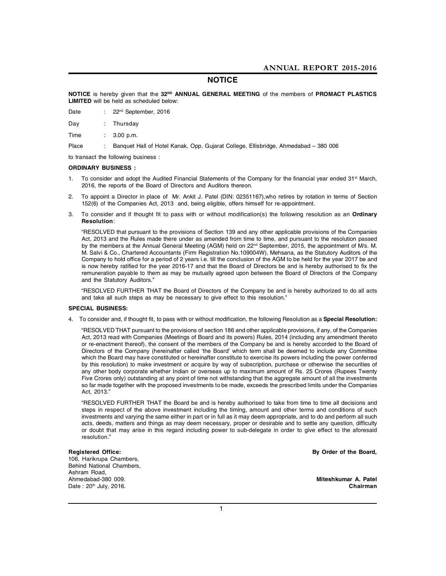### **NOTICE**

**NOTICE** is hereby given that the 32<sup>ND</sup> ANNUAL GENERAL MEETING of the members of **PROMACT PLASTICS LIMITED** will be held as scheduled below:

- Date : 22<sup>nd</sup> September, 2016
- Day : Thursday

Time : 3.00 p.m.

Place : Banquet Hall of Hotel Kanak, Opp. Gujarat College, Ellisbridge, Ahmedabad - 380 006

to transact the following business :

#### **ORDINARY BUSINESS :**

- 1. To consider and adopt the Audited Financial Statements of the Company for the financial year ended 31<sup>st</sup> March, 2016, the reports of the Board of Directors and Auditors thereon.
- 2. To appoint a Director in place of Mr. Ankit J. Patel (DIN: 02351167),who retires by rotation in terms of Section 152(6) of the Companies Act, 2013 and, being eligible, offers himself for re-appointment.
- 3. To consider and if thought fit to pass with or without modification(s) the following resolution as an **Ordinary Resolution**:

"RESOLVED that pursuant to the provisions of Section 139 and any other applicable provisions of the Companies Act, 2013 and the Rules made there under as amended from time to time, and pursuant to the resolution passed by the members at the Annual General Meeting (AGM) held on 22<sup>nd</sup> September, 2015, the appointment of M/s. M. M. Salvi & Co., Chartered Accountants (Firm Registration No.109004W), Mehsana, as the Statutory Auditors of the Company to hold office for a period of 2 years i.e. till the conclusion of the AGM to be held for the year 2017 be and is now hereby ratified for the year 2016-17 and that the Board of Directors be and is hereby authorised to fix the remuneration payable to them as may be mutually agreed upon between the Board of Directors of the Company and the Statutory Auditors."

"RESOLVED FURTHER THAT the Board of Directors of the Company be and is hereby authorized to do all acts and take all such steps as may be necessary to give effect to this resolution."

#### **SPECIAL BUSINESS:**

4. To consider and, if thought fit, to pass with or without modification, the following Resolution as a  **Special Resolution:**

"RESOLVED THAT pursuant to the provisions of section 186 and other applicable provisions, if any, of the Companies Act, 2013 read with Companies (Meetings of Board and its powers) Rules, 2014 (including any amendment thereto or re-enactment thereof), the consent of the members of the Company be and is hereby accorded to the Board of Directors of the Company (hereinafter called 'the Board' which term shall be deemed to include any Committee which the Board may have constituted or hereinafter constitute to exercise its powers including the power conferred by this resolution) to make investment or acquire by way of subscription, purchase or otherwise the securities of any other body corporate whether Indian or overseas up to maximum amount of Rs. 25 Crores (Rupees Twenty Five Crores only) outstanding at any point of time not withstanding that the aggregate amount of all the investments so far made together with the proposed investments to be made, exceeds the prescribed limits under the Companies Act, 2013."

"RESOLVED FURTHER THAT the Board be and is hereby authorised to take from time to time all decisions and steps in respect of the above investment including the timing, amount and other terms and conditions of such investments and varying the same either in part or in full as it may deem appropriate, and to do and perform all such acts, deeds, matters and things as may deem necessary, proper or desirable and to settle any question, difficulty or doubt that may arise in this regard including power to sub-delegate in order to give effect to the aforesaid resolution."

**Registered Office: By Order of the Board,**

106, Harikrupa Chambers, Behind National Chambers, Ashram Road, Ahmedabad-380 009. Date:  $20<sup>th</sup>$  July, 2016.

**Miteshkumar A. Patel Chairman** th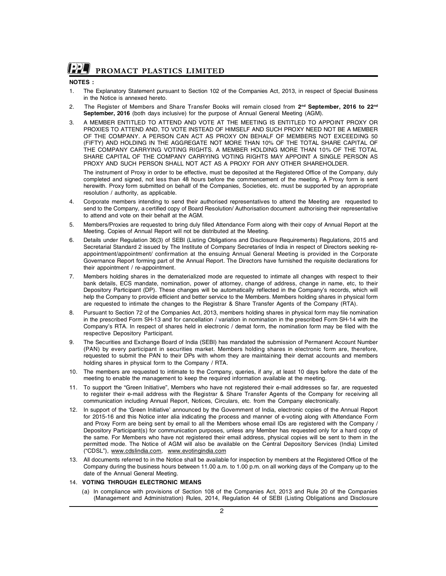#### **NOTES :**

- 1. The Explanatory Statement pursuant to Section 102 of the Companies Act, 2013, in respect of Special Business in the Notice is annexed hereto.
- 2. The Register of Members and Share Transfer Books will remain closed from 2<sup>nd</sup> September, 2016 to 22<sup>nd</sup> September, 2016 (both days inclusive) for the purpose of Annual General Meeting (AGM).
- 3. A MEMBER ENTITLED TO ATTEND AND VOTE AT THE MEETING IS ENTITLED TO APPOINT PROXY OR PROXIES TO ATTEND AND, TO VOTE INSTEAD OF HIMSELF AND SUCH PROXY NEED NOT BE A MEMBER OF THE COMPANY. A PERSON CAN ACT AS PROXY ON BEHALF OF MEMBERS NOT EXCEEDING 50 (FIFTY) AND HOLDING IN THE AGGREGATE NOT MORE THAN 10% OF THE TOTAL SHARE CAPITAL OF THE COMPANY CARRYING VOTING RIGHTS. A MEMBER HOLDING MORE THAN 10% OF THE TOTAL SHARE CAPITAL OF THE COMPANY CARRYING VOTING RIGHTS MAY APPOINT A SINGLE PERSON AS PROXY AND SUCH PERSON SHALL NOT ACT AS A PROXY FOR ANY OTHER SHAREHOLDER.

The instrument of Proxy in order to be effective, must be deposited at the Registered Office of the Company, duly completed and signed, not less than 48 hours before the commencement of the meeting. A Proxy form is sent herewith. Proxy form submitted on behalf of the Companies, Societies, etc. must be supported by an appropriate resolution / authority, as applicable.

- 4. Corporate members intending to send their authorised representatives to attend the Meeting are requested to send to the Company, a certified copy of Board Resolution/ Authorisation document authorising their representative to attend and vote on their behalf at the AGM.
- 5. Members/Proxies are requested to bring duly filled Attendance Form along with their copy of Annual Report at the Meeting. Copies of Annual Report will not be distributed at the Meeting.
- 6. Details under Regulation 36(3) of SEBI (Listing Obligations and Disclosure Requirements) Regulations, 2015 and Secretarial Standard 2 issued by The Institute of Company Secretaries of India in respect of Directors seeking reappointment/appointment/ confirmation at the ensuing Annual General Meeting is provided in the Corporate Governance Report forming part of the Annual Report. The Directors have furnished the requisite declarations for their appointment / re-appointment.
- 7. Members holding shares in the dematerialized mode are requested to intimate all changes with respect to their bank details, ECS mandate, nomination, power of attorney, change of address, change in name, etc, to their Depository Participant (DP). These changes will be automatically reflected in the Company's records, which will help the Company to provide efficient and better service to the Members. Members holding shares in physical form are requested to intimate the changes to the Registrar & Share Transfer Agents of the Company (RTA).
- 8. Pursuant to Section 72 of the Companies Act, 2013, members holding shares in physical form may file nomination in the prescribed Form SH-13 and for cancellation / variation in nomination in the prescribed Form SH-14 with the Company's RTA. In respect of shares held in electronic / demat form, the nomination form may be filed with the respective Depository Participant.
- 9. The Securities and Exchange Board of India (SEBI) has mandated the submission of Permanent Account Number (PAN) by every participant in securities market. Members holding shares in electronic form are, therefore, requested to submit the PAN to their DPs with whom they are maintaining their demat accounts and members holding shares in physical form to the Company / RTA.
- 10. The members are requested to intimate to the Company, queries, if any, at least 10 days before the date of the meeting to enable the management to keep the required information available at the meeting.
- 11. To support the "Green Initiative", Members who have not registered their e-mail addresses so far, are requested to register their e-mail address with the Registrar & Share Transfer Agents of the Company for receiving all communication including Annual Report, Notices, Circulars, etc. from the Company electronically.
- 12. In support of the 'Green Initiative' announced by the Government of India, electronic copies of the Annual Report for 2015-16 and this Notice inter alia indicating the process and manner of e-voting along with Attendance Form and Proxy Form are being sent by email to all the Members whose email IDs are registered with the Company / Depository Participant(s) for communication purposes, unless any Member has requested only for a hard copy of the same. For Members who have not registered their email address, physical copies will be sent to them in the permitted mode. The Notice of AGM will also be available on the Central Depository Services (India) Limited ("CDSL"), www.cdslindia.com, www.evotingindia.com
- 13. All documents referred to in the Notice shall be available for inspection by members at the Registered Office of the Company during the business hours between 11.00 a.m. to 1.00 p.m. on all working days of the Company up to the date of the Annual General Meeting.

#### 14. **VOTING THROUGH ELECTRONIC MEANS**

(a) In compliance with provisions of Section 108 of the Companies Act, 2013 and Rule 20 of the Companies (Management and Administration) Rules, 2014, Regulation 44 of SEBI (Listing Obligations and Disclosure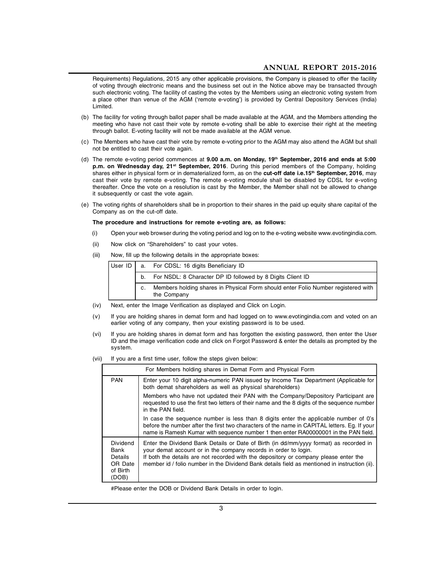Requirements) Regulations, 2015 any other applicable provisions, the Company is pleased to offer the facility of voting through electronic means and the business set out in the Notice above may be transacted through such electronic voting. The facility of casting the votes by the Members using an electronic voting system from a place other than venue of the AGM ('remote e-voting') is provided by Central Depository Services (India) Limited.

- (b) The facility for voting through ballot paper shall be made available at the AGM, and the Members attending the meeting who have not cast their vote by remote e-voting shall be able to exercise their right at the meeting through ballot. E-voting facility will not be made available at the AGM venue.
- (c) The Members who have cast their vote by remote e-voting prior to the AGM may also attend the AGM but shall not be entitled to cast their vote again.
- (d) The remote e-voting period commences at 9.00 a.m. on Monday, 19<sup>th</sup> September, 2016 and ends at 5:00 **p.m. on Wednesday day, 21<sup>st</sup> September, 2016**. During this period members of the Company, holding shares either in physical form or in dematerialized form, as on the **cut-off date i.e.15<sup>th</sup> September, 2016**, may cast their vote by remote e-voting. The remote e-voting module shall be disabled by CDSL for e-voting thereafter. Once the vote on a resolution is cast by the Member, the Member shall not be allowed to change it subsequently or cast the vote again.
- (e) The voting rights of shareholders shall be in proportion to their shares in the paid up equity share capital of the Company as on the cut-off date.

#### **The procedure and instructions for remote e-voting are, as follows:**

- (i) Open your web browser during the voting period and log on to the e-voting website www.evotingindia.com.
- (ii) Now click on "Shareholders" to cast your votes.
- (iii) Now, fill up the following details in the appropriate boxes:

| User ID |    | a. For CDSL: 16 digits Beneficiary ID                                                            |
|---------|----|--------------------------------------------------------------------------------------------------|
|         | b. | For NSDL: 8 Character DP ID followed by 8 Digits Client ID                                       |
|         | c. | Members holding shares in Physical Form should enter Folio Number registered with<br>the Company |

- (iv) Next, enter the Image Verification as displayed and Click on Login.
- (v) If you are holding shares in demat form and had logged on to www.evotingindia.com and voted on an earlier voting of any company, then your existing password is to be used.
- (vi) If you are holding shares in demat form and has forgotten the existing password, then enter the User ID and the image verification code and click on Forgot Password & enter the details as prompted by the system.
- (vii) If you are a first time user, follow the steps given below:

|                                                                    | For Members holding shares in Demat Form and Physical Form                                                                                                                                                                                                                                                                                         |
|--------------------------------------------------------------------|----------------------------------------------------------------------------------------------------------------------------------------------------------------------------------------------------------------------------------------------------------------------------------------------------------------------------------------------------|
| <b>PAN</b>                                                         | Enter your 10 digit alpha-numeric PAN issued by Income Tax Department (Applicable for<br>both demat shareholders as well as physical shareholders)                                                                                                                                                                                                 |
|                                                                    | Members who have not updated their PAN with the Company/Depository Participant are<br>requested to use the first two letters of their name and the 8 digits of the sequence number<br>in the PAN field.                                                                                                                                            |
|                                                                    | In case the sequence number is less than 8 digits enter the applicable number of 0's<br>before the number after the first two characters of the name in CAPITAL letters. Eq. If your<br>name is Ramesh Kumar with sequence number 1 then enter RA00000001 in the PAN field.                                                                        |
| Dividend<br>Bank<br><b>Details</b><br>OR Date<br>of Birth<br>(DOB) | Enter the Dividend Bank Details or Date of Birth (in dd/mm/yyyy format) as recorded in<br>your demat account or in the company records in order to login.<br>If both the details are not recorded with the depository or company please enter the<br>member id / folio number in the Dividend Bank details field as mentioned in instruction (ii). |

#Please enter the DOB or Dividend Bank Details in order to login.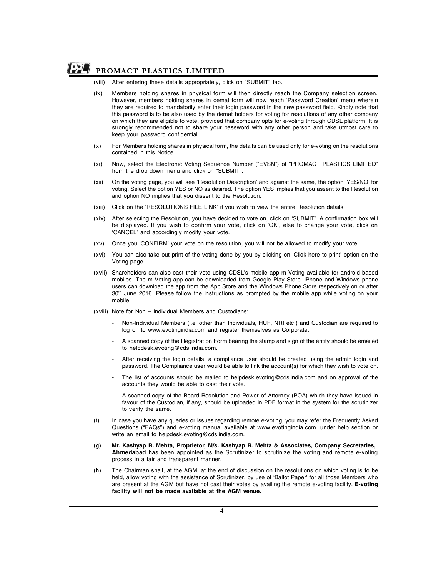

- (viii) After entering these details appropriately, click on "SUBMIT" tab.
- (ix) Members holding shares in physical form will then directly reach the Company selection screen. However, members holding shares in demat form will now reach 'Password Creation' menu wherein they are required to mandatorily enter their login password in the new password field. Kindly note that this password is to be also used by the demat holders for voting for resolutions of any other company on which they are eligible to vote, provided that company opts for e-voting through CDSL platform. It is strongly recommended not to share your password with any other person and take utmost care to keep your password confidential.
- (x) For Members holding shares in physical form, the details can be used only for e-voting on the resolutions contained in this Notice.
- (xi) Now, select the Electronic Voting Sequence Number ("EVSN") of "PROMACT PLASTICS LIMITED" from the drop down menu and click on "SUBMIT".
- (xii) On the voting page, you will see 'Resolution Description' and against the same, the option 'YES/NO' for voting. Select the option YES or NO as desired. The option YES implies that you assent to the Resolution and option NO implies that you dissent to the Resolution.
- (xiii) Click on the 'RESOLUTIONS FILE LINK' if you wish to view the entire Resolution details.
- (xiv) After selecting the Resolution, you have decided to vote on, click on 'SUBMIT'. A confirmation box will be displayed. If you wish to confirm your vote, click on 'OK', else to change your vote, click on 'CANCEL' and accordingly modify your vote.
- (xv) Once you 'CONFIRM' your vote on the resolution, you will not be allowed to modify your vote.
- (xvi) You can also take out print of the voting done by you by clicking on 'Click here to print' option on the Voting page.
- (xvii) Shareholders can also cast their vote using CDSL's mobile app m-Voting available for android based mobiles. The m-Voting app can be downloaded from Google Play Store. iPhone and Windows phone users can download the app from the App Store and the Windows Phone Store respectively on or after  $30<sup>th</sup>$  June 2016. Please follow the instructions as prompted by the mobile app while voting on your mobile.
- (xviii) Note for Non Individual Members and Custodians:
	- Non-Individual Members (i.e. other than Individuals, HUF, NRI etc.) and Custodian are required to log on to www.evotingindia.com and register themselves as Corporate.
	- A scanned copy of the Registration Form bearing the stamp and sign of the entity should be emailed to helpdesk.evoting@cdslindia.com.
	- After receiving the login details, a compliance user should be created using the admin login and password. The Compliance user would be able to link the account(s) for which they wish to vote on.
	- The list of accounts should be mailed to helpdesk.evoting@cdslindia.com and on approval of the accounts they would be able to cast their vote.
	- A scanned copy of the Board Resolution and Power of Attorney (POA) which they have issued in favour of the Custodian, if any, should be uploaded in PDF format in the system for the scrutinizer to verify the same.
- (f) In case you have any queries or issues regarding remote e-voting, you may refer the Frequently Asked Questions ("FAQs") and e-voting manual available at www.evotingindia.com, under help section or write an email to helpdesk.evoting@cdslindia.com.
- (g) **Mr. Kashyap R. Mehta, Proprietor, M/s. Kashyap R. Mehta & Associates, Company Secretaries, Ahmedabad** has been appointed as the Scrutinizer to scrutinize the voting and remote e-voting process in a fair and transparent manner.
- (h) The Chairman shall, at the AGM, at the end of discussion on the resolutions on which voting is to be held, allow voting with the assistance of Scrutinizer, by use of 'Ballot Paper' for all those Members who are present at the AGM but have not cast their votes by availing the remote e-voting facility. **E-voting facility will not be made available at the AGM venue.**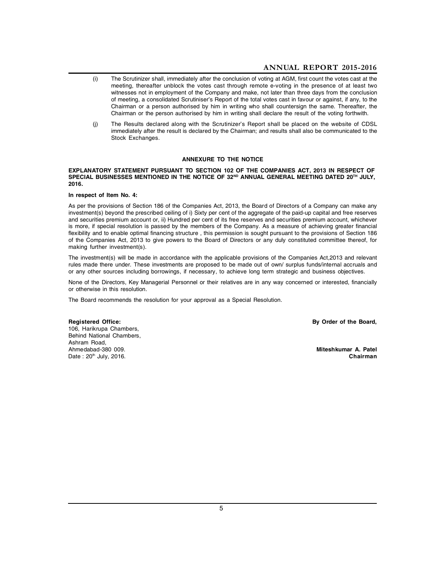- (i) The Scrutinizer shall, immediately after the conclusion of voting at AGM, first count the votes cast at the meeting, thereafter unblock the votes cast through remote e-voting in the presence of at least two witnesses not in employment of the Company and make, not later than three days from the conclusion of meeting, a consolidated Scrutiniser's Report of the total votes cast in favour or against, if any, to the Chairman or a person authorised by him in writing who shall countersign the same. Thereafter, the Chairman or the person authorised by him in writing shall declare the result of the voting forthwith.
- (j) The Results declared along with the Scrutinizer's Report shall be placed on the website of CDSL immediately after the result is declared by the Chairman; and results shall also be communicated to the Stock Exchanges.

#### **ANNEXURE TO THE NOTICE**

#### **EXPLANATORY STATEMENT PURSUANT TO SECTION 102 OF THE COMPANIES ACT, 2013 IN RESPECT OF** SPECIAL BUSINESSES MENTIONED IN THE NOTICE OF 32<sup>ND</sup> ANNUAL GENERAL MEETING DATED 20TH JULY, **2016.**

#### **In respect of Item No. 4:**

As per the provisions of Section 186 of the Companies Act, 2013, the Board of Directors of a Company can make any investment(s) beyond the prescribed ceiling of i) Sixty per cent of the aggregate of the paid-up capital and free reserves and securities premium account or, ii) Hundred per cent of its free reserves and securities premium account, whichever is more, if special resolution is passed by the members of the Company. As a measure of achieving greater financial flexibility and to enable optimal financing structure , this permission is sought pursuant to the provisions of Section 186 of the Companies Act, 2013 to give powers to the Board of Directors or any duly constituted committee thereof, for making further investment(s).

The investment(s) will be made in accordance with the applicable provisions of the Companies Act,2013 and relevant rules made there under. These investments are proposed to be made out of own/ surplus funds/internal accruals and or any other sources including borrowings, if necessary, to achieve long term strategic and business objectives.

None of the Directors, Key Managerial Personnel or their relatives are in any way concerned or interested, financially or otherwise in this resolution.

The Board recommends the resolution for your approval as a Special Resolution.

106, Harikrupa Chambers, Behind National Chambers, Ashram Road, Ahmedabad-380 009. Date : 20 July, 2016. **Chairman** th

**Registered Office: By Order of the Board,**

**Miteshkumar A. Patel**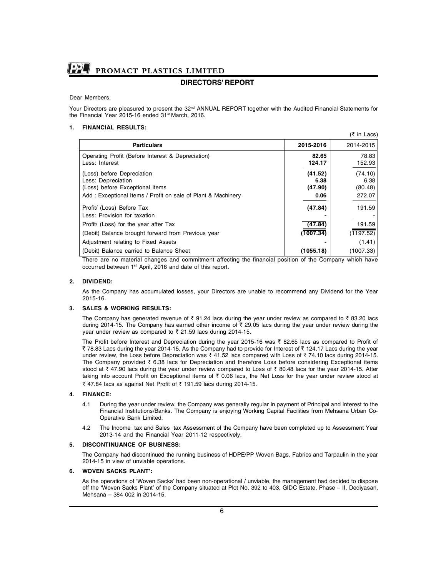#### **DIRECTORS' REPORT**

#### Dear Members,

Your Directors are pleasured to present the 32<sup>nd</sup> ANNUAL REPORT together with the Audited Financial Statements for the Financial Year 2015-16 ended  $31<sup>st</sup>$  March, 2016.

#### **1. FINANCIAL RESULTS:**

|                                                                                                                                                     |                                    | $(5 \in \text{Ln}$ Lacs)             |
|-----------------------------------------------------------------------------------------------------------------------------------------------------|------------------------------------|--------------------------------------|
| <b>Particulars</b>                                                                                                                                  | 2015-2016                          | 2014-2015                            |
| Operating Profit (Before Interest & Depreciation)<br>Less: Interest                                                                                 | 82.65<br>124.17                    | 78.83<br>152.93                      |
| (Loss) before Depreciation<br>Less: Depreciation<br>(Loss) before Exceptional items<br>Add: Exceptional Items / Profit on sale of Plant & Machinery | (41.52)<br>6.38<br>(47.90)<br>0.06 | (74.10)<br>6.38<br>(80.48)<br>272.07 |
| Profit/ (Loss) Before Tax<br>Less: Provision for taxation                                                                                           | (47.84)                            | 191.59                               |
| Profit/ (Loss) for the year after Tax                                                                                                               | (47.84)                            | 191.59                               |
| (Debit) Balance brought forward from Previous year                                                                                                  | (1007.34)                          | (1197.52)                            |
| Adjustment relating to Fixed Assets                                                                                                                 |                                    | (1.41)                               |
| (Debit) Balance carried to Balance Sheet                                                                                                            | (1055.18)                          | (1007.33)                            |

There are no material changes and commitment affecting the financial position of the Company which have occurred between 1<sup>st</sup> April, 2016 and date of this report.

#### **2. DIVIDEND:**

As the Company has accumulated losses, your Directors are unable to recommend any Dividend for the Year 2015-16.

#### **3. SALES & WORKING RESULTS:**

The Company has generated revenue of  $\bar{\tau}$  91.24 lacs during the year under review as compared to  $\bar{\tau}$  83.20 lacs during 2014-15. The Company has earned other income of  $\bar{x}$  29.05 lacs during the year under review during the year under review as compared to  $\bar{\tau}$  21.59 lacs during 2014-15.

The Profit before Interest and Depreciation during the year 2015-16 was ₹ 82.65 lacs as compared to Profit of ₹ 78.83 Lacs during the year 2014-15. As the Company had to provide for Interest of ₹ 124.17 Lacs during the year under review, the Loss before Depreciation was  $\overline{\xi}$  41.52 lacs compared with Loss of  $\overline{\xi}$  74.10 lacs during 2014-15. The Company provided  $\overline{\xi}$  6.38 lacs for Depreciation and therefore Loss before considering Exceptional items stood at  $\bar{\tau}$  47.90 lacs during the year under review compared to Loss of  $\bar{\tau}$  80.48 lacs for the year 2014-15. After taking into account Profit on Exceptional items of ₹ 0.06 lacs, the Net Loss for the year under review stood at ₹ 47.84 lacs as against Net Profit of ₹ 191.59 lacs during 2014-15.

#### **4. FINANCE:**

- 4.1 During the year under review, the Company was generally regular in payment of Principal and Interest to the Financial Institutions/Banks. The Company is enjoying Working Capital Facilities from Mehsana Urban Co-Operative Bank Limited.
- 4.2 The Income tax and Sales tax Assessment of the Company have been completed up to Assessment Year 2013-14 and the Financial Year 2011-12 respectively.

#### **5. DISCONTINUANCE OF BUSINESS:**

The Company had discontinued the running business of HDPE/PP Woven Bags, Fabrics and Tarpaulin in the year 2014-15 in view of unviable operations.

#### **6. WOVEN SACKS PLANT':**

As the operations of 'Woven Sacks' had been non-operational / unviable, the management had decided to dispose off the 'Woven Sacks Plant' of the Company situated at Plot No. 392 to 403, GIDC Estate, Phase – II, Dediyasan, Mehsana – 384 002 in 2014-15.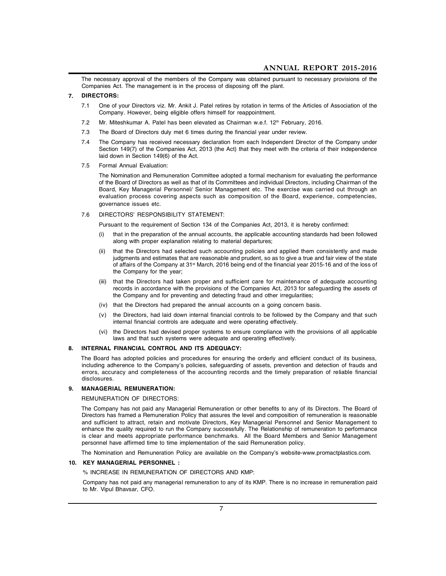The necessary approval of the members of the Company was obtained pursuant to necessary provisions of the Companies Act. The management is in the process of disposing off the plant.

#### **7. DIRECTORS:**

- 7.1 One of your Directors viz. Mr. Ankit J. Patel retires by rotation in terms of the Articles of Association of the Company. However, being eligible offers himself for reappointment.
- 7.2 Mr. Miteshkumar A. Patel has been elevated as Chairman w.e.f.  $12<sup>th</sup>$  February, 2016.
- 7.3 The Board of Directors duly met 6 times during the financial year under review.
- 7.4 The Company has received necessary declaration from each Independent Director of the Company under Section 149(7) of the Companies Act, 2013 (the Act) that they meet with the criteria of their independence laid down in Section 149(6) of the Act.
- 7.5 Formal Annual Evaluation:

The Nomination and Remuneration Committee adopted a formal mechanism for evaluating the performance of the Board of Directors as well as that of its Committees and individual Directors, including Chairman of the Board, Key Managerial Personnel/ Senior Management etc. The exercise was carried out through an evaluation process covering aspects such as composition of the Board, experience, competencies, governance issues etc.

7.6 DIRECTORS' RESPONSIBILITY STATEMENT:

Pursuant to the requirement of Section 134 of the Companies Act, 2013, it is hereby confirmed:

- (i) that in the preparation of the annual accounts, the applicable accounting standards had been followed along with proper explanation relating to material departures;
- that the Directors had selected such accounting policies and applied them consistently and made judgments and estimates that are reasonable and prudent, so as to give a true and fair view of the state of affairs of the Company at 31<sup>st</sup> March, 2016 being end of the financial year 2015-16 and of the loss of the Company for the year;
- (iii) that the Directors had taken proper and sufficient care for maintenance of adequate accounting records in accordance with the provisions of the Companies Act, 2013 for safeguarding the assets of the Company and for preventing and detecting fraud and other irregularities;
- (iv) that the Directors had prepared the annual accounts on a going concern basis.
- (v) the Directors, had laid down internal financial controls to be followed by the Company and that such internal financial controls are adequate and were operating effectively.
- (vi) the Directors had devised proper systems to ensure compliance with the provisions of all applicable laws and that such systems were adequate and operating effectively.

#### **8. INTERNAL FINANCIAL CONTROL AND ITS ADEQUACY:**

The Board has adopted policies and procedures for ensuring the orderly and efficient conduct of its business, including adherence to the Company's policies, safeguarding of assets, prevention and detection of frauds and errors, accuracy and completeness of the accounting records and the timely preparation of reliable financial disclosures.

#### **9. MANAGERIAL REMUNERATION:**

REMUNERATION OF DIRECTORS:

The Company has not paid any Managerial Remuneration or other benefits to any of its Directors. The Board of Directors has framed a Remuneration Policy that assures the level and composition of remuneration is reasonable and sufficient to attract, retain and motivate Directors, Key Managerial Personnel and Senior Management to enhance the quality required to run the Company successfully. The Relationship of remuneration to performance is clear and meets appropriate performance benchmarks. All the Board Members and Senior Management personnel have affirmed time to time implementation of the said Remuneration policy.

The Nomination and Remuneration Policy are available on the Company's website-www.promactplastics.com.

#### **10. KEY MANAGERIAL PERSONNEL :**

% INCREASE IN REMUNERATION OF DIRECTORS AND KMP:

Company has not paid any managerial remuneration to any of its KMP. There is no increase in remuneration paid to Mr. Vipul Bhavsar, CFO.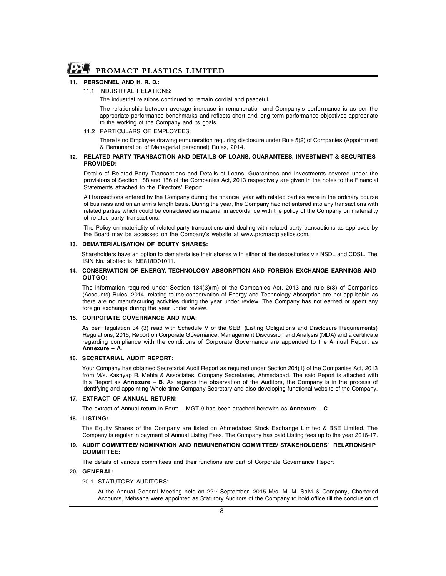

#### **11. PERSONNEL AND H. R. D.:**

11.1 INDUSTRIAL RELATIONS:

The industrial relations continued to remain cordial and peaceful.

The relationship between average increase in remuneration and Company's performance is as per the appropriate performance benchmarks and reflects short and long term performance objectives appropriate to the working of the Company and its goals.

11.2 PARTICULARS OF EMPLOYEES:

There is no Employee drawing remuneration requiring disclosure under Rule 5(2) of Companies (Appointment & Remuneration of Managerial personnel) Rules, 2014.

#### **12. RELATED PARTY TRANSACTION AND DETAILS OF LOANS, GUARANTEES, INVESTMENT & SECURITIES PROVIDED:**

Details of Related Party Transactions and Details of Loans, Guarantees and Investments covered under the provisions of Section 188 and 186 of the Companies Act, 2013 respectively are given in the notes to the Financial Statements attached to the Directors' Report.

All transactions entered by the Company during the financial year with related parties were in the ordinary course of business and on an arm's length basis. During the year, the Company had not entered into any transactions with related parties which could be considered as material in accordance with the policy of the Company on materiality of related party transactions.

The Policy on materiality of related party transactions and dealing with related party transactions as approved by the Board may be accessed on the Company's website at www.promactplastics.com.

#### **13. DEMATERIALISATION OF EQUITY SHARES:**

Shareholders have an option to dematerialise their shares with either of the depositories viz NSDL and CDSL. The ISIN No. allotted is INE818D01011.

#### **14. CONSERVATION OF ENERGY, TECHNOLOGY ABSORPTION AND FOREIGN EXCHANGE EARNINGS AND OUTGO:**

The information required under Section 134(3)(m) of the Companies Act, 2013 and rule 8(3) of Companies (Accounts) Rules, 2014, relating to the conservation of Energy and Technology Absorption are not applicable as there are no manufacturing activities during the year under review. The Company has not earned or spent any foreign exchange during the year under review.

#### **15. CORPORATE GOVERNANCE AND MDA:**

As per Regulation 34 (3) read with Schedule V of the SEBI (Listing Obligations and Disclosure Requirements) Regulations, 2015, Report on Corporate Governance, Management Discussion and Analysis (MDA) and a certificate regarding compliance with the conditions of Corporate Governance are appended to the Annual Report as . **Annexure – A**

#### **16. SECRETARIAL AUDIT REPORT:**

Your Company has obtained Secretarial Audit Report as required under Section 204(1) of the Companies Act, 2013 from M/s. Kashyap R. Mehta & Associates, Company Secretaries, Ahmedabad. The said Report is attached with this Report as  $Annexure - B$ . As regards the observation of the Auditors, the Company is in the process of identifying and appointing Whole-time Company Secretary and also developing functional website of the Company.

#### **17. EXTRACT OF ANNUAL RETURN:**

The extract of Annual return in Form – MGT-9 has been attached herewith as Annexure – C.

**18. LISTING:**

The Equity Shares of the Company are listed on Ahmedabad Stock Exchange Limited & BSE Limited. The Company is regular in payment of Annual Listing Fees. The Company has paid Listing fees up to the year 2016-17.

#### **19. AUDIT COMMITTEE/ NOMINATION AND REMUNERATION COMMITTEE/ STAKEHOLDERS' RELATIONSHIP COMMITTEE:**

The details of various committees and their functions are part of Corporate Governance Report

### **20. GENERAL:**

20.1. STATUTORY AUDITORS:

At the Annual General Meeting held on 22<sup>nd</sup> September, 2015 M/s. M. M. Salvi & Company, Chartered Accounts, Mehsana were appointed as Statutory Auditors of the Company to hold office till the conclusion of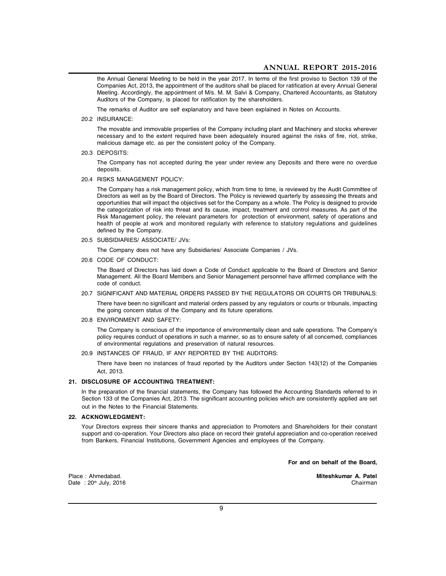the Annual General Meeting to be held in the year 2017. In terms of the first proviso to Section 139 of the Companies Act, 2013, the appointment of the auditors shall be placed for ratification at every Annual General Meeting. Accordingly, the appointment of M/s. M. M. Salvi & Company, Chartered Accountants, as Statutory Auditors of the Company, is placed for ratification by the shareholders.

The remarks of Auditor are self explanatory and have been explained in Notes on Accounts.

20.2 INSURANCE:

The movable and immovable properties of the Company including plant and Machinery and stocks wherever necessary and to the extent required have been adequately insured against the risks of fire, riot, strike, malicious damage etc. as per the consistent policy of the Company.

20.3 DEPOSITS:

The Company has not accepted during the year under review any Deposits and there were no overdue deposits.

20.4 RISKS MANAGEMENT POLICY:

The Company has a risk management policy, which from time to time, is reviewed by the Audit Committee of Directors as well as by the Board of Directors. The Policy is reviewed quarterly by assessing the threats and opportunities that will impact the objectives set for the Company as a whole. The Policy is designed to provide the categorization of risk into threat and its cause, impact, treatment and control measures. As part of the Risk Management policy, the relevant parameters for protection of environment, safety of operations and health of people at work and monitored regularly with reference to statutory regulations and guidelines defined by the Company.

20.5 SUBSIDIARIES/ ASSOCIATE/ JVs:

The Company does not have any Subsidiaries/ Associate Companies / JVs.

20.6 CODE OF CONDUCT:

The Board of Directors has laid down a Code of Conduct applicable to the Board of Directors and Senior Management. All the Board Members and Senior Management personnel have affirmed compliance with the code of conduct.

20.7 SIGNIFICANT AND MATERIAL ORDERS PASSED BY THE REGULATORS OR COURTS OR TRIBUNALS:

There have been no significant and material orders passed by any regulators or courts or tribunals, impacting the going concern status of the Company and its future operations.

20.8 ENVIRONMENT AND SAFETY:

The Company is conscious of the importance of environmentally clean and safe operations. The Company's policy requires conduct of operations in such a manner, so as to ensure safety of all concerned, compliances of environmental regulations and preservation of natural resources.

20.9 INSTANCES OF FRAUD, IF ANY REPORTED BY THE AUDITORS:

There have been no instances of fraud reported by the Auditors under Section 143(12) of the Companies Act, 2013.

#### **21. DISCLOSURE OF ACCOUNTING TREATMENT:**

In the preparation of the financial statements, the Company has followed the Accounting Standards referred to in Section 133 of the Companies Act, 2013. The significant accounting policies which are consistently applied are set out in the Notes to the Financial Statements.

#### **22. ACKNOWLEDGMENT:**

Your Directors express their sincere thanks and appreciation to Promoters and Shareholders for their constant support and co-operation. Your Directors also place on record their grateful appreciation and co-operation received from Bankers, Financial Institutions, Government Agencies and employees of the Company.

**For and on behalf of the Board,**

Place : Ahmedabad. Date : 20 July, 2016 th Chairman

**Miteshkumar A. Patel**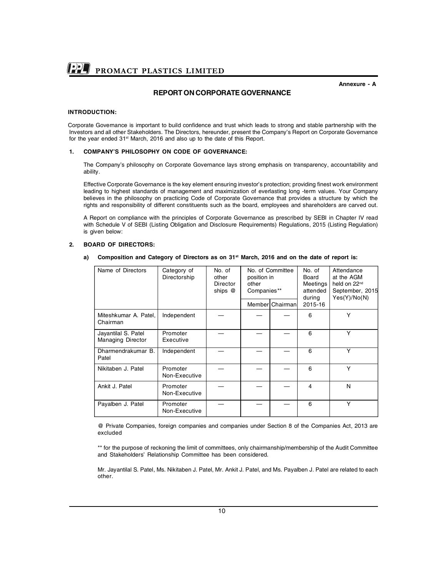**Annexure - A**

#### **REPORT ON CORPORATE GOVERNANCE**

#### **INTRODUCTION:**

Corporate Governance is important to build confidence and trust which leads to strong and stable partnership with the Investors and all other Stakeholders. The Directors, hereunder, present the Company's Report on Corporate Governance for the year ended  $31^{st}$  March, 2016 and also up to the date of this Report.

#### **1. COMPANY'S PHILOSOPHY ON CODE OF GOVERNANCE:**

The Company's philosophy on Corporate Governance lays strong emphasis on transparency, accountability and ability.

Effective Corporate Governance is the key element ensuring investor's protection; providing finest work environment leading to highest standards of management and maximization of everlasting long -term values. Your Company believes in the philosophy on practicing Code of Corporate Governance that provides a structure by which the rights and responsibility of different constituents such as the board, employees and shareholders are carved out.

A Report on compliance with the principles of Corporate Governance as prescribed by SEBI in Chapter IV read with Schedule V of SEBI (Listing Obligation and Disclosure Requirements) Regulations, 2015 (Listing Regulation) is given below:

#### **2. BOARD OF DIRECTORS:**

#### a) Composition and Category of Directors as on 31<sup>st</sup> March, 2016 and on the date of report is:

| Name of Directors                               | Category of<br>Directorship | No. of<br>other<br>Director<br>ships @ | No. of Committee<br>position in<br>other<br>Companies** |                 | No. of<br>Board<br>Meetings<br>attended<br>during | Attendance<br>at the AGM<br>held on 22 <sup>nd</sup><br>September, 2015<br>Yes(Y)/No(N) |
|-------------------------------------------------|-----------------------------|----------------------------------------|---------------------------------------------------------|-----------------|---------------------------------------------------|-----------------------------------------------------------------------------------------|
|                                                 |                             |                                        |                                                         | Member Chairman | 2015-16                                           |                                                                                         |
| Miteshkumar A. Patel,<br>Chairman               | Independent                 |                                        |                                                         |                 | 6                                                 | Υ                                                                                       |
| Jayantilal S. Patel<br><b>Managing Director</b> | Promoter<br>Executive       |                                        |                                                         |                 | 6                                                 | Υ                                                                                       |
| Dharmendrakumar B.<br>Patel                     | Independent                 |                                        |                                                         |                 | 6                                                 | Υ                                                                                       |
| Nikitaben J. Patel                              | Promoter<br>Non-Executive   |                                        |                                                         |                 | 6                                                 | Y                                                                                       |
| Ankit J. Patel                                  | Promoter<br>Non-Executive   |                                        |                                                         |                 | 4                                                 | N                                                                                       |
| Payalben J. Patel                               | Promoter<br>Non-Executive   |                                        |                                                         |                 | 6                                                 | Υ                                                                                       |

@ Private Companies, foreign companies and companies under Section 8 of the Companies Act, 2013 are excluded

\*\* for the purpose of reckoning the limit of committees, only chairmanship/membership of the Audit Committee and Stakeholders' Relationship Committee has been considered.

Mr. Jayantilal S. Patel, Ms. Nikitaben J. Patel, Mr. Ankit J. Patel, and Ms. Payalben J. Patel are related to each other.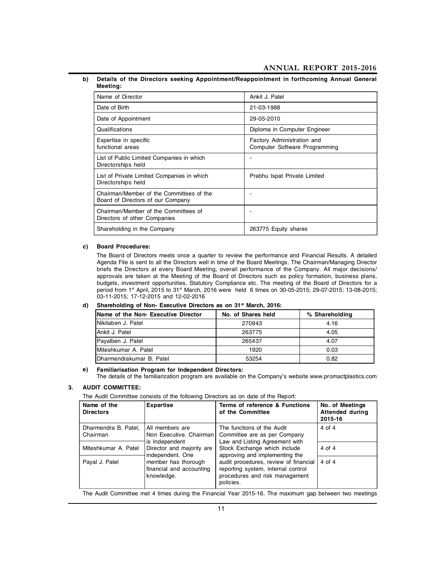**b) Details of the Directors seeking Appointment/Reappointment in forthcoming Annual General Meeting:**

| Name of Director                                                              | Ankit J. Patel                                              |
|-------------------------------------------------------------------------------|-------------------------------------------------------------|
| Date of Birth                                                                 | 21-03-1988                                                  |
| Date of Appointment                                                           | 29-05-2010                                                  |
| Qualifications                                                                | Diploma in Computer Engineer                                |
| Expertise in specific<br>functional areas                                     | Factory Administration and<br>Computer Software Programming |
| List of Public Limited Companies in which<br>Directorships held               |                                                             |
| List of Private Limited Companies in which<br>Directorships held              | Prabhu Ispat Private Limited                                |
| Chairman/Member of the Committees of the<br>Board of Directors of our Company |                                                             |
| Chairman/Member of the Committees of<br>Directors of other Companies          |                                                             |
| Shareholding in the Company                                                   | 263775 Equity shares                                        |

#### **c) Board Procedures:**

The Board of Directors meets once a quarter to review the performance and Financial Results. A detailed Agenda File is sent to all the Directors well in time of the Board Meetings. The Chairman/Managing Director briefs the Directors at every Board Meeting, overall performance of the Company. All major decisions/ approvals are taken at the Meeting of the Board of Directors such as policy formation, business plans, budgets, investment opportunities, Statutory Compliance etc. The meeting of the Board of Directors for a period from 1<sup>st</sup> April, 2015 to 31<sup>st</sup> March, 2016 were held 6 times on 30-05-2015; 29-07-2015; 13-08-2015; 03-11-2015; 17-12-2015 and 12-02-2016

#### d) Shareholding of Non- Executive Directors as on 31<sup>st</sup> March, 2016:

| Name of the Non- Executive Director | No. of Shares held | % Shareholding |
|-------------------------------------|--------------------|----------------|
| INikitaben J. Patel                 | 270943             | 4.16           |
| Ankit J. Patel                      | 263775             | 4.05           |
| Payalben J. Patel                   | 265437             | 4.07           |
| <b>I</b> Miteshkumar A. Patel       | 1920               | 0.03           |
| <b>I</b> Dharmendrakumar B. Patel   | 53254              | 0.82           |

#### **e) Familiarisation Program for Independent Directors:**

The details of the familiarization program are available on the Company's website www.promactplastics.com

#### **3. AUDIT COMMITTEE:**

The Audit Committee consists of the following Directors as on date of the Report:

| Name of the<br><b>Directors</b>  | <b>Expertise</b>                                                                                               | Terms of reference & Functions<br>of the Committee                                                                                                             | No. of Meetings<br><b>Attended during</b><br>2015-16 |
|----------------------------------|----------------------------------------------------------------------------------------------------------------|----------------------------------------------------------------------------------------------------------------------------------------------------------------|------------------------------------------------------|
| Dharmendra B. Patel,<br>Chairman | IAII members are<br>Non Executive. Chairman l<br>is Independent                                                | The functions of the Audit<br>Committee are as per Company<br>Law and Listing Agreement with<br>Stock Exchange which include<br>approving and implementing the | 4 of 4                                               |
| Miteshkumar A. Patel             | Director and majority are<br>independent. One<br>member has thorough<br>financial and accounting<br>knowledge. |                                                                                                                                                                | $4$ of $4$                                           |
| Payal J. Patel                   |                                                                                                                | audit procedures, review of financial<br>reporting system, internal control<br>procedures and risk management<br>policies.                                     | 4 of 4                                               |

The Audit Committee met 4 times during the Financial Year 2015-16. The maximum gap between two meetings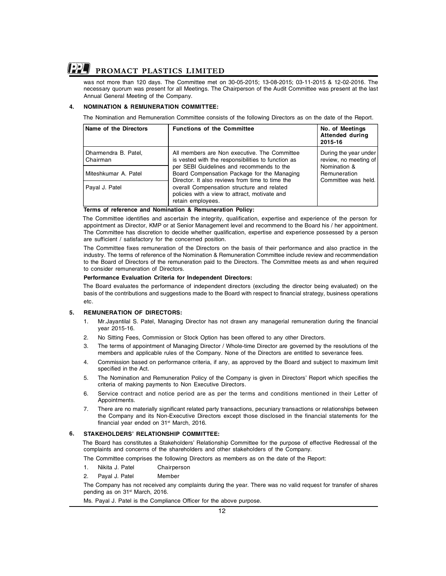was not more than 120 days. The Committee met on 30-05-2015; 13-08-2015; 03-11-2015 & 12-02-2016. The necessary quorum was present for all Meetings. The Chairperson of the Audit Committee was present at the last Annual General Meeting of the Company.

#### **4. NOMINATION & REMUNERATION COMMITTEE:**

The Nomination and Remuneration Committee consists of the following Directors as on the date of the Report.

| Name of the Directors            | <b>Functions of the Committee</b>                                                                                                           | No. of Meetings<br><b>Attended during</b><br>2015-16 |
|----------------------------------|---------------------------------------------------------------------------------------------------------------------------------------------|------------------------------------------------------|
| Dharmendra B. Patel,<br>Chairman | All members are Non executive. The Committee<br>is vested with the responsibilities to function as                                          | During the year under<br>review, no meeting of       |
| Miteshkumar A. Patel             | per SEBI Guidelines and recommends to the<br>Board Compensation Package for the Managing<br>Director. It also reviews from time to time the | Nomination &<br>Remuneration<br>Committee was held.  |
| Payal J. Patel                   | overall Compensation structure and related<br>policies with a view to attract, motivate and<br>retain employees.                            |                                                      |

#### **Terms of reference and Nomination & Remuneration Policy:**

The Committee identifies and ascertain the integrity, qualification, expertise and experience of the person for appointment as Director, KMP or at Senior Management level and recommend to the Board his / her appointment. The Committee has discretion to decide whether qualification, expertise and experience possessed by a person are sufficient / satisfactory for the concerned position.

The Committee fixes remuneration of the Directors on the basis of their performance and also practice in the industry. The terms of reference of the Nomination & Remuneration Committee include review and recommendation to the Board of Directors of the remuneration paid to the Directors. The Committee meets as and when required to consider remuneration of Directors.

#### **Performance Evaluation Criteria for Independent Directors:**

The Board evaluates the performance of independent directors (excluding the director being evaluated) on the basis of the contributions and suggestions made to the Board with respect to financial strategy, business operations etc.

#### **5. REMUNERATION OF DIRECTORS:**

- 1. Mr.Jayantilal S. Patel, Managing Director has not drawn any managerial remuneration during the financial year 2015-16.
- 2. No Sitting Fees, Commission or Stock Option has been offered to any other Directors.
- 3. The terms of appointment of Managing Director / Whole-time Director are governed by the resolutions of the members and applicable rules of the Company. None of the Directors are entitled to severance fees.
- 4. Commission based on performance criteria, if any, as approved by the Board and subject to maximum limit specified in the Act.
- 5. The Nomination and Remuneration Policy of the Company is given in Directors' Report which specifies the criteria of making payments to Non Executive Directors.
- 6. Service contract and notice period are as per the terms and conditions mentioned in their Letter of Appointments.
- 7. There are no materially significant related party transactions, pecuniary transactions or relationships between the Company and its Non-Executive Directors except those disclosed in the financial statements for the financial year ended on  $31<sup>st</sup>$  March, 2016.

#### **6. STAKEHOLDERS' RELATIONSHIP COMMITTEE:**

The Board has constitutes a Stakeholders' Relationship Committee for the purpose of effective Redressal of the complaints and concerns of the shareholders and other stakeholders of the Company.

The Committee comprises the following Directors as members as on the date of the Report:

- 1. Nikita J. Patel Chairperson
- 2. Payal J. Patel Member

The Company has not received any complaints during the year. There was no valid request for transfer of shares pending as on 31<sup>st</sup> March, 2016.

Ms. Payal J. Patel is the Compliance Officer for the above purpose.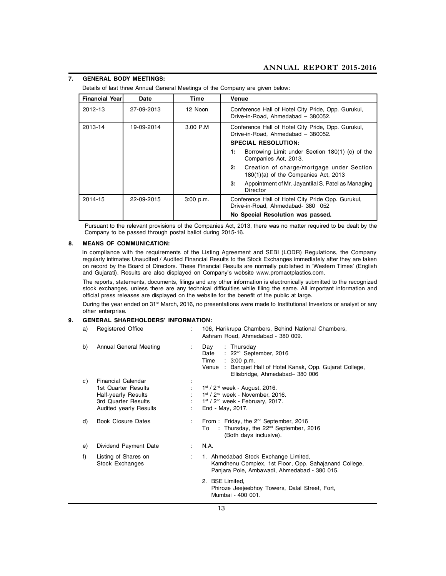#### **7. GENERAL BODY MEETINGS:**

| <b>Financial Yearl</b> | Date       | Time        | Venue                                                                                                                  |  |  |  |  |
|------------------------|------------|-------------|------------------------------------------------------------------------------------------------------------------------|--|--|--|--|
| 2012-13                | 27-09-2013 | 12 Noon     | Conference Hall of Hotel City Pride, Opp. Gurukul,<br>Drive-in-Road, Ahmedabad - 380052.                               |  |  |  |  |
| 2013-14                | 19-09-2014 | $3.00$ P.M  | Conference Hall of Hotel City Pride, Opp. Gurukul,<br>Drive-in-Road. Ahmedabad - 380052.<br><b>SPECIAL RESOLUTION:</b> |  |  |  |  |
|                        |            |             | Borrowing Limit under Section 180(1) (c) of the<br>1:<br>Companies Act, 2013.                                          |  |  |  |  |
|                        |            |             | Creation of charge/mortgage under Section<br>2:<br>180(1)(a) of the Companies Act, 2013                                |  |  |  |  |
|                        |            |             | Appointment of Mr. Jayantilal S. Patel as Managing<br>3:<br>Director                                                   |  |  |  |  |
| 2014-15                | 22-09-2015 | $3:00$ p.m. | Conference Hall of Hotel City Pride Opp. Gurukul,<br>Drive-in-Road, Ahmedabad- 380 052                                 |  |  |  |  |
|                        |            |             | No Special Resolution was passed.                                                                                      |  |  |  |  |

Details of last three Annual General Meetings of the Company are given below:

Pursuant to the relevant provisions of the Companies Act, 2013, there was no matter required to be dealt by the Company to be passed through postal ballot during 2015-16.

#### **8. MEANS OF COMMUNICATION:**

In compliance with the requirements of the Listing Agreement and SEBI (LODR) Regulations, the Company regularly intimates Unaudited / Audited Financial Results to the Stock Exchanges immediately after they are taken on record by the Board of Directors. These Financial Results are normally published in 'Western Times' (English and Gujarati). Results are also displayed on Company's website www.promactplastics.com.

The reports, statements, documents, filings and any other information is electronically submitted to the recognized stock exchanges, unless there are any technical difficulties while filing the same. All important information and official press releases are displayed on the website for the benefit of the public at large.

During the year ended on 31<sup>st</sup> March, 2016, no presentations were made to Institutional Investors or analyst or any other enterprise.

#### **9. GENERAL SHAREHOLDERS' INFORMATION:**

| a) | <b>Registered Office</b>                                                                                                 |               | 106, Harikrupa Chambers, Behind National Chambers,<br>Ashram Road, Ahmedabad - 380 009.                                                                                         |
|----|--------------------------------------------------------------------------------------------------------------------------|---------------|---------------------------------------------------------------------------------------------------------------------------------------------------------------------------------|
| b) | Annual General Meeting                                                                                                   | ÷.            | : Thursday<br>Dav<br>: $22nd$ September, 2016<br>Date<br>Time<br>$: 3.00$ p.m.<br>Venue : Banquet Hall of Hotel Kanak, Opp. Gujarat College,<br>Ellisbridge, Ahmedabad- 380 006 |
| C) | Financial Calendar<br>1st Quarter Results<br>Half-yearly Results<br>3rd Quarter Results<br><b>Audited yearly Results</b> |               | $1st$ / 2 <sup>nd</sup> week - August, 2016.<br>: $1st / 2nd$ week - November, 2016.<br>: $1st / 2nd week - February, 2017.$<br>End - May, 2017.                                |
| d) | <b>Book Closure Dates</b>                                                                                                | $\mathcal{L}$ | From: Friday, the 2 <sup>nd</sup> September, 2016<br>: Thursday, the $22nd$ September, 2016<br>To<br>(Both days inclusive).                                                     |
| e) | Dividend Payment Date                                                                                                    |               | N.A.                                                                                                                                                                            |
| f) | Listing of Shares on<br>Stock Exchanges                                                                                  | ÷             | 1. Ahmedabad Stock Exchange Limited,<br>Kamdhenu Complex, 1st Floor, Opp. Sahajanand College,<br>Panjara Pole, Ambawadi, Ahmedabad - 380 015.                                   |
|    |                                                                                                                          |               | 2. BSE Limited.<br>Phiroze Jeejeebhoy Towers, Dalal Street, Fort,<br>Mumbai - 400 001.                                                                                          |
|    |                                                                                                                          |               |                                                                                                                                                                                 |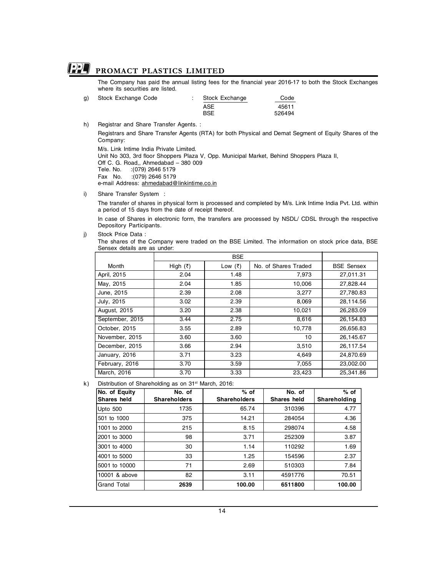$122$ 

### **PROMACT PLASTICS LIMITED**

The Company has paid the annual listing fees for the financial year 2016-17 to both the Stock Exchanges where its securities are listed.

| g) | Stock Exchange Code | Stock Exchange | Code   |
|----|---------------------|----------------|--------|
|    |                     | ASE            | 45611  |
|    |                     | <b>BSE</b>     | 526494 |

h) Registrar and Share Transfer Agents. :

Registrars and Share Transfer Agents (RTA) for both Physical and Demat Segment of Equity Shares of the Company:

M/s. Link Intime India Private Limited. Unit No 303, 3rd floor Shoppers Plaza V, Opp. Municipal Market, Behind Shoppers Plaza II, Off C. G. Road,, Ahmedabad – 380 009 Tele. No. :(079) 2646 5179

Fax No. :(079) 2646 5179

e-mail Address: ahmedabad@linkintime.co.in

i) Share Transfer System :

The transfer of shares in physical form is processed and completed by M/s. Link Intime India Pvt. Ltd. within a period of 15 days from the date of receipt thereof.

In case of Shares in electronic form, the transfers are processed by NSDL/ CDSL through the respective Depository Participants.

j) Stock Price Data :

The shares of the Company were traded on the BSE Limited. The information on stock price data, BSE Sensex details are as under:

|                     |                  | <b>BSE</b> |                      |                   |
|---------------------|------------------|------------|----------------------|-------------------|
| Month               | High $(\bar{z})$ | Low $(₹)$  | No. of Shares Traded | <b>BSE Sensex</b> |
| April, 2015         | 2.04             | 1.48       | 7.973                | 27,011.31         |
| May, 2015           | 2.04             | 1.85       | 10,006               | 27,828.44         |
| June, 2015          | 2.39             | 2.08       | 3.277                | 27,780.83         |
| July, 2015          | 3.02             | 2.39       | 8,069                | 28,114.56         |
| <b>August, 2015</b> | 3.20             | 2.38       | 10,021               | 26,283.09         |
| September, 2015     | 3.44             | 2.75       | 8,616                | 26,154.83         |
| October, 2015       | 3.55             | 2.89       | 10.778               | 26,656.83         |
| November, 2015      | 3.60             | 3.60       | 10                   | 26,145.67         |
| December, 2015      | 3.66             | 2.94       | 3.510                | 26.117.54         |
| January, 2016       | 3.71             | 3.23       | 4,649                | 24,870.69         |
| February, 2016      | 3.70             | 3.59       | 7,055                | 23,002.00         |
| March, 2016         | 3.70             | 3.33       | 23.423               | 25.341.86         |

k) Distribution of Shareholding as on  $31^{st}$  March, 2016:

| No. of Equity<br>Shares held | No. of<br><b>Shareholders</b> | $%$ of<br><b>Shareholders</b> | No. of<br>Shares held | $%$ of<br>Shareholding |
|------------------------------|-------------------------------|-------------------------------|-----------------------|------------------------|
| Upto 500                     | 1735                          | 65.74                         | 310396                | 4.77                   |
| 501 to 1000                  | 375                           | 14.21                         | 284054                | 4.36                   |
| 1001 to 2000                 | 215                           | 8.15                          | 298074                | 4.58                   |
| 2001 to 3000                 | 98                            | 3.71                          | 252309                | 3.87                   |
| 3001 to 4000                 | 30                            | 1.14                          | 110292                | 1.69                   |
| 4001 to 5000                 | 33                            | 1.25                          | 154596                | 2.37                   |
| 5001 to 10000                | 71                            | 2.69                          | 510303                | 7.84                   |
| 10001 & above                | 82                            | 3.11                          | 4591776               | 70.51                  |
| <b>Grand Total</b>           | 2639                          | 100.00                        | 6511800               | 100.00                 |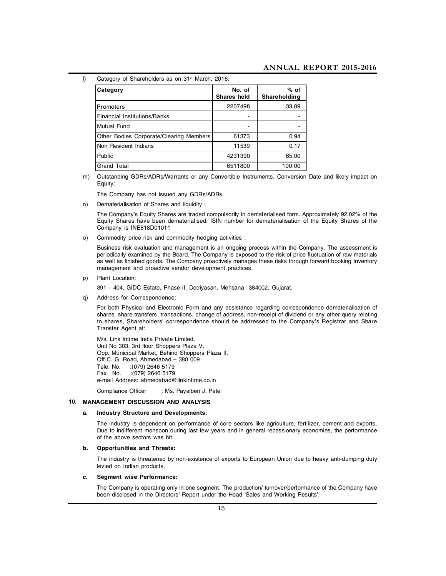l) Category of Shareholders as on 31<sup>st</sup> March, 2016:

| Category                                | No. of<br>Shares held | $%$ of<br>Shareholding |
|-----------------------------------------|-----------------------|------------------------|
| Promoters                               | 2207498               | 33.89                  |
| <b>Financial Institutions/Banks</b>     |                       |                        |
| <b>Mutual Fund</b>                      |                       |                        |
| Other Bodies Corporate/Clearing Members | 61373                 | 0.94                   |
| Non Resident Indians                    | 11539                 | 0.17                   |
| Public                                  | 4231390               | 65.00                  |
| <b>Grand Total</b>                      | 6511800               | 100.00                 |

m) Outstanding GDRs/ADRs/Warrants or any Convertible Instruments, Conversion Date and likely impact on Equity:

The Company has not issued any GDRs/ADRs.

n) Dematerialisation of Shares and liquidity :

The Company's Equity Shares are traded compulsorily in dematerialised form. Approximately 92.02% of the Equity Shares have been dematerialised. ISIN number for dematerialisation of the Equity Shares of the Company is INE818D01011

o) Commodity price risk and commodity hedging activities :

Business risk evaluation and management is an ongoing process within the Company. The assessment is periodically examined by the Board. The Company is exposed to the risk of price fluctuation of raw materials as well as finished goods. The Company proactively manages these risks through forward booking Inventory management and proactive vendor development practices.

p) Plant Location:

391 - 404, GIDC Estate, Phase-II, Dediyasan, Mehsana 384002, Gujarat.

q) Address for Correspondence:

For both Physical and Electronic Form and any assistance regarding correspondence dematerialisation of shares, share transfers, transactions, change of address, non-receipt of dividend or any other query relating to shares, Shareholders' correspondence should be addressed to the Company's Registrar and Share Transfer Agent at:

M/s. Link Intime India Private Limited. Unit No 303, 3rd floor Shoppers Plaza V, Opp. Municipal Market, Behind Shoppers Plaza II, Off C. G. Road, Ahmedabad – 380 009 Tele. No. : (079) 2646 5179<br>Eax No. : (079) 2646 5179 Fax No. :(079) 2646 5179 e-mail Address: ahmedabad@linkintime.co.in

Compliance Officer : Ms. Payalben J. Patel

#### **10. MANAGEMENT DISCUSSION AND ANALYSIS**

#### **a. Industry Structure and Developments:**

The industry is dependent on performance of core sectors like agriculture, fertilizer, cement and exports. Due to indifferent monsoon during last few years and in general recessionary economies, the performance of the above sectors was hit.

#### **b. Opportunities and Threats:**

The industry is threatened by non-existence of exports to European Union due to heavy anti-dumping duty levied on Indian products.

#### **c. Segment wise Performance:**

The Company is operating only in one segment. The production/ turnover/performance of the Company have been disclosed in the Directors' Report under the Head 'Sales and Working Results'.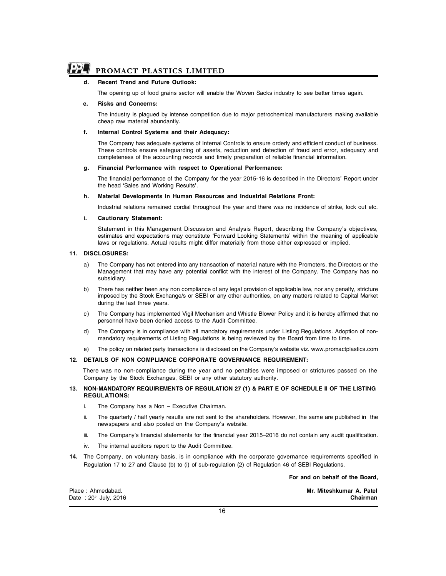#### **d. Recent Trend and Future Outlook:**

The opening up of food grains sector will enable the Woven Sacks industry to see better times again.

#### **e. Risks and Concerns:**

The industry is plagued by intense competition due to major petrochemical manufacturers making available cheap raw material abundantly.

#### **f. Internal Control Systems and their Adequacy:**

The Company has adequate systems of Internal Controls to ensure orderly and efficient conduct of business. These controls ensure safeguarding of assets, reduction and detection of fraud and error, adequacy and completeness of the accounting records and timely preparation of reliable financial information.

#### **g. Financial Performance with respect to Operational Performance:**

The financial performance of the Company for the year 2015-16 is described in the Directors' Report under the head 'Sales and Working Results'.

#### **h. Material Developments in Human Resources and Industrial Relations Front:**

Industrial relations remained cordial throughout the year and there was no incidence of strike, lock out etc.

#### **i. Cautionary Statement:**

Statement in this Management Discussion and Analysis Report, describing the Company's objectives, estimates and expectations may constitute 'Forward Looking Statements' within the meaning of applicable laws or regulations. Actual results might differ materially from those either expressed or implied.

#### **11. DISCLOSURES:**

- a) The Company has not entered into any transaction of material nature with the Promoters, the Directors or the Management that may have any potential conflict with the interest of the Company. The Company has no subsidiary.
- b) There has neither been any non compliance of any legal provision of applicable law, nor any penalty, stricture imposed by the Stock Exchange/s or SEBI or any other authorities, on any matters related to Capital Market during the last three years.
- c) The Company has implemented Vigil Mechanism and Whistle Blower Policy and it is hereby affirmed that no personnel have been denied access to the Audit Committee.
- d) The Company is in compliance with all mandatory requirements under Listing Regulations. Adoption of nonmandatory requirements of Listing Regulations is being reviewed by the Board from time to time.
- The policy on related party transactions is disclosed on the Company's website viz. www.promactplastics.com

#### **12. DETAILS OF NON COMPLIANCE CORPORATE GOVERNANCE REQUIREMENT:**

There was no non-compliance during the year and no penalties were imposed or strictures passed on the Company by the Stock Exchanges, SEBI or any other statutory authority.

#### **13. NON-MANDATORY REQUIREMENTS OF REGULATION 27 (1) & PART E OF SCHEDULE II OF THE LISTING REGULATIONS:**

- i. The Company has a Non Executive Chairman.
- ii. The quarterly / half yearly results are not sent to the shareholders. However, the same are published in the newspapers and also posted on the Company's website.
- iii. The Company's financial statements for the financial year 2015–2016 do not contain any audit qualification.
- iv. The internal auditors report to the Audit Committee.
- **14.** The Company, on voluntary basis, is in compliance with the corporate governance requirements specified in Regulation 17 to 27 and Clause (b) to (i) of sub-regulation (2) of Regulation 46 of SEBI Regulations.

#### **For and on behalf of the Board,**

| Place: Ahmedabad.                 |  |
|-----------------------------------|--|
| Date: 20 <sup>th</sup> July, 2016 |  |

**Mr. Miteshkumar A. Patel** <sup>th</sup> July, 2016 **Chairman** the control of the control of the control of the control of the control of the control of the control of the control of the control of the control of the control of the control of the control of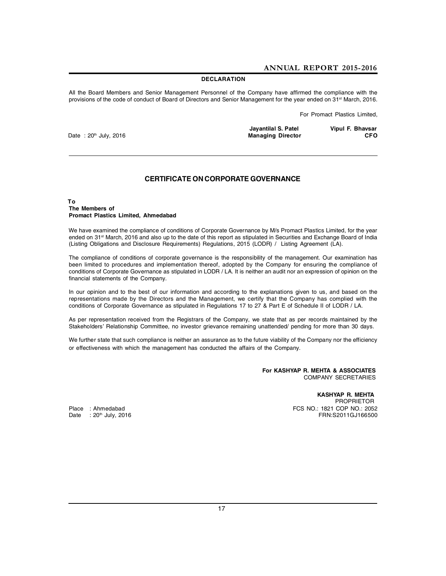#### **DECLARATION**

All the Board Members and Senior Management Personnel of the Company have affirmed the compliance with the provisions of the code of conduct of Board of Directors and Senior Management for the year ended on 31<sup>st</sup> March, 2016.

For Promact Plastics Limited,

 **Jayantilal S. Patel Vipul F. Bhavsar** Date : 20<sup>th</sup> July, 2016 **CFO Managing Director CFO** 

### **CERTIFICATE ON CORPORATE GOVERNANCE**

**To The Members of Promact Plastics Limited, Ahmedabad**

We have examined the compliance of conditions of Corporate Governance by M/s Promact Plastics Limited, for the year ended on 31<sup>st</sup> March, 2016 and also up to the date of this report as stipulated in Securities and Exchange Board of India (Listing Obligations and Disclosure Requirements) Regulations, 2015 (LODR) / Listing Agreement (LA).

The compliance of conditions of corporate governance is the responsibility of the management. Our examination has been limited to procedures and implementation thereof, adopted by the Company for ensuring the compliance of conditions of Corporate Governance as stipulated in LODR / LA. It is neither an audit nor an expression of opinion on the financial statements of the Company.

In our opinion and to the best of our information and according to the explanations given to us, and based on the representations made by the Directors and the Management, we certify that the Company has complied with the conditions of Corporate Governance as stipulated in Regulations 17 to 27 & Part E of Schedule II of LODR / LA.

As per representation received from the Registrars of the Company, we state that as per records maintained by the Stakeholders' Relationship Committee, no investor grievance remaining unattended/ pending for more than 30 days.

We further state that such compliance is neither an assurance as to the future viability of the Company nor the efficiency or effectiveness with which the management has conducted the affairs of the Company.

> COMPANY SECRETARIES **For KASHYAP R. MEHTA & ASSOCIATES**

Date :  $20<sup>th</sup>$  July, 2016

PROPRIETOR **KASHYAP R. MEHTA** Place : Ahmedabad FCS NO.: 1821 COP NO.: 2052<br>Date : 20<sup>th</sup> July. 2016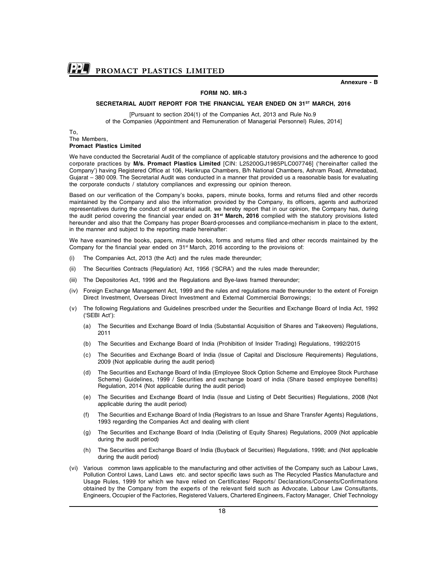$122$ 

**PROMACT PLASTICS LIMITED**

**Annexure - B**

#### **FORM NO. MR-3**

#### **SECRETARIAL AUDIT REPORT FOR THE FINANCIAL YEAR ENDED ON 31ST MARCH, 2016**

[Pursuant to section 204(1) of the Companies Act, 2013 and Rule No.9 of the Companies (Appointment and Remuneration of Managerial Personnel) Rules, 2014]

To, The Members, **Promact Plastics Limited**

We have conducted the Secretarial Audit of the compliance of applicable statutory provisions and the adherence to good corporate practices by M/s. Promact Plastics Limited [CIN: L25200GJ1985PLC007746] ('hereinafter called the Company') having Registered Office at 106, Harikrupa Chambers, B/h National Chambers, Ashram Road, Ahmedabad, Gujarat – 380 009. The Secretarial Audit was conducted in a manner that provided us a reasonable basis for evaluating the corporate conducts / statutory compliances and expressing our opinion thereon.

Based on our verification of the Company's books, papers, minute books, forms and returns filed and other records maintained by the Company and also the information provided by the Company, its officers, agents and authorized representatives during the conduct of secretarial audit, we hereby report that in our opinion, the Company has, during the audit period covering the financial year ended on 31<sup>st</sup> March, 2016 complied with the statutory provisions listed hereunder and also that the Company has proper Board-processes and compliance-mechanism in place to the extent, in the manner and subject to the reporting made hereinafter:

We have examined the books, papers, minute books, forms and returns filed and other records maintained by the Company for the financial year ended on  $31<sup>st</sup>$  March, 2016 according to the provisions of:

- (i) The Companies Act, 2013 (the Act) and the rules made thereunder;
- (ii) The Securities Contracts (Regulation) Act, 1956 ('SCRA') and the rules made thereunder;
- (iii) The Depositories Act, 1996 and the Regulations and Bye-laws framed thereunder;
- (iv) Foreign Exchange Management Act, 1999 and the rules and regulations made thereunder to the extent of Foreign Direct Investment, Overseas Direct Investment and External Commercial Borrowings;
- (v) The following Regulations and Guidelines prescribed under the Securities and Exchange Board of India Act, 1992 ('SEBI Act'):
	- (a) The Securities and Exchange Board of India (Substantial Acquisition of Shares and Takeovers) Regulations, 2011
	- (b) The Securities and Exchange Board of India (Prohibition of Insider Trading) Regulations, 1992/2015
	- (c) The Securities and Exchange Board of India (Issue of Capital and Disclosure Requirements) Regulations, 2009 (Not applicable during the audit period)
	- (d) The Securities and Exchange Board of India (Employee Stock Option Scheme and Employee Stock Purchase Scheme) Guidelines, 1999 / Securities and exchange board of india (Share based employee benefits) Regulation, 2014 (Not applicable during the audit period)
	- (e) The Securities and Exchange Board of India (Issue and Listing of Debt Securities) Regulations, 2008 (Not applicable during the audit period)
	- (f) The Securities and Exchange Board of India (Registrars to an Issue and Share Transfer Agents) Regulations, 1993 regarding the Companies Act and dealing with client
	- (g) The Securities and Exchange Board of India (Delisting of Equity Shares) Regulations, 2009 (Not applicable during the audit period)
	- (h) The Securities and Exchange Board of India (Buyback of Securities) Regulations, 1998; and (Not applicable during the audit period)
- (vi) Various common laws applicable to the manufacturing and other activities of the Company such as Labour Laws, Pollution Control Laws, Land Laws etc. and sector specific laws such as The Recycled Plastics Manufacture and Usage Rules, 1999 for which we have relied on Certificates/ Reports/ Declarations/Consents/Confirmations obtained by the Company from the experts of the relevant field such as Advocate, Labour Law Consultants, Engineers, Occupier of the Factories, Registered Valuers, Chartered Engineers, Factory Manager, Chief Technology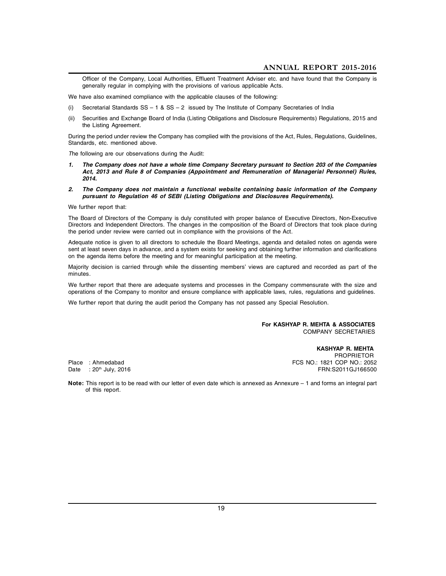Officer of the Company, Local Authorities, Effluent Treatment Adviser etc. and have found that the Company is generally regular in complying with the provisions of various applicable Acts.

We have also examined compliance with the applicable clauses of the following:

- (i) Secretarial Standards SS 1 & SS 2 issued by The Institute of Company Secretaries of India
- (ii) Securities and Exchange Board of India (Listing Obligations and Disclosure Requirements) Regulations, 2015 and the Listing Agreement.

During the period under review the Company has complied with the provisions of the Act, Rules, Regulations, Guidelines, Standards, etc. mentioned above.

*T*he following are our observations during the Audit:

- *1. The Company does not have a whole time Company Secretary pursuant to Section 203 of the Companies Act, 2013 and Rule 8 of Companies (Appointment and Remuneration of Managerial Personnel) Rules, 2014.*
- *2. The Company does not maintain a functional website containing basic information of the Company pursuant to Regulation 46 of SEBI (Listing Obligations and Disclosures Requirements).*

We further report that:

The Board of Directors of the Company is duly constituted with proper balance of Executive Directors, Non-Executive Directors and Independent Directors. The changes in the composition of the Board of Directors that took place during the period under review were carried out in compliance with the provisions of the Act.

Adequate notice is given to all directors to schedule the Board Meetings, agenda and detailed notes on agenda were sent at least seven days in advance, and a system exists for seeking and obtaining further information and clarifications on the agenda items before the meeting and for meaningful participation at the meeting.

Majority decision is carried through while the dissenting members' views are captured and recorded as part of the minutes.

We further report that there are adequate systems and processes in the Company commensurate with the size and operations of the Company to monitor and ensure compliance with applicable laws, rules, regulations and guidelines.

We further report that during the audit period the Company has not passed any Special Resolution.

#### COMPANY SECRETARIES **For KASHYAP R. MEHTA & ASSOCIATES**

Date :  $20<sup>th</sup>$  July, 2016

PROPRIETOR **KASHYAP R. MEHTA** Place : Ahmedabad FCS NO.: 1821 COP NO.: 2052

**Note:** This report is to be read with our letter of even date which is annexed as Annexure – 1 and forms an integral part of this report.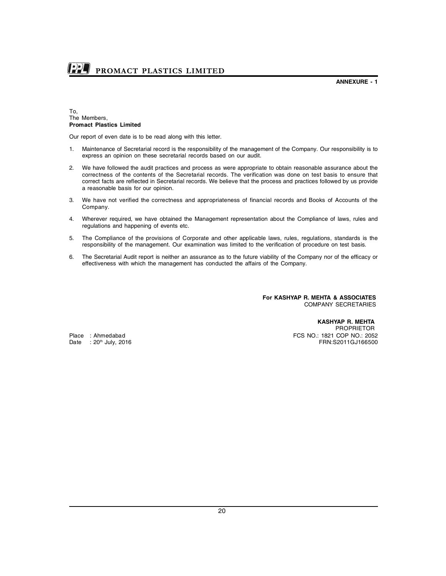**ANNEXURE - 1**



#### To, The Members, **Promact Plastics Limited**

Our report of even date is to be read along with this letter.

- 1. Maintenance of Secretarial record is the responsibility of the management of the Company. Our responsibility is to express an opinion on these secretarial records based on our audit.
- 2. We have followed the audit practices and process as were appropriate to obtain reasonable assurance about the correctness of the contents of the Secretarial records. The verification was done on test basis to ensure that correct facts are reflected in Secretarial records. We believe that the process and practices followed by us provide a reasonable basis for our opinion.
- 3. We have not verified the correctness and appropriateness of financial records and Books of Accounts of the Company.
- 4. Wherever required, we have obtained the Management representation about the Compliance of laws, rules and regulations and happening of events etc.
- 5. The Compliance of the provisions of Corporate and other applicable laws, rules, regulations, standards is the responsibility of the management. Our examination was limited to the verification of procedure on test basis.
- 6. The Secretarial Audit report is neither an assurance as to the future viability of the Company nor of the efficacy or effectiveness with which the management has conducted the affairs of the Company.

COMPANY SECRETARIES **For KASHYAP R. MEHTA & ASSOCIATES**

PROPRIETOR **KASHYAP R. MEHTA** Place : Ahmedabad FCS NO.: 1821 COP NO.: 2052 Date : 20 July, 2016 th FRN:S2011GJ166500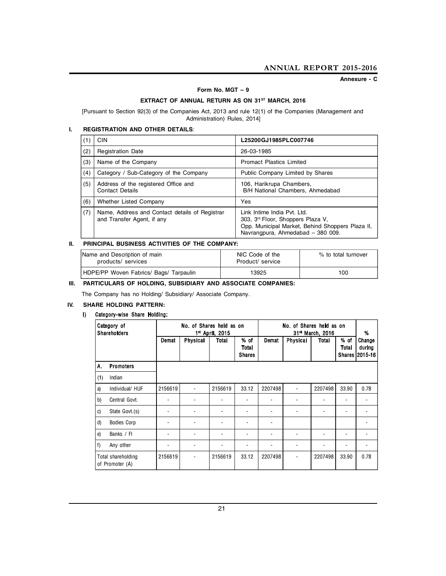**Annexure - C**

#### **Form No. MGT – 9**

#### **EXTRACT OF ANNUAL RETURN AS ON 31<sup>st</sup> MARCH, 2016**

[Pursuant to Section 92(3) of the Companies Act, 2013 and rule 12(1) of the Companies (Management and Administration) Rules, 2014]

#### **I. REGISTRATION AND OTHER DETAILS**:

| (1) | <b>CIN</b>                                                                   | L25200GJ1985PLC007746                                                                                                                                                 |
|-----|------------------------------------------------------------------------------|-----------------------------------------------------------------------------------------------------------------------------------------------------------------------|
| (2) | <b>Registration Date</b>                                                     | 26-03-1985                                                                                                                                                            |
| (3) | Name of the Company                                                          | <b>Promact Plastics Limited</b>                                                                                                                                       |
| (4) | Category / Sub-Category of the Company                                       | Public Company Limited by Shares                                                                                                                                      |
| (5) | Address of the registered Office and<br><b>Contact Details</b>               | 106, Harikrupa Chambers,<br>B/H National Chambers, Ahmedabad                                                                                                          |
| (6) | Whether Listed Company                                                       | Yes                                                                                                                                                                   |
| (7) | Name, Address and Contact details of Registrar<br>and Transfer Agent, if any | Link Intime India Pvt. Ltd.<br>303, 3 <sup>rd</sup> Floor, Shoppers Plaza V,<br>Opp. Municipal Market, Behind Shoppers Plaza II,<br>Navrangpura, Ahmedabad - 380 009. |

#### **II. PRINCIPAL BUSINESS ACTIVITIES OF THE COMPANY:**

| Name and Description of main<br>products/ services | NIC Code of the<br>Product/ service | % to total turnover |
|----------------------------------------------------|-------------------------------------|---------------------|
| HDPE/PP Woven Fabrics/ Bags/ Tarpaulin             | 13925                               | 100                 |

### **III. PARTICULARS OF HOLDING, SUBSIDIARY AND ASSOCIATE COMPANIES:**

The Company has no Holding/ Subsidiary/ Associate Company.

#### **IV. SHARE HOLDING PATTERN:**

#### i) Category-wise Share Holding:

| Category of<br><b>Shareholders</b> |                                       | No. of Shares held as on<br>1 <sup>st</sup> April, 2015 |                 |         |                                | No. of Shares held as on<br>31st March, 2016 |                 |         |               | %                                  |
|------------------------------------|---------------------------------------|---------------------------------------------------------|-----------------|---------|--------------------------------|----------------------------------------------|-----------------|---------|---------------|------------------------------------|
|                                    |                                       | Demat                                                   | <b>Physical</b> | Total   | % of<br>Total<br><b>Shares</b> | Demat                                        | <b>Physical</b> | Total   | % of<br>Total | Change<br>during<br>Shares 2015-16 |
| А.                                 | <b>Promoters</b>                      |                                                         |                 |         |                                |                                              |                 |         |               |                                    |
| (1)                                | Indian                                |                                                         |                 |         |                                |                                              |                 |         |               |                                    |
| a)                                 | Individual/ HUF                       | 2156619                                                 |                 | 2156619 | 33.12                          | 2207498                                      |                 | 2207498 | 33.90         | 0.78                               |
| b)                                 | Central Govt.                         |                                                         |                 |         |                                |                                              |                 |         |               |                                    |
| C)                                 | State Govt.(s)                        |                                                         |                 |         |                                | $\qquad \qquad \blacksquare$                 |                 | ۰       |               |                                    |
| d)                                 | <b>Bodies Corp</b>                    |                                                         |                 |         |                                | $\overline{\phantom{a}}$                     |                 |         |               |                                    |
| e)                                 | Banks / Fl                            |                                                         |                 |         |                                | ٠                                            |                 |         |               |                                    |
| f)                                 | Any other                             |                                                         |                 |         |                                | -                                            |                 |         |               |                                    |
|                                    | Total shareholding<br>of Promoter (A) | 2156619                                                 |                 | 2156619 | 33.12                          | 2207498                                      |                 | 2207498 | 33.90         | 0.78                               |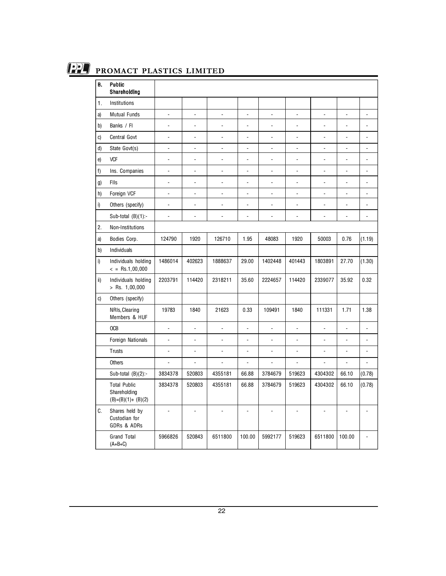| В.  | <b>Public</b><br>Shareholding                              |                |                |                |                |                |                |                          |                |                          |
|-----|------------------------------------------------------------|----------------|----------------|----------------|----------------|----------------|----------------|--------------------------|----------------|--------------------------|
| 1.  | Institutions                                               |                |                |                |                |                |                |                          |                |                          |
| a)  | <b>Mutual Funds</b>                                        | $\overline{a}$ | $\overline{a}$ | $\overline{a}$ | $\overline{a}$ | $\overline{a}$ | $\overline{a}$ | $\overline{a}$           | $\overline{a}$ | ä,                       |
| b)  | Banks / Fl                                                 | ÷,             | ä,             | $\overline{a}$ | ÷              | ÷,             | $\overline{a}$ | ÷,                       | $\overline{a}$ |                          |
| c)  | Central Govt                                               | L,             | $\overline{a}$ | $\overline{a}$ | $\overline{a}$ | $\overline{a}$ | $\overline{a}$ | $\overline{a}$           | $\overline{a}$ |                          |
| d)  | State Govt(s)                                              | $\blacksquare$ | $\blacksquare$ | $\blacksquare$ | $\blacksquare$ | Ξ              | $\blacksquare$ | $\blacksquare$           | $\blacksquare$ | $\blacksquare$           |
| e)  | <b>VCF</b>                                                 | $\blacksquare$ | ÷,             |                | ÷,             | ÷,             | $\blacksquare$ | $\overline{\phantom{a}}$ |                |                          |
| f)  | Ins. Companies                                             | $\overline{a}$ | $\overline{a}$ | $\overline{a}$ | $\overline{a}$ |                |                | $\overline{a}$           | $\overline{a}$ |                          |
| g)  | Flls                                                       | $\overline{a}$ | ÷,             | $\overline{a}$ | ٠              | $\overline{a}$ | $\overline{a}$ | $\overline{a}$           | L,             |                          |
| h)  | Foreign VCF                                                | ä,             | ä,             | Ξ              | Ξ              | $\overline{a}$ | ä,             | $\blacksquare$           | $\blacksquare$ | ä,                       |
| i)  | Others (specify)                                           | $\overline{a}$ | ä,             | $\overline{a}$ | ÷,             | $\overline{a}$ | L.             | $\overline{a}$           | L,             |                          |
|     | Sub-total $(B)(1)$ :-                                      | $\overline{a}$ | ÷,             | $\overline{a}$ | $\overline{a}$ | $\overline{a}$ | L.             | $\overline{a}$           | $\overline{a}$ | ä,                       |
| 2.  | Non-Institutions                                           |                |                |                |                |                |                |                          |                |                          |
| a)  | Bodies Corp.                                               | 124790         | 1920           | 126710         | 1.95           | 48083          | 1920           | 50003                    | 0.76           | (1.19)                   |
| b)  | Individuals                                                |                |                |                |                |                |                |                          |                |                          |
| i)  | Individuals holding<br>$\epsilon$ = Rs.1,00,000            | 1486014        | 402623         | 1888637        | 29.00          | 1402448        | 401443         | 1803891                  | 27.70          | (1.30)                   |
| ii) | Individuals holding<br>$>$ Rs. 1,00,000                    | 2203791        | 114420         | 2318211        | 35.60          | 2224657        | 114420         | 2339077                  | 35.92          | 0.32                     |
| c)  | Others (specify)                                           |                |                |                |                |                |                |                          |                |                          |
|     | NRIs, Clearing<br>Members & HUF                            | 19783          | 1840           | 21623          | 0.33           | 109491         | 1840           | 111331                   | 1.71           | 1.38                     |
|     | <b>OCB</b>                                                 | $\blacksquare$ |                | $\frac{1}{2}$  |                | $\overline{a}$ | $\blacksquare$ | $\frac{1}{2}$            |                |                          |
|     | Foreign Nationals                                          | $\overline{a}$ | $\frac{1}{2}$  | $\overline{a}$ | $\overline{a}$ |                | $\blacksquare$ | $\frac{1}{2}$            | L,             |                          |
|     | Trusts                                                     | $\blacksquare$ | ٠              | $\frac{1}{2}$  | ٠              | $\overline{a}$ | $\blacksquare$ | $\frac{1}{2}$            | ÷,             |                          |
|     | <b>Others</b>                                              | ÷,             | $\overline{a}$ | $\overline{a}$ | $\overline{a}$ | $\overline{a}$ | $\overline{a}$ | $\overline{a}$           | $\overline{a}$ | $\overline{\phantom{a}}$ |
|     | Sub-total $(B)(2)$ :-                                      | 3834378        | 520803         | 4355181        | 66.88          | 3784679        | 519623         | 4304302                  | 66.10          | (0.78)                   |
|     | <b>Total Public</b><br>Shareholding<br>$(B)=(B)(1)+(B)(2)$ | 3834378        | 520803         | 4355181        | 66.88          | 3784679        | 519623         | 4304302                  | 66.10          | (0.78)                   |
| C.  | Shares held by<br>Custodian for<br>GDRs & ADRs             | $\blacksquare$ | $\blacksquare$ | ä,             | $\blacksquare$ | ä,             | $\blacksquare$ | $\blacksquare$           | $\overline{a}$ | ÷,                       |
|     | Grand Total<br>$(A+B+C)$                                   | 5966826        | 520843         | 6511800        | 100.00         | 5992177        | 519623         | 6511800                  | 100.00         | $\frac{1}{2}$            |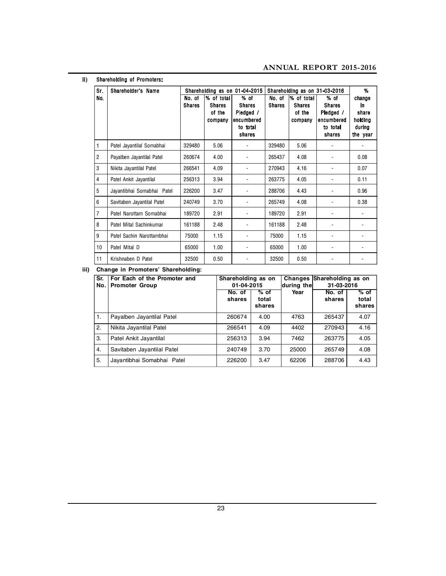| Sr.            | Shareholder's Name         |                         |                                           | Shareholding as on 01-04-2015                                            |                         | Shareholding as on 31-03-2016                    |                                                                        |                                                        |  |  |
|----------------|----------------------------|-------------------------|-------------------------------------------|--------------------------------------------------------------------------|-------------------------|--------------------------------------------------|------------------------------------------------------------------------|--------------------------------------------------------|--|--|
| No.            |                            | No. of<br><b>Shares</b> | % of total<br>Shares<br>of the<br>company | $%$ of<br><b>Shares</b><br>Pledged /<br>encumbered<br>to total<br>shares | No. of<br><b>Shares</b> | % of total<br><b>Shares</b><br>of the<br>company | % of<br><b>Shares</b><br>Pledged /<br>encumbered<br>to total<br>shares | change<br>in<br>share<br>holding<br>during<br>the year |  |  |
| 1              | Patel Jayantilal Somabhai  | 329480                  | 5.06                                      |                                                                          | 329480                  | 5.06                                             |                                                                        |                                                        |  |  |
| $\overline{2}$ | Payalben Jayantilal Patel  | 260674                  | 4.00                                      |                                                                          | 265437                  | 4.08                                             |                                                                        | 0.08                                                   |  |  |
| 3              | Nikita Jayantilal Patel    | 266541                  | 4.09                                      |                                                                          | 270943                  | 4.16                                             |                                                                        | 0.07                                                   |  |  |
| 4              | Patel Ankit Jayantilal     | 256313                  | 3.94                                      |                                                                          | 263775                  | 4.05                                             |                                                                        | 0.11                                                   |  |  |
| 5              | Jayantibhai Somabhai Patel | 226200                  | 3.47                                      |                                                                          | 288706                  | 4.43                                             |                                                                        | 0.96                                                   |  |  |
| 6              | Savitaben Jayantilal Patel | 240749                  | 3.70                                      |                                                                          | 265749                  | 4.08                                             |                                                                        | 0.38                                                   |  |  |
| 7              | Patel Narottam Somabhai    | 189720                  | 2.91                                      |                                                                          | 189720                  | 2.91                                             |                                                                        |                                                        |  |  |
| 8              | Patel Mital Sachinkumar    | 161188                  | 2.48                                      |                                                                          | 161188                  | 2.48                                             |                                                                        |                                                        |  |  |
| 9              | Patel Sachin Narottambhai  | 75000                   | 1.15                                      |                                                                          | 75000                   | 1.15                                             |                                                                        |                                                        |  |  |
| 10             | Patel Mital D              | 65000                   | 1.00                                      |                                                                          | 65000                   | 1.00                                             |                                                                        |                                                        |  |  |
| 11             | Krishnaben D Patel         | 32500                   | 0.50                                      |                                                                          | 32500                   | 0.50                                             |                                                                        |                                                        |  |  |

## ii) Shareholding of Promoters:

**iii) Change in Promoters' Shareholding:**

| Sr.<br>No.l | For Each of the Promoter and<br><b>Promoter Group</b> | Shareholding as on<br>01-04-2015 |                           | during the | Changes Shareholding as on<br>31-03-2016 |                           |
|-------------|-------------------------------------------------------|----------------------------------|---------------------------|------------|------------------------------------------|---------------------------|
|             |                                                       | No. of<br>shares                 | $%$ of<br>total<br>shares | Year       | No. of<br>shares                         | $%$ of<br>total<br>shares |
| 1.          | Payalben Jayantilal Patel                             | 260674                           | 4.00                      | 4763       | 265437                                   | 4.07                      |
| 2.          | Nikita Jayantilal Patel                               | 266541                           | 4.09                      | 4402       | 270943                                   | 4.16                      |
| 3.          | Patel Ankit Jayantilal                                | 256313                           | 3.94                      | 7462       | 263775                                   | 4.05                      |
| 4.          | Savitaben Jayantilal Patel                            | 240749                           | 3.70                      | 25000      | 265749                                   | 4.08                      |
| 5.          | Jayantibhai Somabhai Patel                            | 226200                           | 3.47                      | 62206      | 288706                                   | 4.43                      |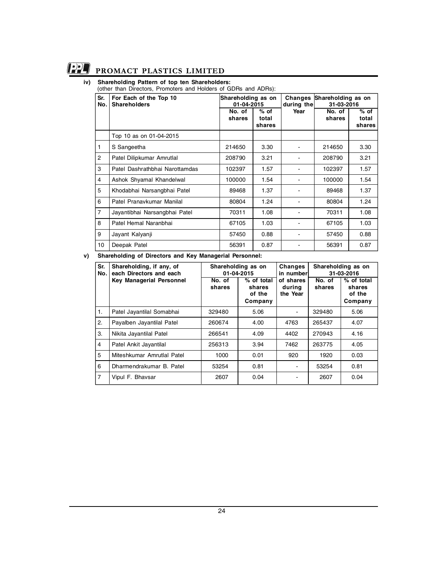

### **iv) Shareholding Pattern of top ten Shareholders:**

(other than Directors, Promoters and Holders of GDRs and ADRs):

| Sr.<br>No.     | For Each of the Top 10<br><b>Shareholders</b> | Shareholding as on<br>01-04-2015 |                           | Changes<br>during the | Shareholding as on<br>31-03-2016 |                           |
|----------------|-----------------------------------------------|----------------------------------|---------------------------|-----------------------|----------------------------------|---------------------------|
|                |                                               | No. of<br>shares                 | $%$ of<br>total<br>shares | Year                  | No. of<br>shares                 | $%$ of<br>total<br>shares |
|                | Top 10 as on 01-04-2015                       |                                  |                           |                       |                                  |                           |
| 1              | S Sangeetha                                   | 214650                           | 3.30                      |                       | 214650                           | 3.30                      |
| $\overline{2}$ | Patel Dilipkumar Amrutlal                     | 208790                           | 3.21                      |                       | 208790                           | 3.21                      |
| 3              | Patel Dashrathbhai Narottamdas                | 102397                           | 1.57                      |                       | 102397                           | 1.57                      |
| 4              | Ashok Shyamal Khandelwal                      | 100000                           | 1.54                      |                       | 100000                           | 1.54                      |
| 5              | Khodabhai Narsangbhai Patel                   | 89468                            | 1.37                      |                       | 89468                            | 1.37                      |
| 6              | Patel Pranavkumar Manilal                     | 80804                            | 1.24                      |                       | 80804                            | 1.24                      |
| $\overline{7}$ | Jayantibhai Narsangbhai Patel                 | 70311                            | 1.08                      |                       | 70311                            | 1.08                      |
| 8              | Patel Hemal Naranbhai                         | 67105                            | 1.03                      |                       | 67105                            | 1.03                      |
| 9              | Jayant Kalyanji                               | 57450                            | 0.88                      |                       | 57450                            | 0.88                      |
| 10             | Deepak Patel                                  | 56391                            | 0.87                      |                       | 56391                            | 0.87                      |

**v) Shareholding of Directors and Key Managerial Personnel:**

| Sr.<br>No.     | Shareholding, if any, of<br>each Directors and each | Shareholding as on<br>01-04-2015 |                                           | Changes<br>in number            |                  | Shareholding as on<br>31-03-2016          |
|----------------|-----------------------------------------------------|----------------------------------|-------------------------------------------|---------------------------------|------------------|-------------------------------------------|
|                | <b>Key Managerial Personnel</b>                     | No. of<br>shares                 | % of total<br>shares<br>of the<br>Company | of shares<br>during<br>the Year | No. of<br>shares | % of total<br>shares<br>of the<br>Company |
| 1.             | Patel Jayantilal Somabhai                           | 329480                           | 5.06                                      |                                 | 329480           | 5.06                                      |
| 2.             | Payalben Jayantilal Patel                           | 260674                           | 4.00                                      | 4763                            | 265437           | 4.07                                      |
| 3.             | Nikita Jayantilal Patel                             | 266541                           | 4.09                                      | 4402                            | 270943           | 4.16                                      |
| 4              | Patel Ankit Jayantilal                              | 256313                           | 3.94                                      | 7462                            | 263775           | 4.05                                      |
| 5              | Miteshkumar Amrutlal Patel                          | 1000                             | 0.01                                      | 920                             | 1920             | 0.03                                      |
| 6              | Dharmendrakumar B. Patel                            | 53254                            | 0.81                                      |                                 | 53254            | 0.81                                      |
| $\overline{7}$ | Vipul F. Bhavsar                                    | 2607                             | 0.04                                      |                                 | 2607             | 0.04                                      |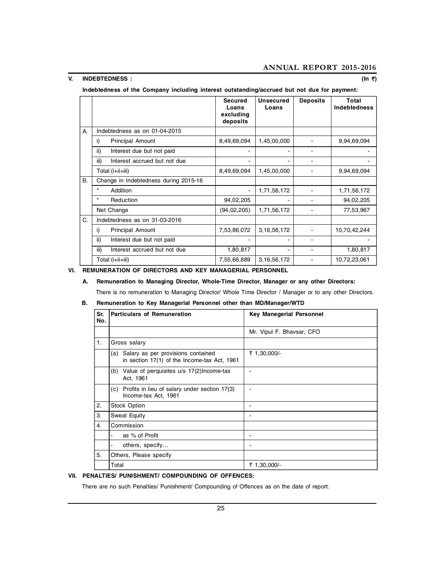### $V.$  **INDEBTEDNESS** :  $(\ln \bar{\tau})$

### **Indebtedness of the Company including interest outstanding/accrued but not due for payment:**

|           |                                       | Secured<br>Loans<br>excluding<br>deposits | <b>Unsecured</b><br>Loans | <b>Deposits</b> | Total<br><b>Indebtedness</b> |
|-----------|---------------------------------------|-------------------------------------------|---------------------------|-----------------|------------------------------|
| A.        | Indebtedness as on 01-04-2015         |                                           |                           |                 |                              |
|           | Principal Amount<br>i)                | 8,49,69,094                               | 1,45,00,000               |                 | 9,94,69,094                  |
|           | ii)<br>Interest due but not paid      |                                           |                           |                 |                              |
|           | iii)<br>Interest accrued but not due  |                                           |                           |                 |                              |
|           | Total (i+ii+iii)                      | 8,49,69,094                               | 1,45,00,000               |                 | 9,94,69,094                  |
| <b>B.</b> | Change in Indebtedness during 2015-16 |                                           |                           |                 |                              |
|           | $\star$<br>Addition                   |                                           | 1,71,56,172               |                 | 1,71,56,172                  |
|           | $\star$<br>Reduction                  | 94,02,205                                 |                           |                 | 94,02,205                    |
|           | Net Change                            | (94, 02, 205)                             | 1,71,56,172               |                 | 77,53,967                    |
| C.        | Indebtedness as on 31-03-2016         |                                           |                           |                 |                              |
|           | Principal Amount<br>i)                | 7,53,86,072                               | 3, 16, 56, 172            |                 | 10,70,42,244                 |
|           | ii)<br>Interest due but not paid      |                                           |                           |                 |                              |
|           | iii)<br>Interest accrued but not due  | 1,80,817                                  |                           |                 | 1,80,817                     |
|           | Total (i+ii+iii)                      | 7,55,66,889                               | 3, 16, 56, 172            |                 | 10,72,23,061                 |

#### **VI. REMUNERATION OF DIRECTORS AND KEY MANAGERIAL PERSONNEL**

#### **A. Remuneration to Managing Director, Whole-Time Director, Manager or any other Directors:**

There is no remuneration to Managing Director/ Whole Time Director / Manager or to any other Directors.

#### **B. Remuneration to Key Managerial Personnel other than MD/Manager/WTD**

| Sr.<br>No. | <b>Particulars of Remuneration</b>                                                     | Key Manegerial Personnel  |
|------------|----------------------------------------------------------------------------------------|---------------------------|
|            |                                                                                        | Mr. Vipul F. Bhavsar, CFO |
| 1.         | Gross salary                                                                           |                           |
|            | (a) Salary as per provisions contained<br>in section 17(1) of the Income-tax Act, 1961 | ₹ 1,30,000/-              |
|            | (b) Value of perquisites u/s 17(2) Income-tax<br>Act, 1961                             |                           |
|            | (c) Profits in lieu of salary under section 17(3)<br>Income-tax Act, 1961              |                           |
| 2.         | Stock Option                                                                           |                           |
| 3.         | Sweat Equity                                                                           |                           |
| 4.         | Commission                                                                             |                           |
|            | as % of Profit                                                                         |                           |
|            | others, specify                                                                        |                           |
| 5.         | Others, Please specify                                                                 |                           |
|            | Total                                                                                  | ₹ 1,30,000/-              |

#### **VII. PENALTIES/ PUNISHMENT/ COMPOUNDING OF OFFENCES:**

There are no such Penalties/ Punishment/ Compounding of Offences as on the date of report.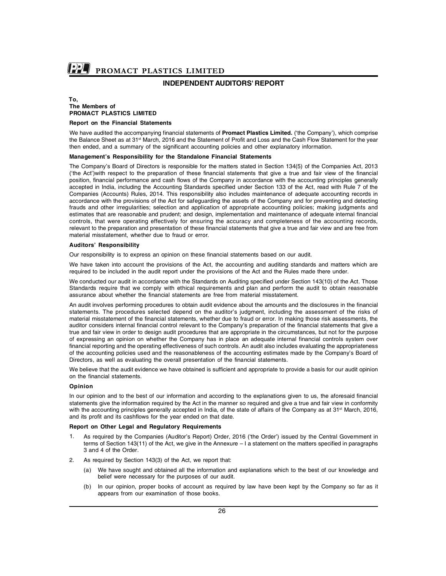#### **INDEPENDENT AUDITORS' REPORT**

#### **To, The Members of PROMACT PLASTICS LIMITED**

#### **Report on the Financial Statements**

We have audited the accompanying financial statements of Promact Plastics Limited. ('the Company'), which comprise the Balance Sheet as at 31<sup>st</sup> March, 2016 and the Statement of Profit and Loss and the Cash Flow Statement for the year then ended, and a summary of the significant accounting policies and other explanatory information.

#### **Management's Responsibility for the Standalone Financial Statements**

The Company's Board of Directors is responsible for the matters stated in Section 134(5) of the Companies Act, 2013 ('the Act')with respect to the preparation of these financial statements that give a true and fair view of the financial position, financial performance and cash flows of the Company in accordance with the accounting principles generally accepted in India, including the Accounting Standards specified under Section 133 of the Act, read with Rule 7 of the Companies (Accounts) Rules, 2014. This responsibility also includes maintenance of adequate accounting records in accordance with the provisions of the Act for safeguarding the assets of the Company and for preventing and detecting frauds and other irregularities; selection and application of appropriate accounting policies; making judgments and estimates that are reasonable and prudent; and design, implementation and maintenance of adequate internal financial controls, that were operating effectively for ensuring the accuracy and completeness of the accounting records, relevant to the preparation and presentation of these financial statements that give a true and fair view and are free from material misstatement, whether due to fraud or error.

#### **Auditors' Responsibility**

Our responsibility is to express an opinion on these financial statements based on our audit.

We have taken into account the provisions of the Act, the accounting and auditing standards and matters which are required to be included in the audit report under the provisions of the Act and the Rules made there under.

We conducted our audit in accordance with the Standards on Auditing specified under Section 143(10) of the Act. Those Standards require that we comply with ethical requirements and plan and perform the audit to obtain reasonable assurance about whether the financial statements are free from material misstatement.

An audit involves performing procedures to obtain audit evidence about the amounts and the disclosures in the financial statements. The procedures selected depend on the auditor's judgment, including the assessment of the risks of material misstatement of the financial statements, whether due to fraud or error. In making those risk assessments, the auditor considers internal financial control relevant to the Company's preparation of the financial statements that give a true and fair view in order to design audit procedures that are appropriate in the circumstances, but not for the purpose of expressing an opinion on whether the Company has in place an adequate internal financial controls system over financial reporting and the operating effectiveness of such controls. An audit also includes evaluating the appropriateness of the accounting policies used and the reasonableness of the accounting estimates made by the Company's Board of Directors, as well as evaluating the overall presentation of the financial statements.

We believe that the audit evidence we have obtained is sufficient and appropriate to provide a basis for our audit opinion on the financial statements.

#### **Op inion**

In our opinion and to the best of our information and according to the explanations given to us, the aforesaid financial statements give the information required by the Act in the manner so required and give a true and fair view in conformity with the accounting principles generally accepted in India, of the state of affairs of the Company as at 31<sup>st</sup> March, 2016, and its profit and its cashflows for the year ended on that date.

#### **Report on Other Legal and Regulatory Requirements**

- 1. As required by the Companies (Auditor's Report) Order, 2016 ('the Order') issued by the Central Government in terms of Section 143(11) of the Act, we give in the Annexure – I a statement on the matters specified in paragraphs 3 and 4 of the Order.
- 2. As required by Section 143(3) of the Act, we report that:
	- (a) We have sought and obtained all the information and explanations which to the best of our knowledge and belief were necessary for the purposes of our audit.
	- (b) In our opinion, proper books of account as required by law have been kept by the Company so far as it appears from our examination of those books.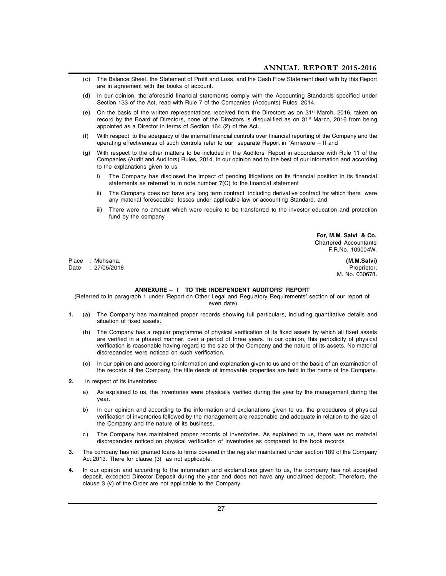- (c) The Balance Sheet, the Statement of Profit and Loss, and the Cash Flow Statement dealt with by this Report are in agreement with the books of account.
- In our opinion, the aforesaid financial statements comply with the Accounting Standards specified under Section 133 of the Act, read with Rule 7 of the Companies (Accounts) Rules, 2014.
- (e) On the basis of the written representations received from the Directors as on  $31<sup>st</sup>$  March, 2016, taken on record by the Board of Directors, none of the Directors is disqualified as on 31<sup>st</sup> March, 2016 from being appointed as a Director in terms of Section 164 (2) of the Act.
- (f) With respect to the adequacy of the internal financial controls over financial reporting of the Company and the operating effectiveness of such controls refer to our separate Report in "Annexure – II and
- (g) With respect to the other matters to be included in the Auditors' Report in accordance with Rule 11 of the Companies (Audit and Auditors) Rules, 2014, in our opinion and to the best of our information and according to the explanations given to us:
	- The Company has disclosed the impact of pending litigations on its financial position in its financial statements as referred to in note number 7(C) to the financial statement
	- ii) The Company does not have any long term contract including derivative contract for which there were any material foreseeable losses under applicable law or accounting Standard, and
	- iii) There were no amount which were require to be transferred to the investor education and protection fund by the company

Chartered Accountants **For, M.M. Salvi & Co.** F.R.No. 109004W.

Place : Mehsana.<br>Date : 27/05/2016 Date

**(M.M.Salvi)** : 27/05/2016 Proprietor. M. No. 030678.

#### **ANNEXURE – I TO THE INDEPENDENT AUDITORS' REPORT**

(Referred to in paragraph 1 under 'Report on Other Legal and Regulatory Requirements' section of our report of even date)

- **1.** (a) The Company has maintained proper records showing full particulars, including quantitative details and situation of fixed assets.
	- (b) The Company has a regular programme of physical verification of its fixed assets by which all fixed assets are verified in a phased manner, over a period of three years. In our opinion, this periodicity of physical verification is reasonable having regard to the size of the Company and the nature of its assets. No material discrepancies were noticed on such verification.
	- (c) In our opinion and according to information and explanation given to us and on the basis of an examination of the records of the Company, the title deeds of immovable properties are held in the name of the Company.
- **2.** In respect of its inventories:
	- a) As explained to us, the inventories were physically verified during the year by the management during the year.
	- b) In our opinion and according to the information and explanations given to us, the procedures of physical verification of inventories followed by the management are reasonable and adequate in relation to the size of the Company and the nature of its business.
	- c) The Company has maintained proper records of inventories. As explained to us, there was no material discrepancies noticed on physical verification of inventories as compared to the book records.
- **3.** The company has not granted loans to firms covered in the register maintained under section 189 of the Company Act,2013. There for clause (3) as not applicable.
- **4.** In our opinion and according to the information and explanations given to us, the company has not accepted deposit, excepted Director Deposit during the year and does not have any unclaimed deposit. Therefore, the clause 3 (v) of the Order are not applicable to the Company.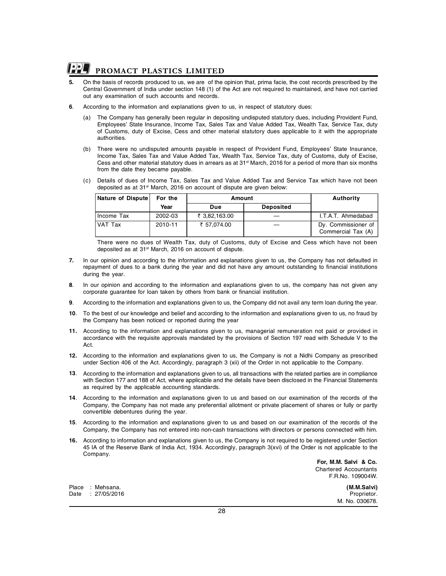

- **5.** On the basis of records produced to us, we are of the opinion that, prima facie, the cost records prescribed by the Central Government of India under section 148 (1) of the Act are not required to maintained, and have not carried out any examination of such accounts and records.
- **6**. According to the information and explanations given to us, in respect of statutory dues:
	- (a) The Company has generally been regular in depositing undisputed statutory dues, including Provident Fund, Employees' State Insurance, Income Tax, Sales Tax and Value Added Tax, Wealth Tax, Service Tax, duty of Customs, duty of Excise, Cess and other material statutory dues applicable to it with the appropriate authorities.
	- (b) There were no undisputed amounts payable in respect of Provident Fund, Employees' State Insurance, Income Tax, Sales Tax and Value Added Tax, Wealth Tax, Service Tax, duty of Customs, duty of Excise, Cess and other material statutory dues in arrears as at 31<sup>st</sup> March, 2016 for a period of more than six months from the date they became payable.
	- (c) Details of dues of Income Tax, Sales Tax and Value Added Tax and Service Tax which have not been deposited as at 31<sup>st</sup> March, 2016 on account of dispute are given below:

| Nature of Dispute | For the | Amount        |                  | Authority                                 |
|-------------------|---------|---------------|------------------|-------------------------------------------|
|                   | Year    | Due           | <b>Deposited</b> |                                           |
| Income Tax        | 2002-03 | ₹ 3.82.163.00 |                  | I.T.A.T. Ahmedabad                        |
| VAT Tax           | 2010-11 | ₹ 57.074.00   |                  | Dy. Commissioner of<br>Commercial Tax (A) |

There were no dues of Wealth Tax, duty of Customs, duty of Excise and Cess which have not been deposited as at 31<sup>st</sup> March, 2016 on account of dispute.

- In our opinion and according to the information and explanations given to us, the Company has not defaulted in **7.** repayment of dues to a bank during the year and did not have any amount outstanding to financial institutions during the year.
- **8**. In our opinion and according to the information and explanations given to us, the company has not given any corporate guarantee for loan taken by others from bank or financial institution.
- **9**. According to the information and explanations given to us, the Company did not avail any term loan during the year.
- **10**. To the best of our knowledge and belief and according to the information and explanations given to us, no fraud by the Company has been noticed or reported during the year
- **11.** According to the information and explanations given to us, managerial remuneration not paid or provided in accordance with the requisite approvals mandated by the provisions of Section 197 read with Schedule V to the Act.
- **12.** According to the information and explanations given to us, the Company is not a Nidhi Company as prescribed under Section 406 of the Act. Accordingly, paragraph 3 (xii) of the Order in not applicable to the Company.
- **13**. According to the information and explanations given to us, all transactions with the related parties are in compliance with Section 177 and 188 of Act, where applicable and the details have been disclosed in the Financial Statements as required by the applicable accounting standards.
- **14**. According to the information and explanations given to us and based on our examination of the records of the Company, the Company has not made any preferential allotment or private placement of shares or fully or partly convertible debentures during the year.
- **15**. According to the information and explanations given to us and based on our examination of the records of the Company, the Company has not entered into non-cash transactions with directors or persons connected with him.
- **16.** According to information and explanations given to us, the Company is not required to be registered under Section 45 IA of the Reserve Bank of India Act, 1934. Accordingly, paragraph 3(xvi) of the Order is not applicable to the Company.

Chartered Accountants **For, M.M. Salvi & Co.** F.R.No. 109004W.

Place : Mehsana.<br>Date : 27/05/2016 Date

**(M.M.Salvi)** : 27/05/2016 Proprietor. M. No. 030678.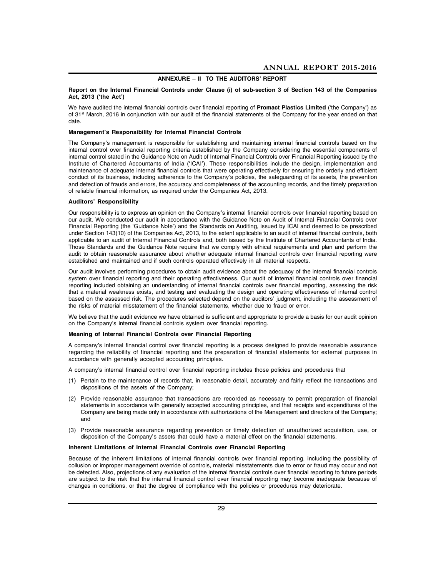#### **ANNEXURE – II TO THE AUDITORS' REPORT**

#### **Report on the Internal Financial Controls under Clause (i) of sub-section 3 of Section 143 of the Companies Act, 2013 ('the Act')**

We have audited the internal financial controls over financial reporting of Promact Plastics Limited ('the Company') as of 31<sup>st</sup> March, 2016 in conjunction with our audit of the financial statements of the Company for the year ended on that date.

#### **Management's Responsibility for Internal Financial Controls**

The Company's management is responsible for establishing and maintaining internal financial controls based on the internal control over financial reporting criteria established by the Company considering the essential components of internal control stated in the Guidance Note on Audit of Internal Financial Controls over Financial Reporting issued by the Institute of Chartered Accountants of India ('ICAI'). These responsibilities include the design, implementation and maintenance of adequate internal financial controls that were operating effectively for ensuring the orderly and efficient conduct of its business, including adherence to the Company's policies, the safeguarding of its assets, the prevention and detection of frauds and errors, the accuracy and completeness of the accounting records, and the timely preparation of reliable financial information, as required under the Companies Act, 2013.

#### **Auditors' Responsibility**

Our responsibility is to express an opinion on the Company's internal financial controls over financial reporting based on our audit. We conducted our audit in accordance with the Guidance Note on Audit of Internal Financial Controls over Financial Reporting (the 'Guidance Note') and the Standards on Auditing, issued by ICAI and deemed to be prescribed under Section 143(10) of the Companies Act, 2013, to the extent applicable to an audit of internal financial controls, both applicable to an audit of Internal Financial Controls and, both issued by the Institute of Chartered Accountants of India. Those Standards and the Guidance Note require that we comply with ethical requirements and plan and perform the audit to obtain reasonable assurance about whether adequate internal financial controls over financial reporting were established and maintained and if such controls operated effectively in all material respects.

Our audit involves performing procedures to obtain audit evidence about the adequacy of the internal financial controls system over financial reporting and their operating effectiveness. Our audit of internal financial controls over financial reporting included obtaining an understanding of internal financial controls over financial reporting, assessing the risk that a material weakness exists, and testing and evaluating the design and operating effectiveness of internal control based on the assessed risk. The procedures selected depend on the auditors' judgment, including the assessment of the risks of material misstatement of the financial statements, whether due to fraud or error.

We believe that the audit evidence we have obtained is sufficient and appropriate to provide a basis for our audit opinion on the Company's internal financial controls system over financial reporting.

#### **Meaning of Internal Financial Controls over Financial Reporting**

A company's internal financial control over financial reporting is a process designed to provide reasonable assurance regarding the reliability of financial reporting and the preparation of financial statements for external purposes in accordance with generally accepted accounting principles.

A company's internal financial control over financial reporting includes those policies and procedures that

- (1) Pertain to the maintenance of records that, in reasonable detail, accurately and fairly reflect the transactions and dispositions of the assets of the Company;
- (2) Provide reasonable assurance that transactions are recorded as necessary to permit preparation of financial statements in accordance with generally accepted accounting principles, and that receipts and expenditures of the Company are being made only in accordance with authorizations of the Management and directors of the Company; and
- (3) Provide reasonable assurance regarding prevention or timely detection of unauthorized acquisition, use, or disposition of the Company's assets that could have a material effect on the financial statements.

#### **Inherent Limitations of Internal Financial Controls over Financial Reporting**

Because of the inherent limitations of internal financial controls over financial reporting, including the possibility of collusion or improper management override of controls, material misstatements due to error or fraud may occur and not be detected. Also, projections of any evaluation of the internal financial controls over financial reporting to future periods are subject to the risk that the internal financial control over financial reporting may become inadequate because of changes in conditions, or that the degree of compliance with the policies or procedures may deteriorate.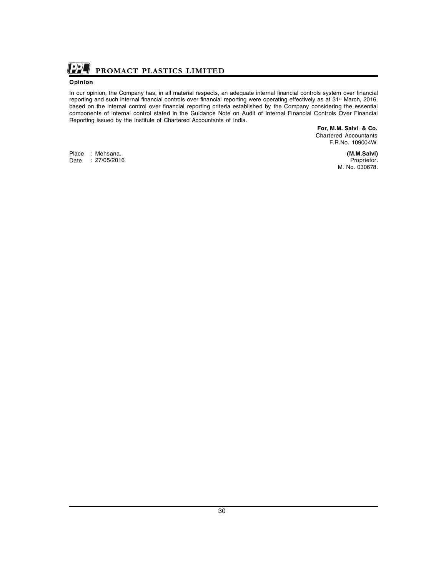### **Opinion**

In our opinion, the Company has, in all material respects, an adequate internal financial controls system over financial reporting and such internal financial controls over financial reporting were operating effectively as at 31<sup>st</sup> March, 2016, based on the internal control over financial reporting criteria established by the Company considering the essential components of internal control stated in the Guidance Note on Audit of Internal Financial Controls Over Financial Reporting issued by the Institute of Chartered Accountants of India.

> Chartered Accountants **For, M.M. Salvi & Co.** F.R.No. 109004W.

Place : Mehsana. Date  $: 27/05/2016$ 

**(M.M.Salvi)** M. No. 030678.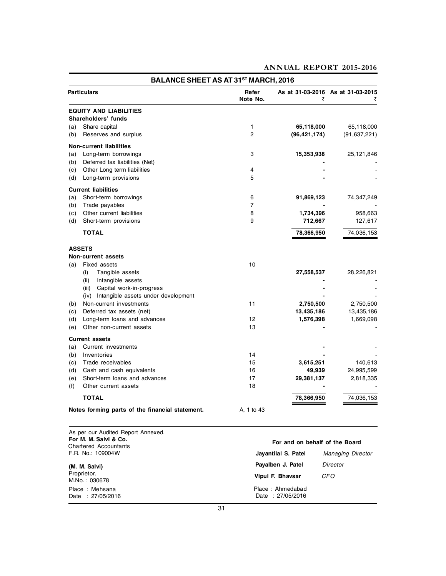|     |                                                 | Note No.       | ₹              | ₹              |
|-----|-------------------------------------------------|----------------|----------------|----------------|
|     | <b>EQUITY AND LIABILITIES</b>                   |                |                |                |
|     | Shareholders' funds                             |                |                |                |
| (a) | Share capital                                   | 1              | 65,118,000     | 65,118,000     |
| (b) | Reserves and surplus                            | $\overline{2}$ | (96, 421, 174) | (91, 637, 221) |
|     | <b>Non-current liabilities</b>                  |                |                |                |
| (a) | Long-term borrowings                            | 3              | 15,353,938     | 25,121,846     |
| (b) | Deferred tax liabilities (Net)                  |                |                |                |
| (c) | Other Long term liabilities                     | 4              |                |                |
| (d) | Long-term provisions                            | 5              |                |                |
|     | <b>Current liabilities</b>                      |                |                |                |
| (a) | Short-term borrowings                           | 6              | 91,869,123     | 74,347,249     |
| (b) | Trade payables                                  | $\overline{7}$ |                |                |
| (c) | Other current liabilities                       | 8              | 1,734,396      | 958,663        |
| (d) | Short-term provisions                           | 9              | 712,667        | 127,617        |
|     | <b>TOTAL</b>                                    |                | 78,366,950     | 74,036,153     |
|     | <b>ASSETS</b>                                   |                |                |                |
|     | Non-current assets                              |                |                |                |
| (a) | Fixed assets                                    | 10             |                |                |
|     | Tangible assets<br>(i)                          |                | 27,558,537     | 28,226,821     |
|     | (ii)<br>Intangible assets                       |                |                |                |
|     | (iii)<br>Capital work-in-progress               |                |                |                |
|     | (iv) Intangible assets under development        |                |                |                |
| (b) | Non-current investments                         | 11             | 2,750,500      | 2,750,500      |
| (c) | Deferred tax assets (net)                       |                | 13,435,186     | 13,435,186     |
| (d) | Long-term loans and advances                    | 12             | 1,576,398      | 1,669,098      |
| (e) | Other non-current assets                        | 13             |                |                |
|     | <b>Current assets</b>                           |                |                |                |
| (a) | <b>Current investments</b>                      |                |                |                |
| (b) | Inventories                                     | 14             |                |                |
| (c) | Trade receivables                               | 15             | 3,615,251      | 140,613        |
| (d) | Cash and cash equivalents                       | 16             | 49,939         | 24,995,599     |
| (e) | Short-term loans and advances                   | 17             | 29,381,137     | 2,818,335      |
| (f) | Other current assets                            | 18             |                |                |
|     | <b>TOTAL</b>                                    |                | 78,366,950     | 74,036,153     |
|     | Notes forming parts of the financial statement. | A, 1 to 43     |                |                |

| As per our Audited Report Annexed.<br>For M. M. Salvi & Co.<br>Chartered Accountants | For and on behalf of the Board       |                          |
|--------------------------------------------------------------------------------------|--------------------------------------|--------------------------|
| F.R. No.: 109004W                                                                    | Jayantilal S. Patel                  | <b>Managing Director</b> |
| (M. M. Salvi)                                                                        | Payalben J. Patel                    | Director                 |
| Proprietor.<br>M.No.: 030678                                                         | Vipul F. Bhavsar                     | CFO                      |
| Place: Mehsana<br>Date: 27/05/2016                                                   | Place: Ahmedabad<br>Date: 27/05/2016 |                          |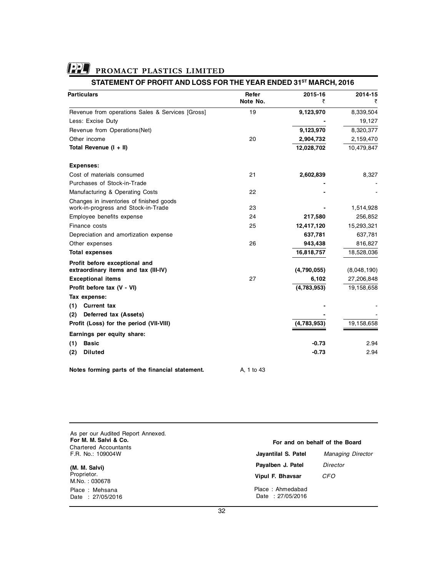#### **STATEMENT OF PROFIT AND LOSS FOR THE YEAR ENDED 31<sup>st</sup> MARCH, 2016**

| <b>Particulars</b>                                                              | Refer<br>Note No. | 2015-16<br>₹ | 2014-15     |
|---------------------------------------------------------------------------------|-------------------|--------------|-------------|
| Revenue from operations Sales & Services [Gross]                                | 19                | 9,123,970    | 8,339,504   |
| Less: Excise Duty                                                               |                   |              | 19,127      |
| Revenue from Operations (Net)                                                   |                   | 9,123,970    | 8,320,377   |
| Other income                                                                    | 20                | 2,904,732    | 2,159,470   |
| Total Revenue $(I + II)$                                                        |                   | 12,028,702   | 10,479,847  |
| <b>Expenses:</b>                                                                |                   |              |             |
| Cost of materials consumed                                                      | 21                | 2,602,839    | 8,327       |
| Purchases of Stock-in-Trade                                                     |                   |              |             |
| Manufacturing & Operating Costs                                                 | 22                |              |             |
| Changes in inventories of finished goods<br>work-in-progress and Stock-in-Trade | 23                |              | 1,514,928   |
| Employee benefits expense                                                       | 24                | 217,580      | 256,852     |
| Finance costs                                                                   | 25                | 12,417,120   | 15,293,321  |
| Depreciation and amortization expense                                           |                   | 637,781      | 637,781     |
| Other expenses                                                                  | 26                | 943,438      | 816,827     |
| <b>Total expenses</b>                                                           |                   | 16,818,757   | 18,528,036  |
| Profit before exceptional and<br>extraordinary items and tax (III-IV)           |                   | (4,790,055)  | (8,048,190) |
| <b>Exceptional items</b>                                                        | 27                | 6,102        | 27,206,848  |
| Profit before tax (V - VI)                                                      |                   | (4,783,953)  | 19,158,658  |
| Tax expense:                                                                    |                   |              |             |
| <b>Current tax</b><br>(1)                                                       |                   |              |             |
| Deferred tax (Assets)<br>(2)                                                    |                   |              |             |
| Profit (Loss) for the period (VII-VIII)                                         |                   | (4,783,953)  | 19,158,658  |
| Earnings per equity share:                                                      |                   |              |             |
| <b>Basic</b><br>(1)                                                             |                   | $-0.73$      | 2.94        |
| <b>Diluted</b><br>(2)                                                           |                   | $-0.73$      | 2.94        |
| Notes forming parts of the financial statement.                                 | A, 1 to 43        |              |             |

| As per our Audited Report Annexed.<br>For M. M. Salvi & Co.<br><b>Chartered Accountants</b> | For and on behalf of the Board       |                          |
|---------------------------------------------------------------------------------------------|--------------------------------------|--------------------------|
| F.R. No.: 109004W                                                                           | Jayantilal S. Patel                  | <b>Managing Director</b> |
| (M. M. Salvi)                                                                               | Payalben J. Patel                    | Director                 |
| Proprietor.<br>M.No.: 030678                                                                | Vipul F. Bhavsar                     | CFO                      |
| Place: Mehsana<br>Date: 27/05/2016                                                          | Place: Ahmedabad<br>Date: 27/05/2016 |                          |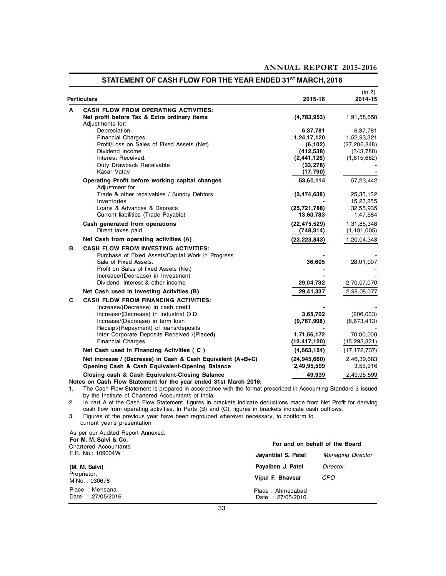|    | <b>Particulars</b>                                                                                                                                                                                                        | 2015-16                       | (In ₹)<br>2014-15                |
|----|---------------------------------------------------------------------------------------------------------------------------------------------------------------------------------------------------------------------------|-------------------------------|----------------------------------|
| A  | <b>CASH FLOW FROM OPERATING ACTIVITIES:</b>                                                                                                                                                                               |                               |                                  |
|    | Net profit before Tax & Extra ordinary items                                                                                                                                                                              | (4,783,953)                   | 1,91,58,658                      |
|    | Adjustments for:                                                                                                                                                                                                          |                               |                                  |
|    | Depreciation                                                                                                                                                                                                              | 6,37,781                      | 6,37,781                         |
|    | <b>Financial Charges</b>                                                                                                                                                                                                  | 1,24,17,120                   | 1,52,93,321                      |
|    | Profit/Loss on Sales of Fixed Assets (Net)                                                                                                                                                                                | (6, 102)                      | (27, 206, 848)                   |
|    | Dividend Income                                                                                                                                                                                                           | (412, 538)                    | (343,788)                        |
|    | Interest Received.                                                                                                                                                                                                        | (2,441,126)                   | (1, 815, 682)                    |
|    | Duty Drawback Receivable                                                                                                                                                                                                  | (33, 278)                     |                                  |
|    | Kasar Vatav                                                                                                                                                                                                               | (17, 790)                     |                                  |
|    | Operating Profit before working capital changes<br>Adjustment for:                                                                                                                                                        | 53,60,114                     | 57,23,442                        |
|    | Trade & other receivables / Sundry Debtors                                                                                                                                                                                | (3,474,638)                   | 25,35,132                        |
|    | Inventories                                                                                                                                                                                                               |                               | 15,23,255                        |
|    | Loans & Advances & Deposits                                                                                                                                                                                               | (25, 721, 788)                | 32,55,935                        |
|    | Current liabilities (Trade Payable)                                                                                                                                                                                       | 13,60,783                     | 1,47,584                         |
|    | Cash generated from operations                                                                                                                                                                                            | (22, 475, 529)                | 1,31,85,348                      |
|    | Direct taxes paid                                                                                                                                                                                                         | (748,314)                     | (1, 181, 005)                    |
|    | Net Cash from operating activities (A)                                                                                                                                                                                    | (23,223,843)                  | 1,20,04,343                      |
| в  | <b>CASH FLOW FROM INVESTING ACTIVITIES:</b>                                                                                                                                                                               |                               |                                  |
|    | Purchase of Fixed Assets/Capital Work in Progress                                                                                                                                                                         |                               |                                  |
|    | Sale of Fixed Assets.                                                                                                                                                                                                     | 36,605                        | 28,01,007                        |
|    | Profit on Sales of fixed Assets (Net)                                                                                                                                                                                     |                               |                                  |
|    | Increase/(Decrease) in Investment                                                                                                                                                                                         |                               |                                  |
|    | Dividend, Interest & other income                                                                                                                                                                                         | 29,04,732                     | 2,70,07,070                      |
|    | Net Cash used in Investing Activities (B)                                                                                                                                                                                 | 29,41,337                     | 2,98,08,077                      |
| С  | <b>CASH FLOW FROM FINANCING ACTIVITIES:</b>                                                                                                                                                                               |                               |                                  |
|    | Increase/(Decrease) in cash credit                                                                                                                                                                                        |                               |                                  |
|    | Increase/(Decrease) in Industrial O.D.                                                                                                                                                                                    | 3,65,702                      | (206,003)                        |
|    | Increase/(Decrease) in term loan                                                                                                                                                                                          | (9,767,908)                   | (8,673,413)                      |
|    | Receipt/(Repayment) of loans/deposits                                                                                                                                                                                     |                               |                                  |
|    | Inter Corporate Deposits Received /(Placed)                                                                                                                                                                               | 1,71,56,172                   | 70,00,000                        |
|    | <b>Financial Charges</b><br>Net Cash used in Financing Activities (C)                                                                                                                                                     | (12, 417, 120)<br>(4,663,154) | (15, 293, 321)<br>(17, 172, 737) |
|    |                                                                                                                                                                                                                           |                               |                                  |
|    | Net increase / (Decrease) in Cash & Cash Equivalent (A+B+C)                                                                                                                                                               | (24, 945, 660)                | 2,46,39,683                      |
|    | Opening Cash & Cash Equivalent-Opening Balance                                                                                                                                                                            | 2,49,95,599                   | 3,55,916                         |
|    | Closing cash & Cash Equivalent-Closing Balance                                                                                                                                                                            | 49,939                        | 2,49,95,599                      |
|    | Notes on Cash Flow Statement for the year ended 31st March 2016;                                                                                                                                                          |                               |                                  |
| 1. | The Cash Flow Statement is prepared in accordance with the format prescribed in Accounting Standard-3 issued                                                                                                              |                               |                                  |
|    | by the Institute of Chartered Accountants of India.                                                                                                                                                                       |                               |                                  |
| 2. | In part A of the Cash Flow Statement, figures in brackets indicate deductions made from Net Profit for deriving<br>cash flow from operating activities. In Parts (B) and (C), figures in brackets indicate cash outflows. |                               |                                  |

### **STATEMENT OF CASH FLOW FOR THE YEAR ENDED 31st MARCH, 2016**

**ANNUAL REPORT 2015-2016**

3. Figures of the previous year have been regrouped wherever necessary, to confform to

current year's presentation

| As per our Audited Report Annexed.<br>For M. M. Salvi & Co.<br><b>Chartered Accountants</b> |                                      | For and on behalf of the Board |
|---------------------------------------------------------------------------------------------|--------------------------------------|--------------------------------|
| F.R. No.: 109004W                                                                           | Jayantilal S. Patel                  | <b>Managing Director</b>       |
| (M. M. Salvi)                                                                               | Payalben J. Patel                    | Director                       |
| Proprietor.<br>M.No.: 030678                                                                | Vipul F. Bhavsar                     | CFO                            |
| Place: Mehsana<br>Date: 27/05/2016                                                          | Place: Ahmedabad<br>Date: 27/05/2016 |                                |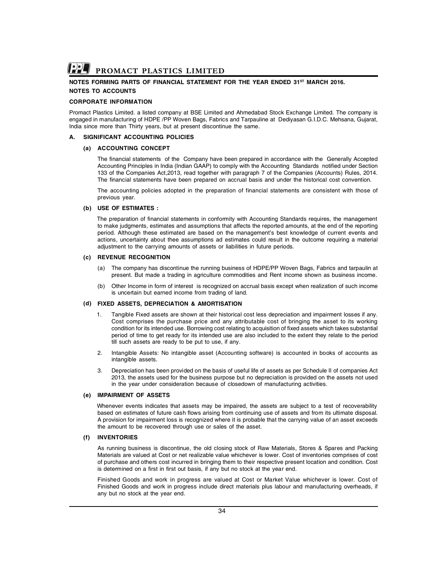### **NOTES FORMING PARTS OF FINANCIAL STATEMENT FOR THE YEAR ENDED 31<sup>ST</sup> MARCH 2016.**

#### **NOTES TO ACCOUNTS**

#### **CORPORATE INFORMATION**

Promact Plastics Limited. a listed company at BSE Limited and Ahmedabad Stock Exchange Limited. The company is engaged in manufacturing of HDPE /PP Woven Bags, Fabrics and Tarpauline at Dediyasan G.I.D.C. Mehsana, Gujarat, India since more than Thirty years, but at present discontinue the same.

#### **A. SIGNIFICANT ACCOUNTING POLICIES**

#### **(a) ACCOUNTING CONCEPT**

The financial statements of the Company have been prepared in accordance with the Generally Accepted Accounting Principles in India (Indian GAAP) to comply with the Accounting Standards notified under Section 133 of the Companies Act,2013, read together with paragraph 7 of the Companies (Accounts) Rules, 2014. The financial statements have been prepared on accrual basis and under the historical cost convention.

The accounting policies adopted in the preparation of financial statements are consistent with those of previous year.

#### **(b) USE OF ESTIMATES :**

The preparation of financial statements in conformity with Accounting Standards requires, the management to make judgments, estimates and assumptions that affects the reported amounts, at the end of the reporting period. Although these estimated are based on the management's best knowledge of current events and actions, uncertainty about thee assumptions ad estimates could result in the outcome requiring a material adjustment to the carrying amounts of assets or liabilities in future periods.

#### **(c) REVENUE RECOGNITION**

- (a) The company has discontinue the running business of HDPE/PP Woven Bags, Fabrics and tarpaulin at present. But made a trading in agriculture commodities and Rent income shown as business income.
- (b) Other Income in form of interest is recognized on accrual basis except when realization of such income is uncertain but earned income from trading of land.

#### **(d) FIXED ASSETS, DEPRECIATION & AMORTISATION**

- 1. Tangible Fixed assets are shown at their historical cost less depreciation and impairment losses if any. Cost comprises the purchase price and any attributable cost of bringing the asset to its working condition for its intended use. Borrowing cost relating to acquisition of fixed assets which takes substantial period of time to get ready for its intended use are also included to the extent they relate to the period till such assets are ready to be put to use, if any.
- 2. Intangible Assets: No intangible asset (Accounting software) is accounted in books of accounts as intangible assets.
- 3. Depreciation has been provided on the basis of useful life of assets as per Schedule II of companies Act 2013, the assets used for the business purpose but no depreciation is provided on the assets not used in the year under consideration because of closedown of manufacturing activities.

#### **(e) IMPAIRMENT OF ASSETS**

Whenever events indicates that assets may be impaired, the assets are subject to a test of recoverability based on estimates of future cash flows arising from continuing use of assets and from its ultimate disposal. A provision for impairment loss is recognized where it is probable that the carrying value of an asset exceeds the amount to be recovered through use or sales of the asset.

#### **(f) INVENTORIES**

As running business is discontinue, the old closing stock of Raw Materials, Stores & Spares and Packing Materials are valued at Cost or net realizable value whichever is lower. Cost of inventories comprises of cost of purchase and others cost incurred in bringing them to their respective present location and condition. Cost is determined on a first in first out basis, if any but no stock at the year end.

Finished Goods and work in progress are valued at Cost or Market Value whichever is lower. Cost of Finished Goods and work in progress include direct materials plus labour and manufacturing overheads, if any but no stock at the year end.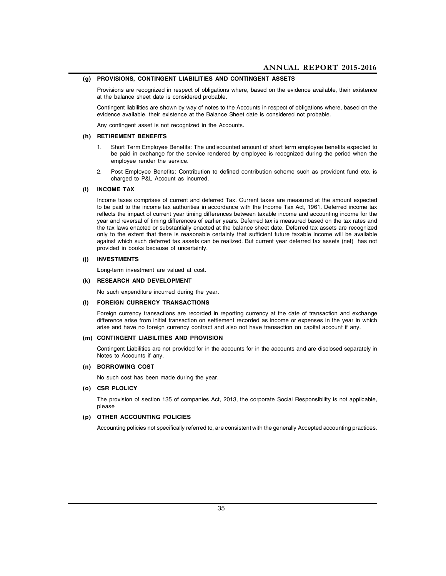#### **(g) PROVISIONS, CONTINGENT LIABILITIES AND CONTINGENT ASSETS**

Provisions are recognized in respect of obligations where, based on the evidence available, their existence at the balance sheet date is considered probable.

Contingent liabilities are shown by way of notes to the Accounts in respect of obligations where, based on the evidence available, their existence at the Balance Sheet date is considered not probable.

Any contingent asset is not recognized in the Accounts.

#### **(h) RETIREMENT BENEFITS**

- 1. Short Term Employee Benefits: The undiscounted amount of short term employee benefits expected to be paid in exchange for the service rendered by employee is recognized during the period when the employee render the service.
- 2. Post Employee Benefits: Contribution to defined contribution scheme such as provident fund etc. is charged to P&L Account as incurred.

#### **(i) INCOME TAX**

Income taxes comprises of current and deferred Tax. Current taxes are measured at the amount expected to be paid to the income tax authorities in accordance with the Income Tax Act, 1961. Deferred income tax reflects the impact of current year timing differences between taxable income and accounting income for the year and reversal of timing differences of earlier years. Deferred tax is measured based on the tax rates and the tax laws enacted or substantially enacted at the balance sheet date. Deferred tax assets are recognized only to the extent that there is reasonable certainty that sufficient future taxable income will be available against which such deferred tax assets can be realized. But current year deferred tax assets (net) has not provided in books because of uncertainty.

#### **(j) INVESTMENTS**

**L** ong-term investment are valued at cost.

#### **(k) RESEARCH AND DEVELOPMENT**

No such expenditure incurred during the year.

#### **(l) FOREIGN CURRENCY TRANSACTIONS**

Foreign currency transactions are recorded in reporting currency at the date of transaction and exchange difference arise from initial transaction on settlement recorded as income or expenses in the year in which arise and have no foreign currency contract and also not have transaction on capital account if any.

#### **(m) CONTINGENT LIABILITIES AND PROVISION**

Contingent Liabilities are not provided for in the accounts for in the accounts and are disclosed separately in Notes to Accounts if any.

#### **(n) BORROWING COST**

No such cost has been made during the year.

#### **(o) CSR PLOLICY**

The provision of section 135 of companies Act, 2013, the corporate Social Responsibility is not applicable, please

#### **(p) OTHER ACCOUNTING POLICIES**

Accounting policies not specifically referred to, are consistent with the generally Accepted accounting practices.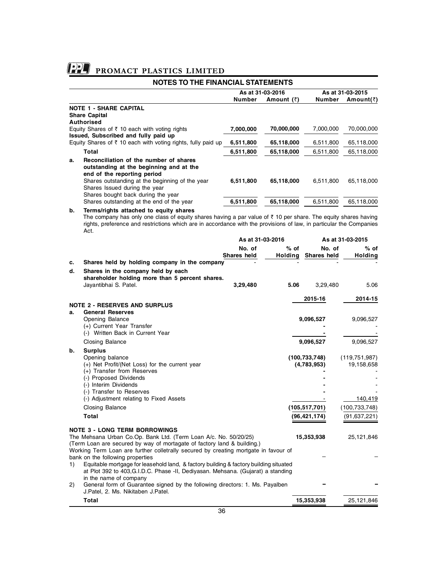|    | <b>NOTES TO THE FINANCIAL STATEMENTS</b>                                                                                                                                                                                                                                                                                                                                                                                                                                                    |                       |                  |                               |                                          |
|----|---------------------------------------------------------------------------------------------------------------------------------------------------------------------------------------------------------------------------------------------------------------------------------------------------------------------------------------------------------------------------------------------------------------------------------------------------------------------------------------------|-----------------------|------------------|-------------------------------|------------------------------------------|
|    |                                                                                                                                                                                                                                                                                                                                                                                                                                                                                             |                       | As at 31-03-2016 |                               | As at 31-03-2015                         |
|    |                                                                                                                                                                                                                                                                                                                                                                                                                                                                                             | Number                | Amount (₹)       | Number                        | Amount(₹)                                |
|    | <b>NOTE 1 - SHARE CAPITAL</b><br><b>Share Capital</b><br>Authorised                                                                                                                                                                                                                                                                                                                                                                                                                         |                       |                  |                               |                                          |
|    | Equity Shares of $\bar{\tau}$ 10 each with voting rights<br>Issued, Subscribed and fully paid up                                                                                                                                                                                                                                                                                                                                                                                            | 7,000,000             | 70,000,000       | 7,000,000                     | 70,000,000                               |
|    | Equity Shares of ₹ 10 each with voting rights, fully paid up                                                                                                                                                                                                                                                                                                                                                                                                                                | 6,511,800             | 65,118,000       | 6,511,800                     | 65,118,000                               |
|    | Total                                                                                                                                                                                                                                                                                                                                                                                                                                                                                       | 6,511,800             | 65,118,000       | 6,511,800                     | 65,118,000                               |
| a. | Reconciliation of the number of shares<br>outstanding at the beginning and at the<br>end of the reporting period<br>Shares outstanding at the beginning of the year<br>Shares Issued during the year                                                                                                                                                                                                                                                                                        | 6,511,800             | 65,118,000       | 6,511,800                     | 65,118,000                               |
|    | Shares bought back during the year<br>Shares outstanding at the end of the year                                                                                                                                                                                                                                                                                                                                                                                                             | 6,511,800             | 65,118,000       | 6,511,800                     | 65,118,000                               |
| b. | Terms/rights attached to equity shares<br>The company has only one class of equity shares having a par value of ₹ 10 per share. The equity shares having<br>rights, preference and restrictions which are in accordance with the provisions of law, in particular the Companies<br>Act.                                                                                                                                                                                                     |                       |                  |                               |                                          |
|    |                                                                                                                                                                                                                                                                                                                                                                                                                                                                                             |                       | As at 31-03-2016 |                               | As at 31-03-2015                         |
|    |                                                                                                                                                                                                                                                                                                                                                                                                                                                                                             | No. of<br>Shares held | $%$ of           | No. of<br>Holding Shares held | % of<br>Holding                          |
| с. | Shares held by holding company in the company                                                                                                                                                                                                                                                                                                                                                                                                                                               |                       |                  |                               |                                          |
| d. | Shares in the company held by each<br>shareholder holding more than 5 percent shares.                                                                                                                                                                                                                                                                                                                                                                                                       |                       |                  |                               |                                          |
|    | Jayantibhai S. Patel.                                                                                                                                                                                                                                                                                                                                                                                                                                                                       | 3,29,480              | 5.06             | 3,29,480                      | 5.06                                     |
|    |                                                                                                                                                                                                                                                                                                                                                                                                                                                                                             |                       |                  | 2015-16                       | 2014-15                                  |
| a. | <b>NOTE 2 - RESERVES AND SURPLUS</b><br><b>General Reserves</b><br>Opening Balance<br>(+) Current Year Transfer<br>(-) Written Back in Current Year                                                                                                                                                                                                                                                                                                                                         |                       |                  | 9,096,527                     | 9,096,527                                |
|    | Closing Balance                                                                                                                                                                                                                                                                                                                                                                                                                                                                             |                       |                  | 9,096,527                     | 9,096,527                                |
| b. | <b>Surplus</b><br>Opening balance<br>(+) Net Profit/(Net Loss) for the current year<br>(+) Transfer from Reserves<br>(-) Proposed Dividends<br>(-) Interim Dividends<br>(-) Transfer to Reserves<br>(-) Adjustment relating to Fixed Assets                                                                                                                                                                                                                                                 |                       |                  | (100,733,748)<br>(4,783,953)  | (119, 751, 987)<br>19,158,658<br>140,419 |
|    | Closing Balance                                                                                                                                                                                                                                                                                                                                                                                                                                                                             |                       |                  | (105,517,701)                 | (100, 733, 748)                          |
|    | Total                                                                                                                                                                                                                                                                                                                                                                                                                                                                                       |                       |                  | (96,421,174)                  | (91, 637, 221)                           |
|    |                                                                                                                                                                                                                                                                                                                                                                                                                                                                                             |                       |                  |                               |                                          |
| 1) | <b>NOTE 3 - LONG TERM BORROWINGS</b><br>The Mehsana Urban Co.Op. Bank Ltd. (Term Loan A/c. No. 50/20/25)<br>(Term Loan are secured by way of mortagate of factory land & building.)<br>Working Term Loan are further colletrally secured by creating mortgate in favour of<br>bank on the following properties<br>Equitable mortgage for leasehold land, & factory building & factory building situated<br>at Plot 392 to 403, G.I.D.C. Phase -II, Dediyasan. Mehsana. (Gujarat) a standing |                       |                  | 15,353,938                    | 25,121,846                               |
| 2) | in the name of company<br>General form of Guarantee signed by the following directors: 1. Ms. Payalben<br>J.Patel, 2. Ms. Nikitaben J.Patel.                                                                                                                                                                                                                                                                                                                                                |                       |                  |                               |                                          |
|    | Total                                                                                                                                                                                                                                                                                                                                                                                                                                                                                       |                       |                  | 15,353,938                    | 25,121,846                               |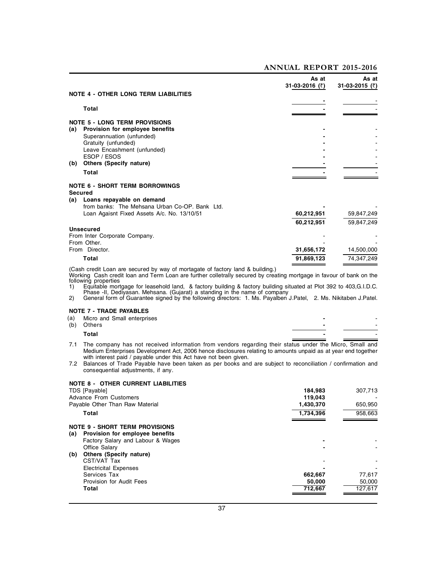|                                                                                                                                                                                                                                | As at          | As at          |
|--------------------------------------------------------------------------------------------------------------------------------------------------------------------------------------------------------------------------------|----------------|----------------|
|                                                                                                                                                                                                                                | 31-03-2016 (₹) | 31-03-2015 (₹) |
| <b>NOTE 4 - OTHER LONG TERM LIABILITIES</b>                                                                                                                                                                                    |                |                |
|                                                                                                                                                                                                                                |                |                |
| Total                                                                                                                                                                                                                          |                |                |
|                                                                                                                                                                                                                                |                |                |
| <b>NOTE 5 - LONG TERM PROVISIONS</b>                                                                                                                                                                                           |                |                |
| Provision for employee benefits<br>(a)                                                                                                                                                                                         |                |                |
| Superannuation (unfunded)                                                                                                                                                                                                      |                |                |
| Gratuity (unfunded)                                                                                                                                                                                                            |                |                |
| Leave Encashment (unfunded)                                                                                                                                                                                                    |                |                |
| ESOP / ESOS                                                                                                                                                                                                                    |                |                |
| <b>Others (Specify nature)</b><br>(b)                                                                                                                                                                                          |                |                |
| <b>Total</b>                                                                                                                                                                                                                   |                |                |
|                                                                                                                                                                                                                                |                |                |
| NOTE 6 - SHORT TERM BORROWINGS                                                                                                                                                                                                 |                |                |
| <b>Secured</b>                                                                                                                                                                                                                 |                |                |
| Loans repayable on demand<br>(a)                                                                                                                                                                                               |                |                |
| from banks: The Mehsana Urban Co-OP, Bank Ltd.                                                                                                                                                                                 |                |                |
| Loan Agaisnt Fixed Assets A/c. No. 13/10/51                                                                                                                                                                                    | 60,212,951     | 59,847,249     |
|                                                                                                                                                                                                                                | 60,212,951     | 59,847,249     |
| Unsecured                                                                                                                                                                                                                      |                |                |
| From Inter Corporate Company.                                                                                                                                                                                                  |                |                |
| From Other.                                                                                                                                                                                                                    |                |                |
| From Director.                                                                                                                                                                                                                 | 31,656,172     | 14,500,000     |
| Total                                                                                                                                                                                                                          | 91,869,123     | 74,347,249     |
| (Cash credit Loan are secured by way of mortagate of factory land & building.)<br>Working Cash credit loan and Term Loan are further colletrally secured by creating mortgage in favour of bank on the<br>following properties |                |                |
| Equitable mortgage for leasehold land, & factory building & factory building situated at Plot 392 to 403, G.I.D.C.<br>1)                                                                                                       |                |                |
| Phase -II, Dediyasan. Mehsana. (Gujarat) a standing in the name of company<br>General form of Guarantee signed by the following directors: 1. Ms. Payalben J.Patel, 2. Ms. Nikitaben J.Patel.<br>2)                            |                |                |

#### **NOTE 7 - TRADE PAYABLES**

| (a) Micro and Small enterprises |  |  |
|---------------------------------|--|--|
| (b) Others                      |  |  |
| Total                           |  |  |
|                                 |  |  |

- 7.1 The company has not received information from vendors regarding their status under the Micro, Small and Medium Enterprises Development Act, 2006 hence disclosures relating to amounts unpaid as at year end together with interest paid / payable under this Act have not been given.
- 7.2 Balances of Trade Payable have been taken as per books and are subject to reconciliation / confirmation and consequential adjustments, if any.

#### TDS [Payable] 307,713<br>Advance From Customers and the set of the set of the set of the set of the set of the set of the set of the set o<br>119,043 **NOTE 8 - OTHER CURRENT LIABILITIES 184,983** Advance From Customers **119,043**<br>
Payable Other Than Raw Material **Advance 1,430,370** 650,950 Payable Other Than Raw Material **Total 1,734,396 NOTE 9 - SHORT TERM PROVISIONS** 958,663 **(a) Provision for employee benefits** Factory Salary and Labour & Wages **Factory** Salary and Labour & Wages Office Salary **-**  $\blacksquare$ **(b) Others (Specify nature)** CST/VAT Tax  $\overline{\phantom{a}}$  . The set of the set of the set of the set of the set of the set of the set of the set of the set of the set of the set of the set of the set of the set of the set of the set of the set of the set o Electricital Expenses - **-** Services Tax 77,617 **662,667** Provision for Audit Fees **50,000** 50,000<br> **Total** 50,000 50,000 50,000 50,000 50,000 50,000 50,000 50,000 50,000 50,000 50,000 50,000 50,000 50,000 50,000 50,000 50,000 50,000 50,000 50,000 50,000 50,000 50,000 50,000 50,0 **Total 712,667** 127,617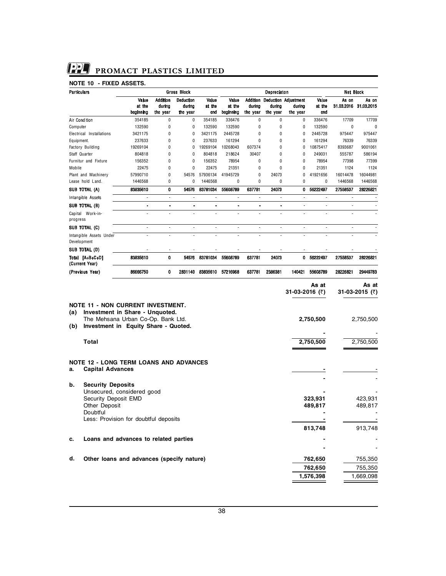### $\left( 22\right)$ **---**

## **PROMACT PLASTICS LIMITED**

#### **NOTE 10 - FIXED ASSETS.**

| <b>Particulars</b>                                                                                                                                                      |                          |                           | <b>Gross Block</b>         |                 |                          | Depreciaton              |          |                                       | <b>Net Block</b>   |               |                                |
|-------------------------------------------------------------------------------------------------------------------------------------------------------------------------|--------------------------|---------------------------|----------------------------|-----------------|--------------------------|--------------------------|----------|---------------------------------------|--------------------|---------------|--------------------------------|
|                                                                                                                                                                         | Value<br>at the          | <b>Addition</b><br>during | <b>Deduction</b><br>during | Value<br>at the | Value<br>at the          | Addition<br>during       | during   | <b>Deduction Adjustment</b><br>during | Value<br>at the    | As on         | As on<br>31.03.2016 31.03.2015 |
|                                                                                                                                                                         | beginning                | the year                  | the year                   | end             | beginning                | the year                 | the year | the year                              | end                |               |                                |
| Air Condition                                                                                                                                                           | 354185                   | $\pmb{0}$                 | 0                          | 354185          | 336476                   | 0                        | 0        | 0                                     | 336476             | 17709         | 17709                          |
| Computer                                                                                                                                                                | 132590                   | 0                         | 0                          | 132590          | 132590                   | 0                        | 0        | 0                                     | 132590             | 0             | 0                              |
| Electrical Installations                                                                                                                                                | 3421175                  | 0                         | 0                          | 3421175         | 2445728                  | $\mathbf{0}$             | 0        | $\pmb{0}$                             | 2445728            | 975447        | 975447                         |
| Equipment.                                                                                                                                                              | 237633                   | 0                         | 0                          | 237633          | 161294                   | 0                        | 0        | 0                                     | 161294             | 76339         | 76339                          |
| Factory Building                                                                                                                                                        | 19269104                 | 0                         | 0                          | 19269104        | 10268043                 | 607374                   | 0        | 0                                     | 10875417           | 8393687       | 9001061                        |
| Staff Quarter                                                                                                                                                           | 804818                   | 0                         | 0                          | 804818          | 218624                   | 30407                    | 0        | 0                                     | 249031             | 555787        | 586194                         |
| Furnitur and Fixture                                                                                                                                                    | 156352                   | $\pmb{0}$                 | $\bf{0}$                   | 156352          | 78954                    | 0                        | 0        | $\pmb{0}$                             | 78954              | 77398         | 77399                          |
| Mobile                                                                                                                                                                  | 22475                    | 0                         | 0                          | 22475           | 21351                    | 0                        | 0        | 0                                     | 21351              | 1124          | 1124                           |
| Plant and Machinery                                                                                                                                                     | 57990710                 | $\pmb{0}$                 | 54576                      | 57936134        | 41945729                 | 0                        | 24073    | 0                                     | 41921656           | 16014478      | 16044981                       |
| Lease hold Land.                                                                                                                                                        | 1446568                  | 0                         | 0                          | 1446568         | 0                        | 0                        | 0        | 0                                     | $\mathbf{0}$       | 1446568       | 1446568                        |
| SUB TOTAL (A)                                                                                                                                                           | 83835610                 | 0                         | 54576                      | 83781034        | 55608789                 | 637781                   | 24073    | 0                                     | 56222497           | 27558537      | 28226821                       |
| Intangible Assets                                                                                                                                                       | $\overline{\phantom{a}}$ | $\overline{\phantom{a}}$  | ×,                         | ÷,              | $\overline{\phantom{a}}$ | $\overline{\phantom{a}}$ | ÷,       | $\overline{\phantom{a}}$              | ×,                 | ×,            | ×,                             |
| SUB TOTAL (B)                                                                                                                                                           | $\blacksquare$           | $\blacksquare$            | $\blacksquare$             | $\blacksquare$  | $\blacksquare$           | ÷,                       | ä,       | $\ddot{\phantom{a}}$                  | ä,                 | İ,            |                                |
| Capital Work-in-<br>progress                                                                                                                                            | J.                       | ÷.                        | J.                         | J.              | L.                       | J.                       | L.       | ×.                                    | $\overline{a}$     | l.            |                                |
| SUB TOTAL (C)                                                                                                                                                           | ÷,                       | ÷,                        | ÷,                         | ÷,              | ÷,                       | ÷,                       | ÷,       | ÷,                                    | ÷,                 | $\frac{1}{2}$ |                                |
| Intangible Assets Under<br>Development                                                                                                                                  | Ĭ.                       | ä,                        | l,                         | Ĭ.              | ä,                       |                          | ä,       | l,                                    |                    | L             |                                |
| SUB TOTAL (D)                                                                                                                                                           |                          | ä,                        |                            |                 |                          |                          |          |                                       |                    |               |                                |
| Total [A+B+C+D]<br>(Current Year)                                                                                                                                       | 83835610                 | 0                         | 54576                      | 83781034        | 55608789                 | 637781                   | 24073    | 0                                     | 56222497           | 27558537      | 28226821                       |
| (Previous Year)                                                                                                                                                         | 86666750                 | 0                         | 2831140                    | 83835610        | 57216968                 | 637781                   | 2386381  | 140421                                | 55608789           | 28226821      | 29449783                       |
|                                                                                                                                                                         |                          |                           |                            |                 |                          |                          |          | 31-03-2016 (₹)                        | As at              |               | Asat<br>31-03-2015 (₹)         |
| <b>NOTE 11 - NON CURRENT INVESTMENT.</b><br>Investment in Share - Unquoted.<br>(a)<br>The Mehsana Urban Co-Op. Bank Ltd.<br>Investment in Equity Share - Quoted.<br>(b) |                          |                           |                            |                 |                          |                          |          |                                       | 2,750,500          |               | 2,750,500                      |
| Total                                                                                                                                                                   |                          |                           |                            |                 |                          |                          |          |                                       | 2,750,500          |               | 2,750,500                      |
| <b>NOTE 12 - LONG TERM LOANS AND ADVANCES</b>                                                                                                                           |                          |                           |                            |                 |                          |                          |          |                                       |                    |               |                                |
| <b>Capital Advances</b><br>a.                                                                                                                                           |                          |                           |                            |                 |                          |                          |          |                                       |                    |               |                                |
| b.<br><b>Security Deposits</b><br>Unsecured, considered good<br>Security Deposit EMD<br>Other Deposit<br>Doubtful                                                       |                          |                           |                            |                 |                          |                          |          |                                       | 323,931<br>489,817 |               | 423,931<br>489,817             |

# **c. Loans and advances to related parties -**

**d. Other loans and advances (specify nature) 762,650**

Less: Provision for doubtful deposits and the set of the set of the set of the set of the set of the set of the set of the set of the set of the set of the set of the set of the set of the set of the set of the set of the

913,748

755,350 755,350 1,669,098

- 1990 - 1990 - 1990 - 1990 - 1990 - 1990 - 1990 - 1990 - 1990 - 1990 - 1990 - 1990 - 1990 - 1990 - 1990 - 199<br>1991 - 1991 - 1991 - 1991 - 1991 - 1991 - 1991 - 1991 - 1991 - 1991 - 1991 - 1991 - 1991 - 1991 - 1991 - 1991 - 1990 - 1990 - 1991 - 1992 - 1993<br>1994 - 1994 - 1994 - 1994 - 1994 - 1994 - 1994 - 1994 - 1994 - 1994 - 1994 - 1994 - 1994 - 1994 - 1994 - 1994

**- 813,748**

**-**

**762,650 1,576,398**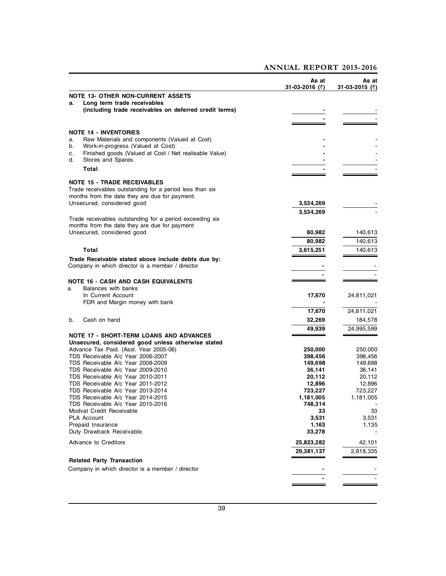|          |                                                                                                            | As at<br>31-03-2016 (₹) | As at<br>31-03-2015 (₹) |
|----------|------------------------------------------------------------------------------------------------------------|-------------------------|-------------------------|
| а.       | <b>NOTE 13- OTHER NON-CURRENT ASSETS</b><br>Long term trade receivables                                    |                         |                         |
|          | (including trade receivables on deferred credit terms)                                                     |                         |                         |
|          |                                                                                                            |                         |                         |
|          |                                                                                                            |                         |                         |
|          | <b>NOTE 14 - INVENTORIES</b>                                                                               |                         |                         |
| a.<br>b. | Raw Materials and components (Valued at Cost)<br>Work-in-progress (Valued at Cost)                         |                         |                         |
| с.       | Finished goods (Valued at Cost / Net realisable Value)                                                     |                         |                         |
| d.       | Stores and Spares.                                                                                         |                         |                         |
|          | Total                                                                                                      |                         |                         |
|          |                                                                                                            |                         |                         |
|          | <b>NOTE 15 - TRADE RECEIVABLES</b>                                                                         |                         |                         |
|          | Trade receivables outstanding for a period less than six<br>months from the date they are due for payment. |                         |                         |
|          | Unsecured, considered good                                                                                 | 3,534,269               |                         |
|          |                                                                                                            | 3,534,269               |                         |
|          | Trade receivables outstanding for a period exceeding six                                                   |                         |                         |
|          | months from the date they are due for payment                                                              |                         |                         |
|          | Unsecured, considered good                                                                                 | 80,982                  | 140,613                 |
|          |                                                                                                            | 80,982                  | 140,613                 |
|          | Total                                                                                                      | 3,615,251               | 140,613                 |
|          | Trade Receivable stated above include debts due by:                                                        |                         |                         |
|          | Company in which director is a member / director                                                           |                         |                         |
|          | NOTE 16 - CASH AND CASH EQUIVALENTS                                                                        |                         |                         |
| a.       | Balances with banks                                                                                        |                         |                         |
|          | In Current Account                                                                                         | 17,670                  | 24,811,021              |
|          | FDR and Margin money with bank                                                                             |                         |                         |
|          |                                                                                                            | 17,670                  | 24,811,021              |
| b.       | Cash on hand                                                                                               | 32,269                  | 184,578                 |
|          |                                                                                                            | 49,939                  | 24,995,599              |
|          | <b>NOTE 17 - SHORT-TERM LOANS AND ADVANCES</b>                                                             |                         |                         |
|          | Unsecured, considered good unless otherwise stated<br>Advance Tax Paid. (Asst. Year 2005-06)               | 250,000                 | 250,000                 |
|          | TDS Receivable A/c Year 2006-2007                                                                          | 398,456                 | 398,456                 |
|          | TDS Receivable A/c Year 2008-2009                                                                          | 149,698                 | 149,698                 |
|          | TDS Receivable A/c Year 2009-2010                                                                          | 36,141                  | 36,141                  |
|          | TDS Receivable A/c Year 2010-2011<br>TDS Receivable A/c Year 2011-2012                                     | 20,112                  | 20,112                  |
|          | TDS Receivable A/c Year 2013-2014                                                                          | 12,896<br>723,227       | 12,896<br>723,227       |
|          | TDS Receivable A/c Year 2014-2015                                                                          | 1,181,005               | 1,181,005               |
|          | TDS Receivable A/c Year 2015-2016                                                                          | 748,314                 |                         |
|          | Modvat Credit Receivable<br><b>PLA Account</b>                                                             | 33                      | 33                      |
|          | Prepaid Insurance                                                                                          | 3,531<br>1,163          | 3,531<br>1,135          |
|          | Duty Drawback Receivable.                                                                                  | 33,278                  |                         |
|          | Advance to Creditors                                                                                       | 25,823,282              | 42,101                  |
|          |                                                                                                            | 29,381,137              | 2,818,335               |
|          | <b>Related Party Transaction</b>                                                                           |                         |                         |
|          | Company in which director is a member / director                                                           |                         |                         |
|          |                                                                                                            |                         |                         |
|          |                                                                                                            |                         |                         |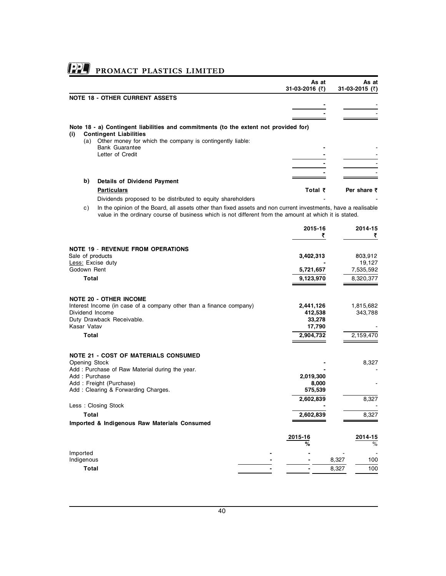|                      |                                                                                                                                                                                                                          | As at<br>31-03-2016 (₹) | As at<br>31-03-2015 (₹) |
|----------------------|--------------------------------------------------------------------------------------------------------------------------------------------------------------------------------------------------------------------------|-------------------------|-------------------------|
|                      | <b>NOTE 18 - OTHER CURRENT ASSETS</b>                                                                                                                                                                                    |                         |                         |
|                      |                                                                                                                                                                                                                          |                         |                         |
|                      |                                                                                                                                                                                                                          |                         |                         |
|                      | Note 18 - a) Contingent liabilities and commitments (to the extent not provided for)                                                                                                                                     |                         |                         |
| (i)                  | <b>Contingent Liabilities</b><br>(a) Other money for which the company is contingently liable:                                                                                                                           |                         |                         |
|                      | <b>Bank Guarantee</b>                                                                                                                                                                                                    |                         |                         |
|                      | Letter of Credit                                                                                                                                                                                                         |                         |                         |
|                      |                                                                                                                                                                                                                          |                         |                         |
|                      |                                                                                                                                                                                                                          |                         |                         |
| b)                   | <b>Details of Dividend Payment</b>                                                                                                                                                                                       |                         |                         |
|                      | <b>Particulars</b>                                                                                                                                                                                                       | Total ₹                 | Per share ₹             |
|                      | Dividends proposed to be distributed to equity shareholders                                                                                                                                                              |                         |                         |
| C)                   | In the opinion of the Board, all assets other than fixed assets and non current investments, have a realisable<br>value in the ordinary course of business which is not different from the amount at which it is stated. |                         |                         |
|                      |                                                                                                                                                                                                                          | 2015-16                 | 2014-15                 |
|                      |                                                                                                                                                                                                                          | ₹                       | ₹                       |
|                      |                                                                                                                                                                                                                          |                         |                         |
| Sale of products     | <b>NOTE 19 - REVENUE FROM OPERATIONS</b>                                                                                                                                                                                 | 3,402,313               | 803.912                 |
| Less: Excise duty    |                                                                                                                                                                                                                          |                         | 19,127                  |
| Godown Rent          |                                                                                                                                                                                                                          | 5,721,657               | 7,535,592               |
| Total                |                                                                                                                                                                                                                          | 9,123,970               | 8,320,377               |
|                      |                                                                                                                                                                                                                          |                         |                         |
|                      | <b>NOTE 20 - OTHER INCOME</b>                                                                                                                                                                                            |                         |                         |
|                      | Interest Income (in case of a company other than a finance company)                                                                                                                                                      | 2,441,126               | 1,815,682               |
| Dividend Income      | Duty Drawback Receivable.                                                                                                                                                                                                | 412,538<br>33,278       | 343,788                 |
| Kasar Vatav          |                                                                                                                                                                                                                          | 17,790                  |                         |
| Total                |                                                                                                                                                                                                                          | 2,904,732               | 2,159,470               |
|                      |                                                                                                                                                                                                                          |                         |                         |
|                      | <b>NOTE 21 - COST OF MATERIALS CONSUMED</b>                                                                                                                                                                              |                         |                         |
| <b>Opening Stock</b> |                                                                                                                                                                                                                          |                         | 8,327                   |
|                      | Add: Purchase of Raw Material during the year.                                                                                                                                                                           |                         |                         |
| Add: Purchase        | Add: Freight (Purchase)                                                                                                                                                                                                  | 2,019,300<br>8,000      |                         |
|                      | Add: Clearing & Forwarding Charges.                                                                                                                                                                                      | 575,539                 |                         |
|                      |                                                                                                                                                                                                                          | 2,602,839               | 8,327                   |
|                      | Less: Closing Stock                                                                                                                                                                                                      |                         |                         |
| Total                |                                                                                                                                                                                                                          | 2,602,839               | 8,327                   |
|                      | Imported & Indigenous Raw Materials Consumed                                                                                                                                                                             |                         |                         |
|                      |                                                                                                                                                                                                                          | 2015-16                 | 2014-15                 |
|                      |                                                                                                                                                                                                                          | %                       | %                       |
| Imported             |                                                                                                                                                                                                                          |                         |                         |
| Indigenous           |                                                                                                                                                                                                                          |                         | 8,327<br>100            |
| <b>Total</b>         |                                                                                                                                                                                                                          |                         | 8,327<br>100            |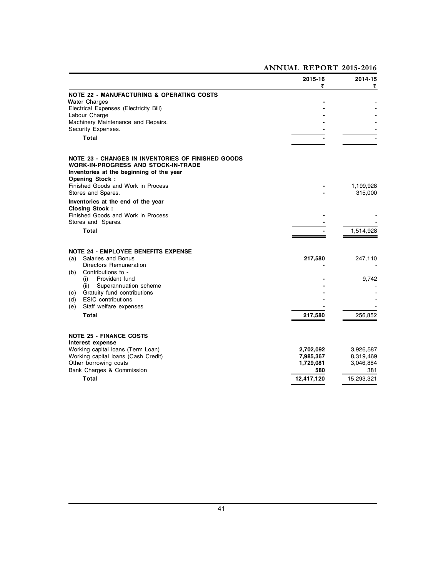|                                                                                                                                              | 2015-16<br>₹ | 2014-15<br>₹         |
|----------------------------------------------------------------------------------------------------------------------------------------------|--------------|----------------------|
| NOTE 22 - MANUFACTURING & OPERATING COSTS                                                                                                    |              |                      |
| Water Charges                                                                                                                                |              |                      |
| Electrical Expenses (Electricity Bill)                                                                                                       |              |                      |
| Labour Charge<br>Machinery Maintenance and Repairs.                                                                                          |              |                      |
| Security Expenses.                                                                                                                           |              |                      |
| Total                                                                                                                                        |              |                      |
|                                                                                                                                              |              |                      |
| NOTE 23 - CHANGES IN INVENTORIES OF FINISHED GOODS<br><b>WORK-IN-PROGRESS AND STOCK-IN-TRADE</b><br>Inventories at the beginning of the year |              |                      |
| <b>Opening Stock:</b>                                                                                                                        |              |                      |
| Finished Goods and Work in Process<br>Stores and Spares.                                                                                     |              | 1,199,928<br>315,000 |
| Inventories at the end of the year                                                                                                           |              |                      |
| <b>Closing Stock:</b>                                                                                                                        |              |                      |
| Finished Goods and Work in Process                                                                                                           |              |                      |
| Stores and Spares.                                                                                                                           |              |                      |
| Total                                                                                                                                        |              | 1,514,928            |
|                                                                                                                                              |              |                      |
| <b>NOTE 24 - EMPLOYEE BENEFITS EXPENSE</b>                                                                                                   |              |                      |
| Salaries and Bonus<br>(a)                                                                                                                    | 217,580      | 247,110              |
| Directors Remuneration<br>Contributions to -<br>(b)                                                                                          |              |                      |
| Provident fund<br>(i)                                                                                                                        |              | 9,742                |
| Superannuation scheme<br>(ii)                                                                                                                |              |                      |
| Gratuity fund contributions<br>(c)                                                                                                           |              |                      |
| <b>ESIC</b> contributions<br>(d)                                                                                                             |              |                      |
| Staff welfare expenses<br>(e)                                                                                                                |              |                      |
| Total                                                                                                                                        | 217,580      | 256,852              |
| <b>NOTE 25 - FINANCE COSTS</b><br>Interest expense                                                                                           |              |                      |
| Working capital loans (Term Loan)                                                                                                            | 2,702,092    | 3,926,587            |
| Working capital loans (Cash Credit)                                                                                                          | 7,985,367    | 8,319,469            |
| Other borrowing costs                                                                                                                        | 1,729,081    | 3,046,884            |
| Bank Charges & Commission                                                                                                                    | 580          | 381                  |
| Total                                                                                                                                        | 12,417,120   | 15,293,321           |
|                                                                                                                                              |              |                      |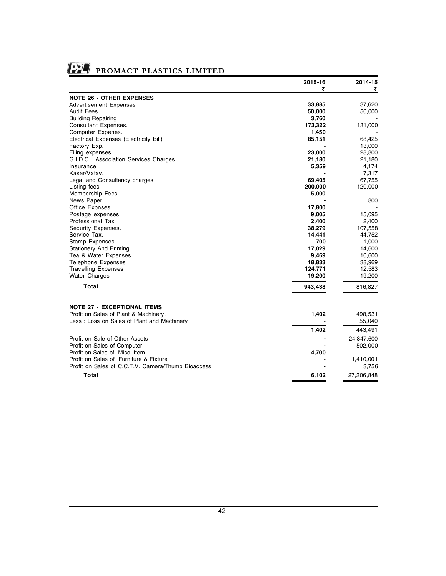

|                                                    | 2015-16<br>₹ | 2014-15<br>₹ |
|----------------------------------------------------|--------------|--------------|
| <b>NOTE 26 OTHER EXPENSES</b>                      |              |              |
| <b>Advertisement Expenses</b>                      | 33,885       | 37,620       |
| <b>Audit Fees</b>                                  | 50,000       | 50,000       |
| <b>Building Repairing</b>                          | 3,760        |              |
| Consultant Expenses.                               | 173,322      | 131,000      |
| Computer Expenes.                                  | 1,450        |              |
| Electrical Expenses (Electricity Bill)             | 85,151       | 68,425       |
| Factory Exp.                                       |              | 13,000       |
| Filing expenses                                    | 23,000       | 28,800       |
| G.I.D.C. Association Services Charges.             | 21,180       | 21,180       |
| Insurance                                          | 5,359        | 4,174        |
| Kasar/Vatav.                                       |              | 7,317        |
| Legal and Consultancy charges                      | 69,405       | 67,755       |
| Listing fees                                       | 200,000      | 120,000      |
| Membership Fees.                                   | 5,000        |              |
| News Paper                                         |              | 800          |
| Office Expnses.                                    | 17,800       |              |
| Postage expenses                                   | 9,005        | 15,095       |
| Professional Tax                                   | 2,400        | 2,400        |
| Security Expenses.                                 | 38,279       | 107,558      |
| Service Tax.                                       | 14,441       | 44,752       |
| <b>Stamp Expenses</b>                              | 700          | 1,000        |
| <b>Stationery And Printing</b>                     | 17,029       | 14,600       |
| Tea & Water Expenses.                              | 9,469        | 10,600       |
| <b>Telephone Expenses</b>                          | 18,833       | 38,969       |
| <b>Travelling Expenses</b>                         | 124,771      | 12,583       |
| <b>Water Charges</b>                               | 19,200       | 19,200       |
| Total                                              | 943,438      | 816,827      |
|                                                    |              |              |
| NOTE 27 - EXCEPTIONAL ITEMS                        |              |              |
| Profit on Sales of Plant & Machinery,              | 1,402        | 498,531      |
| Less: Loss on Sales of Plant and Machinery         |              | 55,040       |
|                                                    | 1,402        | 443,491      |
|                                                    |              |              |
| Profit on Sale of Other Assets                     |              | 24,847,600   |
| Profit on Sales of Computer                        |              | 502,000      |
| Profit on Sales of Misc. Item.                     | 4,700        |              |
| Profit on Sales of Furniture & Fixture             |              | 1,410,001    |
| Profit on Sales of C.C.T.V. Camera/Thump Bioaccess |              | 3,756        |
| Total                                              | 6,102        | 27,206,848   |
|                                                    |              |              |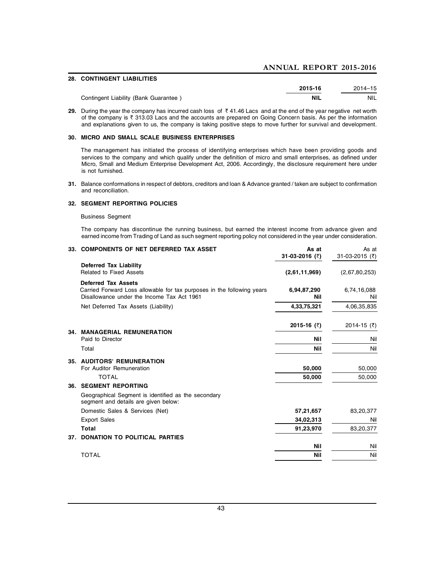| <b>28. CONTINGENT LIABILITIES</b>     |            |             |
|---------------------------------------|------------|-------------|
|                                       | 2015-16    | $2014 - 15$ |
| Contingent Liability (Bank Guarantee) | <b>NIL</b> | NIL         |

**29.** During the year the company has incurred cash loss of ₹41.46 Lacs and at the end of the year negative net worth of the company is  $\bar{\tau}$  313.03 Lacs and the accounts are prepared on Going Concern basis. As per the information and explanations given to us, the company is taking positive steps to move further for survival and development.

#### **30. MICRO AND SMALL SCALE BUSINESS ENTERPRISES**

The management has initiated the process of identifying enterprises which have been providing goods and services to the company and which qualify under the definition of micro and small enterprises, as defined under Micro, Small and Medium Enterprise Development Act, 2006. Accordingly, the disclosure requirement here under is not furnished.

**31.** Balance conformations in respect of debtors, creditors and loan & Advance granted / taken are subject to confirmation and reconciliation.

#### **32. SEGMENT REPORTING POLICIES**

#### Business Segment

The company has discontinue the running business, but earned the interest income from advance given and earned income from Trading of Land as such segment reporting policy not considered in the year under consideration.

|     | 33. COMPONENTS OF NET DEFERRED TAX ASSET                                                                                                           | As at<br>31-03-2016 (₹) | As at<br>31-03-2015 (₹) |
|-----|----------------------------------------------------------------------------------------------------------------------------------------------------|-------------------------|-------------------------|
|     | <b>Deferred Tax Liability</b><br><b>Related to Fixed Assets</b>                                                                                    | (2,61,11,969)           | (2,67,80,253)           |
|     | <b>Deferred Tax Assets</b><br>Carried Forward Loss allowable for tax purposes in the following years<br>Disallowance under the Income Tax Act 1961 | 6,94,87,290<br>Nil      | 6,74,16,088<br>Nil      |
|     | Net Deferred Tax Assets (Liability)                                                                                                                | 4,33,75,321             | 4,06,35,835             |
|     |                                                                                                                                                    | $2015 - 16$ (₹)         | 2014-15 (₹)             |
|     | <b>34. MANAGERIAL REMUNERATION</b><br>Paid to Director                                                                                             | Nil                     | Nil                     |
|     | Total                                                                                                                                              | Nil                     | Nil                     |
|     | <b>35. AUDITORS' REMUNERATION</b>                                                                                                                  |                         |                         |
|     | For Auditor Remuneration                                                                                                                           | 50,000                  | 50,000                  |
|     | <b>TOTAL</b>                                                                                                                                       | 50,000                  | 50.000                  |
| 36. | <b>SEGMENT REPORTING</b>                                                                                                                           |                         |                         |
|     | Geographical Segment is identified as the secondary<br>segment and details are given below:                                                        |                         |                         |
|     | Domestic Sales & Services (Net)                                                                                                                    | 57,21,657               | 83,20,377               |
|     | <b>Export Sales</b>                                                                                                                                | 34,02,313               | Nil                     |
|     | Total                                                                                                                                              | 91,23,970               | 83,20,377               |
| 37. | <b>DONATION TO POLITICAL PARTIES</b>                                                                                                               |                         |                         |
|     |                                                                                                                                                    | Nil                     | Nil                     |
|     | <b>TOTAL</b>                                                                                                                                       | Nil                     | Nil                     |
|     |                                                                                                                                                    |                         |                         |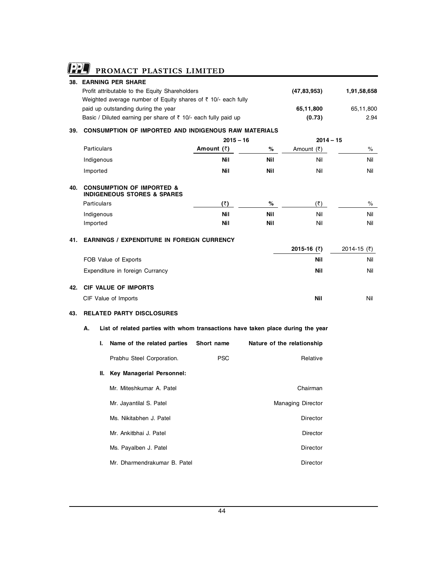|     |             |    | <b>38. EARNING PER SHARE</b>                                                    |              |     |                            |             |
|-----|-------------|----|---------------------------------------------------------------------------------|--------------|-----|----------------------------|-------------|
|     |             |    | Profit attributable to the Equity Shareholders                                  |              |     | (47, 83, 953)              | 1,91,58,658 |
|     |             |    | Weighted average number of Equity shares of ₹ 10/- each fully                   |              |     |                            |             |
|     |             |    | paid up outstanding during the year                                             |              |     | 65,11,800                  | 65,11,800   |
|     |             |    | Basic / Diluted earning per share of ₹ 10/- each fully paid up                  |              |     | (0.73)                     | 2.94        |
| 39. |             |    | <b>CONSUMPTION OF IMPORTED AND INDIGENOUS RAW MATERIALS</b>                     |              |     |                            |             |
|     |             |    |                                                                                 | $2015 - 16$  |     | $2014 - 15$                |             |
|     | Particulars |    |                                                                                 | Amount $(3)$ | %   | Amount $(\bar{z})$         | %           |
|     | Indigenous  |    |                                                                                 | Nil          | Nil | Nil                        | Nil         |
|     | Imported    |    |                                                                                 | <b>Nil</b>   | Nil | Nil                        | Nil         |
| 40. |             |    | <b>CONSUMPTION OF IMPORTED &amp;</b><br><b>INDIGENEOUS STORES &amp; SPARES</b>  |              |     |                            |             |
|     | Particulars |    |                                                                                 | (₹)          | %   | (₹)                        | %           |
|     | Indigenous  |    |                                                                                 | Nil          | Nil | Nil                        | Nil         |
|     | Imported    |    |                                                                                 | Nil          | Nil | Nil                        | Nil         |
| 41. |             |    | <b>EARNINGS / EXPENDITURE IN FOREIGN CURRENCY</b>                               |              |     |                            |             |
|     |             |    |                                                                                 |              |     | 2015-16 (₹)                | 2014-15 (₹) |
|     |             |    | FOB Value of Exports                                                            |              |     | Nil                        | Nil         |
|     |             |    | Expenditure in foreign Currancy                                                 |              |     | Nil                        | Nil         |
| 42. |             |    | <b>CIF VALUE OF IMPORTS</b>                                                     |              |     |                            |             |
|     |             |    | CIF Value of Imports                                                            |              |     | Nil                        | Nil         |
| 43. |             |    | <b>RELATED PARTY DISCLOSURES</b>                                                |              |     |                            |             |
|     | А.          |    | List of related parties with whom transactions have taken place during the year |              |     |                            |             |
|     |             | ı. | Name of the related parties                                                     | Short name   |     | Nature of the relationship |             |
|     |             |    | Prabhu Steel Corporation.                                                       | <b>PSC</b>   |     | Relative                   |             |
|     |             |    | II. Key Managerial Personnel:                                                   |              |     |                            |             |
|     |             |    | Mr. Miteshkumar A. Patel                                                        |              |     | Chairman                   |             |
|     |             |    | Mr. Jayantilal S. Patel                                                         |              |     | Managing Director          |             |
|     |             |    | Ms. Nikitabhen J. Patel                                                         |              |     | <b>Director</b>            |             |
|     |             |    |                                                                                 |              |     |                            |             |
|     |             |    | Mr. Ankitbhai J. Patel                                                          |              |     | Director                   |             |
|     |             |    | Ms. Payalben J. Patel                                                           |              |     | Director                   |             |
|     |             |    | Mr. Dharmendrakumar B. Patel                                                    |              |     | Director                   |             |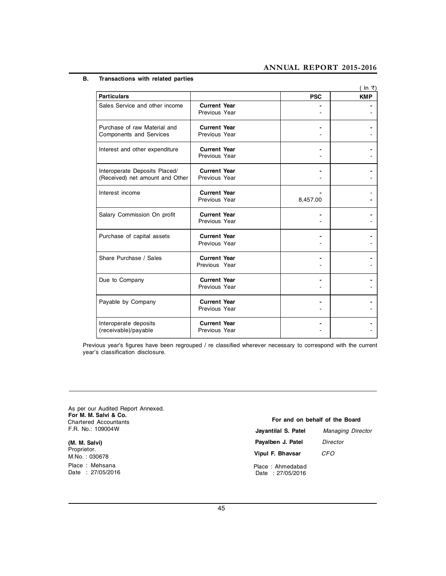#### **B. Transactions with related parties**

|                                                                  |                                      |            | (In '₹)    |
|------------------------------------------------------------------|--------------------------------------|------------|------------|
| <b>Particulars</b>                                               |                                      | <b>PSC</b> | <b>KMP</b> |
| Sales Service and other income                                   | <b>Current Year</b><br>Previous Year |            |            |
| Purchase of raw Material and<br>Components and Services          | <b>Current Year</b><br>Previous Year |            |            |
| Interest and other expenditure                                   | <b>Current Year</b><br>Previous Year |            |            |
| Interoperate Deposits Placed/<br>(Received) net amount and Other | <b>Current Year</b><br>Previous Year |            |            |
| Interest income                                                  | <b>Current Year</b><br>Previous Year | 8,457.00   |            |
| Salary Commission On profit                                      | <b>Current Year</b><br>Previous Year |            |            |
| Purchase of capital assets                                       | <b>Current Year</b><br>Previous Year |            |            |
| Share Purchase / Sales                                           | <b>Current Year</b><br>Previous Year |            |            |
| Due to Company                                                   | <b>Current Year</b><br>Previous Year |            |            |
| Payable by Company                                               | <b>Current Year</b><br>Previous Year |            |            |
| Interoperate deposits<br>(receivable)/payable                    | <b>Current Year</b><br>Previous Year |            |            |

Previous year's figures have been regrouped / re classified wherever necessary to correspond with the current year's classification disclosure.

As per our Audited Report Annexed. Chartered Accountants **For M. M. Salvi & Co.** F.R. No.: 109004W

Proprietor. **(M. M. Salvi)** M.No. : 030678 Place : Mehsana Date : 27/05/2016

### **For and on behalf of the Board**

| TVI GINI VII DCHGII VI LIIC DVGIU |                          |  |  |  |  |
|-----------------------------------|--------------------------|--|--|--|--|
| Javantilal S. Patel               | <b>Managing Director</b> |  |  |  |  |
| Payalben J. Patel                 | Director                 |  |  |  |  |
| Vipul F. Bhavsar                  | CFO                      |  |  |  |  |
|                                   |                          |  |  |  |  |

Place : Ahmedabad Date : 27/05/2016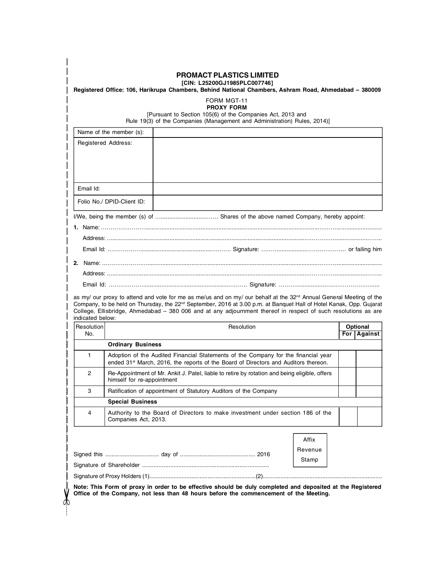|                                       |                            | FORM MGT-11<br><b>PROXY FORM</b><br>[Pursuant to Section 105(6) of the Companies Act, 2013 and<br>Rule 19(3) of the Companies (Management and Administration) Rules, 2014)]                                                                                     |                         |  |
|---------------------------------------|----------------------------|-----------------------------------------------------------------------------------------------------------------------------------------------------------------------------------------------------------------------------------------------------------------|-------------------------|--|
|                                       | Name of the member (s):    |                                                                                                                                                                                                                                                                 |                         |  |
| Registered Address:                   |                            |                                                                                                                                                                                                                                                                 |                         |  |
| Email Id:                             |                            |                                                                                                                                                                                                                                                                 |                         |  |
|                                       | Folio No./ DPID-Client ID: |                                                                                                                                                                                                                                                                 |                         |  |
|                                       |                            |                                                                                                                                                                                                                                                                 |                         |  |
|                                       |                            | as my/ our proxy to attend and vote for me as me/us and on my/ our behalf at the 32 <sup>nd</sup> Annual General Meeting of the                                                                                                                                 |                         |  |
| indicated below:<br>Resolution<br>No. |                            | Company, to be held on Thursday, the 22 <sup>nd</sup> September, 2016 at 3.00 p.m. at Banquet Hall of Hotel Kanak, Opp. Gujarat<br>College, Ellisbridge, Ahmedabad - 380 006 and at any adjournment thereof in respect of such resolutions as are<br>Resolution | Optional<br>For Against |  |
|                                       | <b>Ordinary Business</b>   |                                                                                                                                                                                                                                                                 |                         |  |
| 1                                     |                            | Adoption of the Audited Financial Statements of the Company for the financial year<br>ended 31 <sup>st</sup> March, 2016, the reports of the Board of Directors and Auditors thereon.                                                                           |                         |  |
| 2                                     | himself for re-appointment | Re-Appointment of Mr. Ankit J. Patel, liable to retire by rotation and being eligible, offers                                                                                                                                                                   |                         |  |
| 3                                     |                            | Ratification of appointment of Statutory Auditors of the Company                                                                                                                                                                                                |                         |  |
|                                       | <b>Special Business</b>    |                                                                                                                                                                                                                                                                 |                         |  |
| 4                                     | Companies Act, 2013.       | Authority to the Board of Directors to make investment under section 186 of the                                                                                                                                                                                 |                         |  |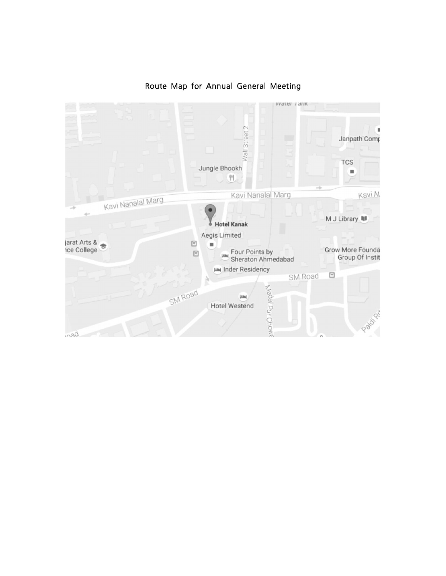

### Route Map for Annual General Meeting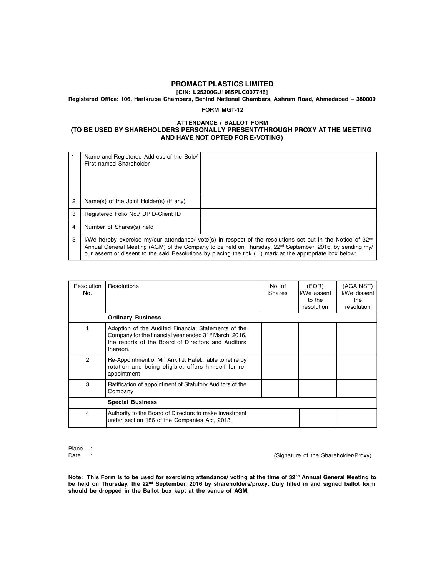**[CIN: L25200GJ1985PLC007746]**

**Registered Office: 106, Harikrupa Chambers, Behind National Chambers, Ashram Road, Ahmedabad – 380009**

#### **FORM MGT-12**

#### **ATTENDANCE / BALLOT FORM (TO BE USED BY SHAREHOLDERS PERSONALLY PRESENT/THROUGH PROXY AT THE MEETING AND HAVE NOT OPTED FOR E-VOTING)**

|   | Name and Registered Address: of the Sole/<br>First named Shareholder                                                                                                                                                                                                                                                                                       |  |  |  |
|---|------------------------------------------------------------------------------------------------------------------------------------------------------------------------------------------------------------------------------------------------------------------------------------------------------------------------------------------------------------|--|--|--|
| 2 | Name(s) of the Joint Holder(s) (if any)                                                                                                                                                                                                                                                                                                                    |  |  |  |
| 3 | Registered Folio No./ DPID-Client ID                                                                                                                                                                                                                                                                                                                       |  |  |  |
| 4 | Number of Shares(s) held                                                                                                                                                                                                                                                                                                                                   |  |  |  |
| 5 | I/We hereby exercise my/our attendance/ vote(s) in respect of the resolutions set out in the Notice of 32 <sup>nd</sup><br>Annual General Meeting (AGM) of the Company to be held on Thursday, 22 <sup>nd</sup> September, 2016, by sending my/<br>our assent or dissent to the said Resolutions by placing the tick () mark at the appropriate box below: |  |  |  |

| Resolution<br>No.        | <b>Resolutions</b>                                                                                                                                                                          | No. of<br><b>Shares</b> | (FOR)<br>I/We assent<br>to the<br>resolution | (AGAINST)<br>I/We dissent<br>the<br>resolution |  |  |  |  |  |
|--------------------------|---------------------------------------------------------------------------------------------------------------------------------------------------------------------------------------------|-------------------------|----------------------------------------------|------------------------------------------------|--|--|--|--|--|
| <b>Ordinary Business</b> |                                                                                                                                                                                             |                         |                                              |                                                |  |  |  |  |  |
|                          | Adoption of the Audited Financial Statements of the<br>Company for the financial year ended 31 <sup>st</sup> March, 2016,<br>the reports of the Board of Directors and Auditors<br>thereon. |                         |                                              |                                                |  |  |  |  |  |
| $\mathfrak{p}$           | Re-Appointment of Mr. Ankit J. Patel, liable to retire by<br>rotation and being eligible, offers himself for re-<br>appointment                                                             |                         |                                              |                                                |  |  |  |  |  |
| 3                        | Ratification of appointment of Statutory Auditors of the<br>Company                                                                                                                         |                         |                                              |                                                |  |  |  |  |  |
| <b>Special Business</b>  |                                                                                                                                                                                             |                         |                                              |                                                |  |  |  |  |  |
| 4                        | Authority to the Board of Directors to make investment<br>under section 186 of the Companies Act, 2013.                                                                                     |                         |                                              |                                                |  |  |  |  |  |

Place :<br>Date :

(Signature of the Shareholder/Proxy)

Note: This Form is to be used for exercising attendance/ voting at the time of 32<sup>nd</sup> Annual General Meeting to be held on Thursday, the 22<sup>nd</sup> September, 2016 by shareholders/proxy. Duly filled in and signed ballot form **should be dropped in the Ballot box kept at the venue of AGM.**